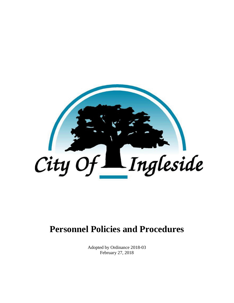

# **Personnel Policies and Procedures**

Adopted by Ordinance 2018-03 February 27, 2018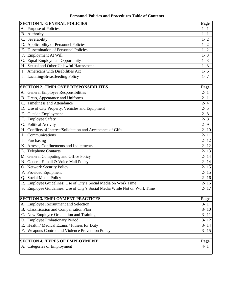|           | <b>SECTION 1. GENERAL POLICIES</b>                                     | Page     |
|-----------|------------------------------------------------------------------------|----------|
| А.        | Purpose of Policies                                                    | $1 - 1$  |
| <b>B.</b> | Authority                                                              | $1 - 1$  |
|           | C. Severability                                                        | $1 - 2$  |
|           | D. Applicability of Personnel Policies                                 | $1 - 2$  |
| Е.        | <b>Dissemination of Personnel Policies</b>                             | $1 - 2$  |
|           | F. Employment At Will                                                  | $1 - 3$  |
|           | G. Equal Employment Opportunity                                        | $1 - 3$  |
| Н.        | Sexual and Other Unlawful Harassment                                   | $1 - 3$  |
| L         | Americans with Disabilities Act                                        | $1 - 6$  |
|           | J. Lactating/Breastfeeding Policy                                      | $1 - 7$  |
|           |                                                                        |          |
|           | <b>SECTION 2. EMPLOYEE RESPONSIBILITES</b>                             | Page     |
| А.        | General Employee Responsibilities                                      | $2 - 1$  |
|           | B. Dress, Appearance and Uniforms                                      | $2 - 1$  |
|           | <b>Timeliness and Attendance</b>                                       | $2 - 4$  |
|           | D. Use of City Property, Vehicles and Equipment                        | $2 - 5$  |
| Ε.        | Outside Employment                                                     | $2 - 8$  |
| F.        | Employee Safety                                                        | $2 - 8$  |
|           | G. Political Activity                                                  | $2 - 9$  |
|           | H. Conflicts of Interest/Solicitation and Acceptance of Gifts          | $2 - 10$ |
| I.        | Communications                                                         | $2 - 11$ |
| J.        | Purchasing                                                             | $2 - 12$ |
|           | K. Arrests, Confinements and Indictments                               | $2 - 12$ |
| L.        | <b>Telephone Contacts</b>                                              | $2 - 13$ |
|           | M. General Computing and Office Policy                                 | $2 - 14$ |
|           | N. General E-mail & Voice Mail Policy                                  | $2 - 14$ |
|           | O. Network Security Policy                                             | $2 - 15$ |
|           | P. Provided Equipment                                                  | $2 - 15$ |
|           | Q. Social Media Policy                                                 | $2 - 16$ |
|           | R. Employee Guidelines: Use of City's Social Media on Work Time        | $2 - 16$ |
|           | Employee Guidelines: Use of City's Social Media While Not on Work Time | $2 - 17$ |
|           | <b>SECTION 3. EMPLOYMENT PRACTICES</b>                                 | Page     |
| А.        | <b>Employee Recruitment and Selection</b>                              | $3 - 1$  |
| <b>B.</b> | Classification and Compensation Plan                                   | $3 - 10$ |
|           | C. New Employee Orientation and Training                               | $3 - 11$ |
| D.        | Employee Probationary Period                                           | $3 - 12$ |
| Е.        | Health / Medical Exams / Fitness for Duty                              | $3 - 14$ |
| F.        | Weapons Control and Violence Prevention Policy                         | $3 - 15$ |
|           |                                                                        |          |
|           | <b>SECTION 4. TYPES OF EMPLOYMENT</b>                                  | Page     |
|           | A. Categories of Employment                                            | $4 - 1$  |
|           |                                                                        |          |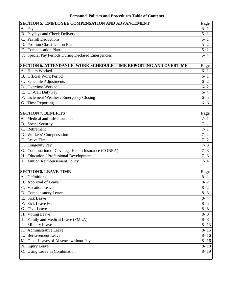#### **Personnel Policies and Procedures Table of Contents**

|             | <b>SECTION 5. EMPLOYEE COMPENSATION AND ADVANCEMENT</b>           | Page     |
|-------------|-------------------------------------------------------------------|----------|
| А.          | Pay                                                               | $5 - 1$  |
|             | B. Paydays and Check Delivery                                     | $5 - 1$  |
|             | C. Payroll Deductions                                             | $5 - 1$  |
| D.          | <b>Position Classification Plan</b>                               | $5 - 2$  |
|             | E. Compensation Plan                                              | $5 - 2$  |
|             | F. Special Pay Periods During Declared Emergencies                | $5 - 4$  |
|             |                                                                   |          |
|             | SECTION 6. ATTENDANCE, WORK SCHEDULE, TIME REPORTING AND OVERTIME | Page     |
|             | A. Hours Worked                                                   | $6 - 1$  |
| <b>B.</b>   | <b>Official Work Period</b>                                       | $6 - 1$  |
|             | C. Schedule Adjustments                                           | $6 - 2$  |
|             | D. Overtime Worked                                                | $6 - 2$  |
|             | E. On-Call Duty Pay                                               | $6 - 4$  |
|             | F. Inclement Weather / Emergency Closing                          | $6 - 5$  |
|             | G. Time Reporting                                                 | $6 - 6$  |
|             |                                                                   |          |
|             | <b>SECTION 7. BENEFITS</b>                                        | Page     |
| А.          | Medical and Life Insurance                                        | $7 - 1$  |
|             | B. Social Security                                                | $7 - 1$  |
| $C_{\cdot}$ | Retirement                                                        | $7 - 1$  |
| D.          | Workers' Compensation                                             | $7 - 2$  |
|             | E. Leave Time                                                     | $7 - 2$  |
|             | F. Longevity Pay                                                  | $7 - 3$  |
|             | G. Continuation of Coverage Health Insurance (COBRA)              | $7 - 3$  |
|             | H. Education / Professional Development                           | $7 - 3$  |
| I.          | <b>Tuition Reimbursement Policy</b>                               | $7 - 4$  |
|             |                                                                   |          |
|             | <b>SECTION 8. LEAVE TIME</b><br>Definitions                       | Page     |
| А.          |                                                                   | $8 - 1$  |
|             | B. Approval of Leave                                              | $8 - 2$  |
| C.          | Vacation Leave                                                    | $8 - 2$  |
|             | D. Compensatory Leave                                             | $8 - 3$  |
|             | E. Sick Leave                                                     | $8 - 4$  |
|             | F. Sick Leave Pool                                                | $8 - 5$  |
|             | G. Civil Leave                                                    | $8 - 8$  |
| Η.          | <b>Voting Leave</b>                                               | $8 - 8$  |
|             | I. Family and Medical Leave (FMLA)                                | $8 - 8$  |
| $J_{\cdot}$ | Military Leave                                                    | $8 - 13$ |
| K.          | Administrative Leave                                              | $8 - 15$ |
| L.          | <b>Bereavement Leave</b>                                          | $8 - 16$ |
|             | M. Other Leaves of Absence without Pay                            | $8 - 16$ |
|             | N. Injury Leave                                                   | $8 - 18$ |
|             | O. Using Leave in Combination                                     | $8 - 19$ |
|             |                                                                   |          |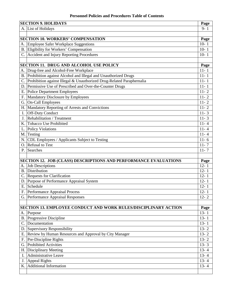#### **Personnel Policies and Procedures Table of Contents**

| <b>SECTION 9. HOLIDAYS</b><br>Page                                              |                                                                       |          |  |  |
|---------------------------------------------------------------------------------|-----------------------------------------------------------------------|----------|--|--|
|                                                                                 | A. List of Holidays                                                   | $9 - 1$  |  |  |
|                                                                                 |                                                                       |          |  |  |
|                                                                                 | <b>SECTION 10. WORKERS' COMPENSATION</b>                              | Page     |  |  |
| А.                                                                              | Employee Safer Workplace Suggestions                                  | $10 - 1$ |  |  |
|                                                                                 | B. Eligibility for Workers' Compensation                              | $10-1$   |  |  |
|                                                                                 | C. Accident and Injury Reporting Procedures                           | $10 - 1$ |  |  |
|                                                                                 |                                                                       |          |  |  |
|                                                                                 | <b>SECTION 11. DRUG AND ALCOHOL USE POLICY</b>                        | Page     |  |  |
| А.                                                                              | Drug-free and Alcohol-Free Workplace                                  | $11 - 1$ |  |  |
| <b>B.</b>                                                                       | Prohibition against Alcohol and Illegal and Unauthorized Drugs        | $11 - 1$ |  |  |
|                                                                                 | Prohibition against Illegal & Unauthorized Drug-Related Paraphernalia | $11 - 1$ |  |  |
| D.                                                                              | Permissive Use of Prescribed and Over-the-Counter Drugs               | $11 - 1$ |  |  |
|                                                                                 | E. Police Department Employees                                        | $11 - 2$ |  |  |
| F.                                                                              | Mandatory Disclosure by Employees                                     | $11 - 2$ |  |  |
|                                                                                 | G. On-Call Employees                                                  | $11 - 2$ |  |  |
|                                                                                 | H. Mandatory Reporting of Arrests and Convictions                     | $11 - 2$ |  |  |
| I.                                                                              | <b>Off-Duty Conduct</b>                                               | $11 - 3$ |  |  |
| J.                                                                              | Rehabilitation / Treatment                                            | $11 - 3$ |  |  |
| Κ.                                                                              | <b>Tobacco Use Prohibited</b>                                         | $11 - 4$ |  |  |
| L.                                                                              | Policy Violations                                                     | $11 - 4$ |  |  |
|                                                                                 | M. Testing                                                            | $11 - 4$ |  |  |
|                                                                                 | N. CDL Employees / Applicants Subject to Testing                      | $11 - 6$ |  |  |
| Ο.                                                                              | <b>Refusal to Test</b>                                                | $11 - 7$ |  |  |
| P.                                                                              | Searches                                                              | $11 - 7$ |  |  |
|                                                                                 |                                                                       |          |  |  |
| <b>SECTION 12. JOB (CLASS) DESCRIPTIONS AND PERFORMANCE EVALUATIONS</b><br>Page |                                                                       |          |  |  |
| А.                                                                              | Job Descriptions                                                      | $12 - 1$ |  |  |
|                                                                                 | <b>B.</b> Distribution                                                | $12 - 1$ |  |  |
| C.                                                                              | Requests for Clarification                                            | $12 - 1$ |  |  |
|                                                                                 | D. Purpose of Performance Appraisal System                            | $12 - 1$ |  |  |
| Ε.                                                                              | Schedule                                                              | $12 - 1$ |  |  |
|                                                                                 | F. Performance Appraisal Process                                      | $12 - 1$ |  |  |
|                                                                                 | G. Performance Appraisal Responses                                    | $12 - 2$ |  |  |
|                                                                                 |                                                                       |          |  |  |
|                                                                                 | SECTION 13. EMPLOYEE CONDUCT AND WORK RULES/DISCIPLINARY ACTION       | Page     |  |  |
|                                                                                 | A. Purpose                                                            | $13 - 1$ |  |  |
|                                                                                 | B. Progressive Discipline                                             | $13 - 1$ |  |  |
| C.                                                                              | Documentation                                                         | $13 - 1$ |  |  |
|                                                                                 | D. Supervisory Responsibility                                         | $13 - 2$ |  |  |
|                                                                                 | E. Review by Human Resources and Approval by City Manager             | $13 - 2$ |  |  |
|                                                                                 | F. Pre-Discipline Rights                                              | $13 - 2$ |  |  |
|                                                                                 | G. Prohibited Activities                                              | $13 - 3$ |  |  |
|                                                                                 | H. Disciplinary Meeting                                               | $13 - 4$ |  |  |
| I.                                                                              | Administrative Leave                                                  | $13 - 4$ |  |  |
|                                                                                 | J. Appeal Rights                                                      | $13 - 4$ |  |  |
|                                                                                 | K. Additional Information                                             | $13 - 4$ |  |  |
|                                                                                 |                                                                       |          |  |  |
|                                                                                 |                                                                       |          |  |  |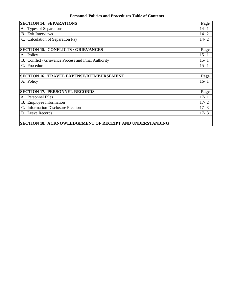#### **Personnel Policies and Procedures Table of Contents**

<span id="page-4-0"></span>

|                                                          | <b>SECTION 14. SEPARATIONS</b><br>Page           |          |  |
|----------------------------------------------------------|--------------------------------------------------|----------|--|
| А.                                                       | <b>Types of Separations</b>                      | $14 - 1$ |  |
|                                                          | <b>B.</b> Exit Interviews                        | $14 - 2$ |  |
|                                                          | Calculation of Separation Pay                    | $14 - 2$ |  |
|                                                          |                                                  |          |  |
| <b>SECTION 15. CONFLICTS / GRIEVANCES</b>                |                                                  | Page     |  |
|                                                          | A. Policy                                        | $15 - 1$ |  |
| <b>B.</b>                                                | Conflict / Grievance Process and Final Authority | $15 - 1$ |  |
|                                                          | C. Procedure                                     | $15 - 1$ |  |
|                                                          |                                                  |          |  |
| <b>SECTION 16. TRAVEL EXPENSE/REIMBURSEMENT</b>          |                                                  | Page     |  |
|                                                          | A. Policy                                        | $16 - 1$ |  |
|                                                          |                                                  |          |  |
| <b>SECTION 17. PERSONNEL RECORDS</b>                     |                                                  | Page     |  |
|                                                          | A. Personnel Files                               | $17 - 1$ |  |
|                                                          | B. Employee Information                          | $17 - 2$ |  |
|                                                          | Information Disclosure Election                  | $17 - 3$ |  |
|                                                          | D. Leave Records                                 | $17 - 3$ |  |
|                                                          |                                                  |          |  |
| SECTION 18. ACKNOWLEDGEMENT OF RECEIPT AND UNDERSTANDING |                                                  |          |  |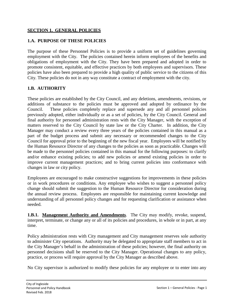#### <span id="page-5-0"></span>**SECTION 1. GENERAL POLICIES**

#### **1.A. PURPOSE OF THESE POLICIES**

The purpose of these Personnel Policies is to provide a uniform set of guidelines governing employment with the City. The policies contained herein inform employees of the benefits and obligations of employment with the City. They have been prepared and adopted in order to promote consistent, equitable, and effective practices by both employees and supervisors. These policies have also been prepared to provide a high quality of public service to the citizens of this City. These policies do not in any way constitute a contract of employment with the city.

#### **1.B. AUTHORITY**

These policies are established by the City Council, and any deletions, amendments, revisions, or additions of substance to the policies must be approved and adopted by ordinance by the Council. These policies completely replace and supersede any and all personnel policies previously adopted, either individually or as a set of policies, by the City Council. General and final authority for personnel administration rests with the City Manager, with the exception of matters reserved to the City Council by state law or the City Charter. In addition, the City Manager may conduct a review every three years of the policies contained in this manual as a part of the budget process and submit any necessary or recommended changes to the City Council for approval prior to the beginning of the new fiscal year. Employees will be notified by the Human Resource Director of any changes to the policies as soon as practicable. Changes will be made to the personnel policies contained in this manual for the following purposes: to clarify and/or enhance existing policies; to add new policies or amend existing policies in order to improve current management practices; and to bring current policies into conformance with changes in law or city policy.

Employees are encouraged to make constructive suggestions for improvements in these policies or in work procedures or conditions. Any employee who wishes to suggest a personnel policy change should submit the suggestion to the Human Resource Director for consideration during the annual review process. Employees are responsible for maintaining current knowledge and understanding of all personnel policy changes and for requesting clarification or assistance when needed.

**1.B.1. Management Authority and Amendments**. The City may modify, revoke, suspend, interpret, terminate, or change any or all of its policies and procedures, in whole or in part, at any time.

Policy administration rests with City management and City management reserves sole authority to administer City operations. Authority may be delegated to appropriate staff members to act in the City Manager's behalf in the administration of these policies; however, the final authority on personnel decisions shall be reserved to the City Manager. Operational changes to any policy, practice, or process will require approval by the City Manager as described above.

No City supervisor is authorized to modify these policies for any employee or to enter into any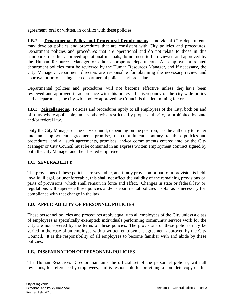<span id="page-6-0"></span>agreement, oral or written, in conflict with these policies.

**1.B.2. Departmental Policy and Procedural Requirements**. Individual City departments may develop policies and procedures that are consistent with City policies and procedures. Department policies and procedures that are operational and do not relate to those in this handbook, or other approved operational manuals, do not need to be reviewed and approved by the Human Resources Manager or other appropriate departments. All employment related department policies must be reviewed by the Human Resources Manager, and if necessary, the City Manager. Department directors are responsible for obtaining the necessary review and approval prior to issuing such departmental policies and procedures.

Departmental policies and procedures will not become effective unless they have been reviewed and approved in accordance with this policy. If discrepancy of the city-wide policy and a department, the city-wide policy approved by Council is the determining factor.

**1.B.3. Miscellaneous.** Policies and procedures apply to all employees of the City, both on and off duty where applicable, unless otherwise restricted by proper authority, or prohibited by state and/or federal law.

Only the City Manager or the City Council, depending on the position, has the authority to enter into an employment agreement, promise, or commitment contrary to these policies and procedures, and all such agreements, promises, and/or commitments entered into by the City Manager or City Council must be contained in an express written employment contract signed by both the City Manager and the affected employee.

# **1.C. SEVERABILITY**

The provisions of these policies are severable, and if any provision or part of a provision is held invalid, illegal, or unenforceable, this shall not affect the validity of the remaining provisions or parts of provisions, which shall remain in force and effect. Changes in state or federal law or regulations will supersede these policies and/or departmental policies insofar as is necessary for compliance with that change in the law.

#### **1.D. APPLICABILITY OF PERSONNEL POLICIES**

These personnel policies and procedures apply equally to all employees of the City unless a class of employees is specifically exempted; individuals performing community service work for the City are not covered by the terms of these policies. The provisions of these policies may be varied in the case of an employee with a written employment agreement approved by the City Council. It is the responsibility of all employees to become familiar with and abide by these policies.

#### **1.E. DISSEMINATION OF PERSONNEL POLICIES**

The Human Resources Director maintains the official set of the personnel policies, with all revisions, for reference by employees, and is responsible for providing a complete copy of this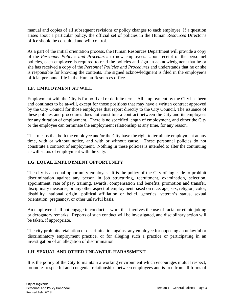<span id="page-7-0"></span>manual and copies of all subsequent revisions or policy changes to each employee. If a question arises about a particular policy, the official set of policies in the Human Resources Director's office should be consulted and will control.

As a part of the initial orientation process, the Human Resources Department will provide a copy of the *Personnel Policies and Procedures* to new employees. Upon receipt of the personnel policies, each employee is required to read the policies and sign an acknowledgment that he or she has received a copy of the *Personnel Policies and Procedures* and understands that he or she is responsible for knowing the contents. The signed acknowledgment is filed in the employee's official personnel file in the Human Resources office.

# **1.F. EMPLOYMENT AT WILL**

Employment with the City is for no fixed or definite term. All employment by the City has been and continues to be at-will, except for those positions that may have a written contract approved by the City Council for those employees that report directly to the City Council. The issuance of these policies and procedures does not constitute a contract between the City and its employees for any duration of employment. There is no specified length of employment, and either the City or the employee can terminate the employment relationship at any time, for any reason.

That means that both the employee and/or the City have the right to terminate employment at any time, with or without notice, and with or without cause. These personnel policies do not constitute a contract of employment. Nothing in these policies is intended to alter the continuing at-will status of employment with the City.

# **1.G. EQUAL EMPLOYMENT OPPORTUNITY**

The city is an equal opportunity employer. It is the policy of the City of Ingleside to prohibit discrimination against any person in job structuring, recruitment, examination, selection, appointment, rate of pay, training, awards, compensation and benefits, promotion and transfer, disciplinary measures, or any other aspect of employment based on race, age, sex, religion, color, disability, national origin, political affiliation or belief, genetics, veteran's status, sexual orientation, pregnancy, or other unlawful basis.

An employee shall not engage in conduct at work that involves the use of racial or ethnic joking or derogatory remarks. Reports of such conduct will be investigated, and disciplinary action will be taken, if appropriate.

The city prohibits retaliation or discrimination against any employee for opposing an unlawful or discriminatory employment practice, or for alleging such a practice or participating in an investigation of an allegation of discrimination.

# **1.H. SEXUAL AND OTHER UNLAWFUL HARASSMENT**

It is the policy of the City to maintain a working environment which encourages mutual respect, promotes respectful and congenial relationships between employees and is free from all forms of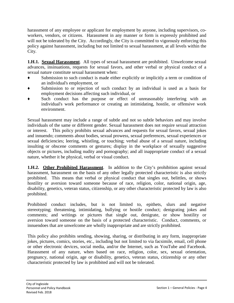harassment of any employee or applicant for employment by anyone, including supervisors, coworkers, vendors, or citizens. Harassment in any manner or form is expressly prohibited and will not be tolerated by the City. Accordingly, the City is committed to vigorously enforcing this policy against harassment, including but not limited to sexual harassment, at all levels within the City.

**1.H.1. Sexual Harassment**. All types of sexual harassment are prohibited. Unwelcome sexual advances, insinuations, requests for sexual favors, and other verbal or physical conduct of a sexual nature constitute sexual harassment when:

- Submission to such conduct is made either explicitly or implicitly a term or condition of an individual's employment, or
- ♦ Submission to or rejection of such conduct by an individual is used as a basis for employment decisions affecting such individual, or
- Such conduct has the purpose or effect of unreasonably interfering with an individual's work performance or creating an intimidating, hostile, or offensive work environment.

Sexual harassment may include a range of subtle and not so subtle behaviors and may involve individuals of the same or different gender. Sexual harassment does not require sexual attraction or interest. This policy prohibits sexual advances and requests for sexual favors, sexual jokes and innuendo; comments about bodies, sexual prowess, sexual preferences, sexual experiences or sexual deficiencies; leering, whistling, or touching; verbal abuse of a sexual nature, including insulting or obscene comments or gestures; display in the workplace of sexually suggestive objects or pictures, including nudity and pornography; and all inappropriate conduct of a sexual nature, whether it be physical, verbal or visual conduct.

**1.H.2. Other Prohibited Harassment**. In addition to the City's prohibition against sexual harassment, harassment on the basis of any other legally protected characteristic is also strictly prohibited. This means that verbal or physical conduct that singles out, belittles, or shows hostility or aversion toward someone because of race, religion, color, national origin, age, disability, genetics, veteran status, citizenship, or any other characteristic protected by law is also prohibited.

Prohibited conduct includes, but is not limited to, epithets, slurs and negative stereotyping; threatening, intimidating, bullying or hostile conduct; denigrating jokes and comments; and writings or pictures that single out, denigrate, or show hostility or aversion toward someone on the basis of a protected characteristic. Conduct, comments, or innuendoes that are unwelcome are wholly inappropriate and are strictly prohibited.

This policy also prohibits sending, showing, sharing, or distributing in any form, inappropriate jokes, pictures, comics, stories, etc., including but not limited to via facsimile, email, cell phone or other electronic devices, social media, and/or the Internet, such as YouTube and Facebook. Harassment of any nature, when based on race, religion, color, sex, sexual orientation, pregnancy, national origin, age or disability, genetics, veteran status, citizenship or any other characteristic protected by law is prohibited and will not be tolerated.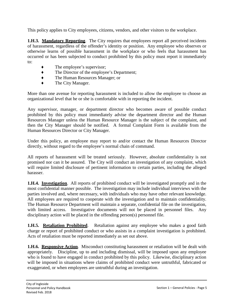This policy applies to City employees, citizens, vendors, and other visitors to the workplace.

**1.H.3. Mandatory Reporting.** The City requires that employees report all perceived incidents of harassment, regardless of the offender's identity or position. Any employee who observes or otherwise learns of possible harassment in the workplace or who feels that harassment has occurred or has been subjected to conduct prohibited by this policy must report it immediately to:

- $\bullet$  The employee's supervisor;
- ♦ The Director of the employee's Department;
- ♦ The Human Resources Manager; or
- ♦ The City Manager.

More than one avenue for reporting harassment is included to allow the employee to choose an organizational level that he or she is comfortable with in reporting the incident.

Any supervisor, manager, or department director who becomes aware of possible conduct prohibited by this policy must immediately advise the department director and the Human Resources Manager unless the Human Resource Manager is the subject of the complaint, and then the City Manager should be notified. A formal Complaint Form is available from the Human Resources Director or City Manager.

Under this policy, an employee may report to and/or contact the Human Resources Director directly, without regard to the employee's normal chain of command.

All reports of harassment will be treated seriously. However, absolute confidentiality is not promised nor can it be assured. The City will conduct an investigation of any complaint, which will require limited disclosure of pertinent information to certain parties, including the alleged harasser.

**1.H.4. Investigation**. All reports of prohibited conduct will be investigated promptly and in the most confidential manner possible. The investigation may include individual interviews with the parties involved and, where necessary, with individuals who may have other relevant knowledge. All employees are required to cooperate with the investigation and to maintain confidentiality. The Human Resource Department will maintain a separate, confidential file on the investigation, with limited access. Investigative documents will not be placed in personnel files. Any disciplinary action will be placed in the offending person(s) personnel file.

**1.H.5. Retaliation Prohibited**. Retaliation against any employee who makes a good faith charge or report of prohibited conduct or who assists in a complaint investigation is prohibited. Acts of retaliation must be reported immediately as set out above.

**1.H.6. Responsive Action.** Misconduct constituting harassment or retaliation will be dealt with appropriately. Discipline, up to and including dismissal, will be imposed upon any employee who is found to have engaged in conduct prohibited by this policy. Likewise, disciplinary action will be imposed in situations where claims of prohibited conduct were untruthful, fabricated or exaggerated, or when employees are untruthful during an investigation.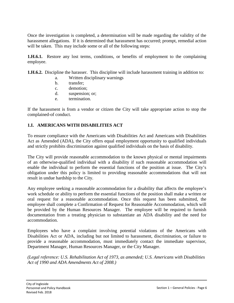<span id="page-10-0"></span>Once the investigation is completed, a determination will be made regarding the validity of the harassment allegations. If it is determined that harassment has occurred; prompt, remedial action will be taken. This may include some or all of the following steps:

**1.H.6.1.** Restore any lost terms, conditions, or benefits of employment to the complaining employee.

**1.H.6.2.** Discipline the harasser. This discipline will include harassment training in addition to:

- a. Written disciplinary warnings
- b. transfer;
- c. demotion;
- d. suspension; or;
- e. termination.

If the harassment is from a vendor or citizen the City will take appropriate action to stop the complained-of conduct.

## **1.I. AMERICANS WITH DISABILITIES ACT**

To ensure compliance with the Americans with Disabilities Act and Americans with Disabilities Act as Amended (ADA), the City offers equal employment opportunity to qualified individuals and strictly prohibits discrimination against qualified individuals on the basis of disability.

The City will provide reasonable accommodation to the known physical or mental impairments of an otherwise-qualified individual with a disability if such reasonable accommodation will enable the individual to perform the essential functions of the position at issue. The City's obligation under this policy is limited to providing reasonable accommodations that will not result in undue hardship to the City.

Any employee seeking a reasonable accommodation for a disability that affects the employee's work schedule or ability to perform the essential functions of the position shall make a written or oral request for a reasonable accommodation. Once this request has been submitted, the employee shall complete a Confirmation of Request for Reasonable Accommodation, which will be provided by the Human Resources Manager. The employee will be required to furnish documentation from a treating physician to substantiate an ADA disability and the need for accommodation.

Employees who have a complaint involving potential violations of the Americans with Disabilities Act or ADA, including but not limited to harassment, discrimination, or failure to provide a reasonable accommodation, must immediately contact the immediate supervisor, Department Manager, Human Resources Manager, or the City Manager.

*(Legal reference: U.S. Rehabilitation Act of 1973, as amended; U.S. Americans with Disabilities Act of 1990 and ADA Amendments Act of 2008.)*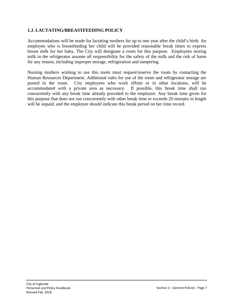#### <span id="page-11-0"></span>**1.J. LACTATING/BREASTFEEDING POLICY**

Accommodations will be made for lactating mothers for up to one year after the child's birth. An employee who is breastfeeding her child will be provided reasonable break times to express breast milk for her baby. The City will designate a room for this purpose. Employees storing milk in the refrigerator assume all responsibility for the safety of the milk and the risk of harm for any reason, including improper storage, refrigeration and tampering.

Nursing mothers wishing to use this room must request/reserve the room by contacting the Human Resources Department. Additional rules for use of the room and refrigerator storage are posted in the room. City employees who work offsite or in other locations, will be accommodated with a private area as necessary. If possible, this break time shall run concurrently with any break time already provided to the employee. Any break time given for this purpose that does not run concurrently with other break time or exceeds 20 minutes in length will be unpaid, and the employee should indicate this break period on her time record.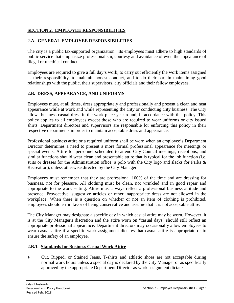#### <span id="page-12-0"></span>**SECTION 2. EMPLOYEE RESPONSIBILITIES**

#### **2.A. GENERAL EMPLOYEE RESPONSIBILITIES**

The city is a public tax-supported organization. Its employees must adhere to high standards of public service that emphasize professionalism, courtesy and avoidance of even the appearance of illegal or unethical conduct.

Employees are required to give a full day's work, to carry out efficiently the work items assigned as their responsibility, to maintain honest conduct, and to do their part in maintaining good relationships with the public, their supervisors, city officials and their fellow employees.

## **2.B. DRESS, APPEARANCE, AND UNIFORMS**

Employees must, at all times, dress appropriately and professionally and present a clean and neat appearance while at work and while representing the City or conducting City business. The City allows business casual dress in the work place year-round, in accordance with this policy. This policy applies to all employees except those who are required to wear uniforms or city issued shirts. Department directors and supervisors are responsible for enforcing this policy in their respective departments in order to maintain acceptable dress and appearance.

Professional business attire or a required uniform shall be worn when an employee's Department Director determines a need to present a more formal professional appearance for meetings or special events. Attire for personnel scheduled to attend City Council meetings, receptions, and similar functions should wear clean and presentable attire that is typical for the job function (i.e. suits or dresses for the Administration office, a polo with the City logo and slacks for Parks & Recreation), unless otherwise directed by the City Manager.

Employees must remember that they are professional 100% of the time and are dressing for business, not for pleasure. All clothing must be clean, not wrinkled and in good repair and appropriate to the work setting. Attire must always reflect a professional business attitude and presence. Provocative, suggestive articles or other inappropriate dress are not allowed in the workplace. When there is a question on whether or not an item of clothing is prohibited, employees should err in favor of being conservative and assume that it is not acceptable attire.

The City Manager may designate a specific day in which casual attire may be worn. However, it is at the City Manager's discretion and the attire worn on "casual days" should still reflect an appropriate professional appearance. Department directors may occasionally allow employees to wear casual attire if a specific work assignment dictates that casual attire is appropriate or to ensure the safety of an employee.

#### **2.B.1. Standards for Business Casual Work Attire**

♦ Cut, Ripped, or Stained Jeans, T-shirts and athletic shoes are not acceptable during normal work hours unless a special day is declared by the City Manager or as specifically approved by the appropriate Department Director as work assignment dictates.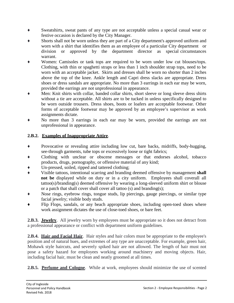- ♦ Sweatshirts, sweat pants of any type are not acceptable unless a special casual wear or festive occasion is declared by the City Manager.
- Shorts shall not be worn unless they are part of a City department's approved uniform and worn with a shirt that identifies them as an employee of a particular City department or division or approved by the department director as special circumstances warrant.
- Women: Camisoles or tank tops are required to be worn under low cut blouses/tops. Clothing, with thin or spaghetti straps or less than 1 inch shoulder strap tops, need to be worn with an acceptable jacket. Skirts and dresses shall be worn no shorter than 2 inches above the top of the knee. Ankle length and Capri dress slacks are appropriate. Dress shoes or dress sandals are appropriate. No more than 3 earrings in each ear may be worn, provided the earrings are not unprofessional in appearance.
- Men: Knit shirts with collar, banded collar shirts, short sleeve or long sleeve dress shirts without a tie are acceptable. All shirts are to be tucked in unless specifically designed to be worn outside trousers. Dress shoes, boots or loafers are acceptable footwear. Other forms of acceptable footwear may be approved by an employee's supervisor as work assignments dictate.
- No more than 3 earrings in each ear may be worn, provided the earrings are not unprofessional in appearance.

# **2.B.2. Examples of Inappropriate Attire**.

- ♦ Provocative or revealing attire including low cut, bare backs, midriffs, body-hugging, see-through garments, tube tops or excessively loose or tight fabrics;
- Clothing with unclear or obscene messages or that endorses alcohol, tobacco products, drugs, pornography, or offensive material of any kind;
- Un-pressed, soiled, ripped and tattered clothing;
- Visible tattoos, intentional scarring and branding deemed offensive by management **shall not be** displayed while on duty or in a city uniform. Employees shall coverall all tattoo(s)/branding(s) deemed offensive by wearing a long-sleeved uniform shirt or blouse or a patch that shall cover shall cover all tattoo (s) and branding(s);
- ♦ Nose rings, eyebrow rings, tongue studs, lip piercings, gauge piercings, or similar type facial jewelry; visible body studs.
- Flip Flops, sandals, or any beach appropriate shoes, including open-toed shoes where work assignment dictates the use of close-toed shoes, or bare feet.

**2.B.3. <u>Jewelry</u>**. All jewelry worn by employees must be appropriate so it does not detract from a professional appearance or conflict with department uniform guidelines.

**2.B.4. Hair and Facial Hair**. Hair styles and hair colors must be appropriate to the employee's position and of natural hues, and extremes of any type are unacceptable. For example, green hair, Mohawk style haircuts, and severely spiked hair are not allowed. The length of hair must not pose a safety hazard for employees working around machinery and moving objects. Hair, including facial hair, must be clean and neatly groomed at all times.

**2.B.5. Perfume and Cologne**. While at work, employees should minimize the use of scented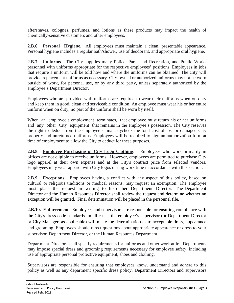aftershaves, colognes, perfumes, and lotions as these products may impact the health of chemically-sensitive customers and other employees.

**2.B.6. Personal Hygiene**. All employees must maintain a clean, presentable appearance. Personal hygiene includes a regular bath/shower, use of deodorant, and appropriate oral hygiene.

**2.B.7. Uniforms**. The City supplies many Police, Parks and Recreation, and Public Works personnel with uniforms appropriate for the respective employees' positions. Employees in jobs that require a uniform will be told how and where the uniforms can be obtained. The City will provide replacement uniforms as necessary. City-owned or authorized uniforms may not be worn outside of work, for personal use, or by any third party, unless separately authorized by the employee's Department Director.

Employees who are provided with uniforms are required to wear their uniforms when on duty and keep them in good, clean and serviceable condition. An employee must wear his or her entire uniform when on duty; no part of the uniform shall be worn by itself.

When an employee's employment terminates, that employee must return his or her uniforms and any other City equipment that remains in the employee's possession. The City reserves the right to deduct from the employee's final paycheck the total cost of lost or damaged City property and unreturned uniforms. Employees will be required to sign an authorization form at time of employment to allow the City to deduct for these purposes.

**2.B.8. Employee Purchasing of City Logo Clothing**. Employees who work primarily in offices are not eligible to receive uniforms. However, employees are permitted to purchase City logo apparel at their own expense and at the City's contract price from selected vendors. Employees may wear apparel with City logos during work time in accordance with this section.

**2.B.9. Exceptions**. Employees having a conflict with any aspect of this policy, based on cultural or religious traditions or medical reasons, may request an exemption. The employee must place the request in writing to his or her Department Director. The Department Director and the Human Resources Director shall review the request and determine whether an exception will be granted. Final determination will be placed in the personnel file.

**2.B.10. Enforcement**. Employees and supervisors are responsible for ensuring compliance with the City's dress code standards. In all cases, the employee's supervisor (or Department Director or City Manager, as applicable) will make the determination as to acceptable dress, appearance and grooming. Employees should direct questions about appropriate appearance or dress to your supervisor, Department Director, or the Human Resources Department.

Department Directors shall specify requirements for uniforms and other work attire. Departments may impose special dress and grooming requirements necessary for employee safety, including use of appropriate personal protective equipment, shoes and clothing.

Supervisors are responsible for ensuring that employees know, understand and adhere to this policy as well as any department specific dress policy. Department Directors and supervisors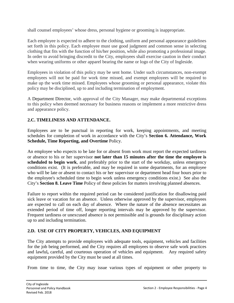<span id="page-15-0"></span>shall counsel employees' whose dress, personal hygiene or grooming is inappropriate.

Each employee is expected to adhere to the clothing, uniform and personal appearance guidelines set forth in this policy. Each employee must use good judgment and common sense in selecting clothing that fits with the function of his/her position, while also promoting a professional image. In order to avoid bringing discredit to the City, employees shall exercise caution in their conduct when wearing uniforms or other apparel bearing the name or logo of the City of Ingleside.

Employees in violation of this policy may be sent home. Under such circumstances, non-exempt employees will not be paid for work time missed, and exempt employees will be required to make up the work time missed. Employees whose grooming or personal appearance, violate this policy may be disciplined, up to and including termination of employment.

A Department Director, with approval of the City Manager, may make departmental exceptions to this policy when deemed necessary for business reasons or implement a more restrictive dress and appearance policy.

# **2.C. TIMELINESS AND ATTENDANCE.**

Employees are to be punctual in reporting for work, keeping appointments, and meeting schedules for completion of work in accordance with the City's **Section 6. Attendance, Work Schedule, Time Reporting, and Overtime** Policy.

An employee who expects to be late for or absent from work must report the expected tardiness or absence to his or her supervisor **not later than 15 minutes after the time the employee is scheduled to begin work**, and preferably prior to the start of the workday, unless emergency conditions exist. (It is preferable, and may be required in some departments, for an employee who will be late or absent to contact his or her supervisor or department head four hours prior to the employee's scheduled time to begin work unless emergency conditions exist.) See also the City's **Section 8. Leave Time** Policy of these policies for matters involving planned absences.

Failure to report within the required period can be considered justification for disallowing paid sick leave or vacation for an absence. Unless otherwise approved by the supervisor, employees are expected to call on each day of absence. Where the nature of the absence necessitates an extended period of time off, longer reporting intervals may be approved by the supervisor. Frequent tardiness or unexcused absence is not permissible and is grounds for disciplinary action up to and including termination.

# **2.D. USE OF CITY PROPERTY, VEHICLES, AND EQUIPMENT**

The City attempts to provide employees with adequate tools, equipment, vehicles and facilities for the job being performed, and the City requires all employees to observe safe work practices and lawful**,** careful, and courteous operation of vehicles and equipment. Any required safety equipment provided by the City must be used at all times.

From time to time, the City may issue various types of equipment or other property to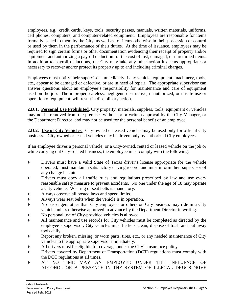employees, e.g., credit cards, keys, tools, security passes, manuals, written materials, uniforms, cell phones, computers, and computer-related equipment. Employees are responsible for items formally issued to them by the City, as well as for items otherwise in their possession or control or used by them in the performance of their duties. At the time of issuance, employees may be required to sign certain forms or other documentation evidencing their receipt of property and/or equipment and authorizing a payroll deduction for the cost of lost, damaged, or unreturned items. In addition to payroll deductions, the City may take any other action it deems appropriate or necessary to recover and/or protect its property up to and including criminal charges.

Employees must notify their supervisor immediately if any vehicle, equipment, machinery, tools, etc., appear to be damaged or defective, or are in need of repair. The appropriate supervisor can answer questions about an employee's responsibility for maintenance and care of equipment used on the job. The improper, careless, negligent, destructive, unauthorized, or unsafe use or operation of equipment, will result in disciplinary action.

2.D.1. **Personal Use Prohibited.** City property, materials, supplies, tools, equipment or vehicles may not be removed from the premises without prior written approval by the City Manager, or the Department Director, and may not be used for the personal benefit of an employee.

**2.D.2. Use of City Vehicles.** City-owned or leased vehicles may be used only for official City business. City-owned or leased vehicles may be driven only by authorized City employees.

If an employee drives a personal vehicle, or a City-owned, rented or leased vehicle on the job or while carrying out City-related business, the employee must comply with the following:

- ♦ Drivers must have a valid State of Texas driver's license appropriate for the vehicle operated, must maintain a satisfactory driving record, and must inform their supervisor of any change in status.
- Drivers must obey all traffic rules and regulations prescribed by law and use every reasonable safety measure to prevent accidents. No one under the age of 18 may operate a City vehicle. Wearing of seat belts is mandatory.
- Always observe all posted laws and speed limits.
- ♦ Always wear seat belts when the vehicle is in operation.
- No passengers other than City employees or others on City business may ride in a City vehicle unless otherwise approved in advance by the Department Director in writing.
- No personal use of City-provided vehicles is allowed.
- All maintenance and use records for City vehicles must be completed as directed by the employee's supervisor. City vehicles must be kept clean; dispose of trash and put away tools daily.
- Report any broken, missing, or worn parts, tires, etc., or any needed maintenance of City vehicles to the appropriate supervisor immediately.
- All drivers must be eligible for coverage under the City's insurance policy.
- Drivers covered by Department of Transportation (DOT) regulations must comply with the DOT regulations at all times.
- ♦ AT NO TIME MAY AN EMPLOYEE UNDER THE INFLUENCE OF ALCOHOL OR A PRESENCE IN THE SYSTEM OF ILLEGAL DRUGS DRIVE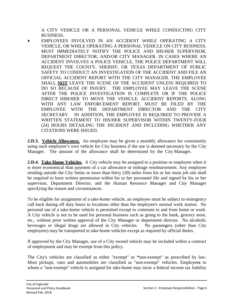A CITY VEHICLE OR A PERSONAL VEHICLE WHILE CONDUCTING CITY BUSINESS.

EMPLOYEES INVOLVED IN AN ACCIDENT WHILE OPERATING A CITY VEHICLE, OR WHILE OPERATING A PERSONAL VEHICLE ON CITY BUSINESS, MUST IMMEDIATELY NOTIFY THE POLICE AND HIS/HER SUPERVISOR, DEPARTMENT DIRECTOR, AND/OR CITY MANAGER. IN CASES WHERE AN ACCIDENT INVOLVES A POLICE VEHICLE, THE POLICE DEPARTMENT WILL REQUEST THE COUNTY, SHERIFF, OR TEXAS DEPARTMENT OF PUBLIC SAFETY TO CONDUCT AN INVESTIGATION OF THE ACCIDENT AND FILE AN OFFICIAL ACCIDENT REPORT WITH THE CITY MANAGER. THE EMPLOYEE SHALL **NOT** LEAVE THE SCENE OF THE ACCIDENT UNLESS REQUIRED TO DO SO BECAUSE OF INJURY. THE EMPLOYEE MAY LEAVE THE SCENE AFTER THE POLICE INVESTIGATION IS COMPLETE OR IF THE POLICE DIRECT HIM/HER TO MOVE THE VEHICLE. ACCIDENT REPORTS, ALONG WITH ANY LAW ENFORCEMENT REPORT, MUST BE FILED BY THE EMPLOYEE WITH THE DEPARTMENT DIRECTOR AND THE CITY SECRETARY. IN ADDITION, THE EMPLOYEE IS REQUIRED TO PROVIDE A WRITTEN STATEMENT TO HIS/HER SUPERVISOR WITHIN TWENTY-FOUR (24) HOURS DETAILING THE INCIDENT AND INCLUDING WHETHER ANY CITATIONS WERE ISSUED.

**2.D.3. Vehicle Allowance.** An employee may be given a monthly allowance for consistently using such employee's own vehicle for City business if the use is deemed necessary by the City Manager. The amount of the allowance shall be determined by the City Manager.

**2.D.4. Take Home Vehicles.** A City vehicle may be assigned to a position or employee when it is more economical than payment of a car allowance or mileage reimbursement. Any employee residing outside the City limits or more than thirty (30) miles from his or her main job site shall be required to have written permission within his or her personnel file and signed by his or her supervisor, Department Director, and the Human Resource Manager and City Manager specifying the reason and circumstances.

To be eligible for assignment of a take-home vehicle, an employee must be subject to emergency call back during off duty hours to locations other than the employee's normal work station. No personal use of a take-home vehicle is permitted except to commute to and from home or work. A City vehicle is not to be used for personal business such as going to the bank, grocery store, etc., without prior written approval of the City Manager or department director. No alcoholic beverages or illegal drugs are allowed in City vehicles. No passengers (other than City employees) may be transported in take-home vehicles except as required by official duties.

If approved by the City Manager, use of a City owned vehicle may be included within a contract of employment and may be exempt from this policy.

The City's vehicles are classified as either "exempt" or **"**non-exempt" as prescribed by law. Most pickups, vans and automobiles are classified as "non-exempt" vehicles. Employee**s** to whom a "non-exempt" vehicle is assigned for take-home may incur a federal income tax liability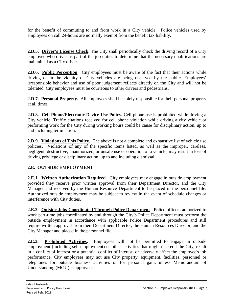<span id="page-18-0"></span>for the benefit of commuting to and from work in a City vehicle. Police vehicles used by employees on call 24-hours are normally exempt from the benefit tax liability.

**2.D.5. Driver's License Check**. The City shall periodically check the driving record of a City employee who drives as part of the job duties to determine that the necessary qualifications are maintained as a City driver.

**2.D.6. Public Perception**. City employees must be aware of the fact that their actions while driving or in the vicinity of City vehicles are being observed by the public. Employees' irresponsible behavior and use of poor judgement reflects directly on the City and will not be tolerated. City employees must be courteous to other drivers and pedestrians.

**2.D.7. Personal Property.** All employees shall be solely responsible for their personal property at all times.

**2.D.8. Cell Phone/Electronic Device Use Policy.** Cell phone use is prohibited while driving a City vehicle. Traffic citations received for cell phone violation while driving a city vehicle or performing work for the City during working hours could be cause for disciplinary action, up to and including termination.

**2.D.9. Violations of This Policy**. The above is not a complete and exhaustive list of vehicle use policies. Violations of any of the specific items listed, as well as the improper, careless, negligent, destructive, unauthorized, or unsafe use or operation of a vehicle, may result in loss of driving privilege or disciplinary action, up to and including dismissal.

# **2.E. OUTSIDE EMPLOYMENT**

**2.E.1. Written Authorization Required.** City employees may engage in outside employment provided they receive prior written approval from their Department Director, and the City Manager and received by the Human Resource Department to be placed in the personnel file. Authorized outside employment may be subject to review in the event of schedule changes or interference with City duties.

**2.E.2. Outside Jobs Coordinated Through Police Department**. Police officers authorized to work part-time jobs coordinated by and through the City's Police Department must perform the outside employment in accordance with applicable Police Department procedures and still require written approval from their Department Director, the Human Resources Director, and the City Manager and placed in the personnel file.

**2.E.3. Prohibited Activities.** Employees will not be permitted to engage in outside employment (including self-employment) or other activities that might discredit the City, result in a conflict of interest or a potential conflict of interest, or adversely affect the employee's job performance. City employees may not use City property, equipment, facilities, personnel or telephones for outside business activities or for personal gain, unless Memorandum of Understanding (MOU) is approved.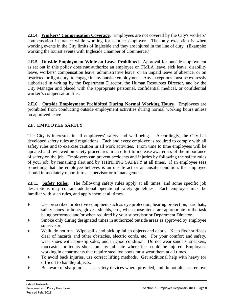<span id="page-19-0"></span>**2.E.4. Workers' Compensation Coverage.** Employees are not covered by the City's workers' compensation insurance while working for another employer. The only exception is when working events in the City limits of Ingleside and they are injured in the line of duty. (Example: working the tourist events with Ingleside Chamber of Commerce.)

**2.E.5. Outside Employment While on Leave Prohibited.** Approval for outside employment as set out in this policy does **not** authorize an employee on FMLA leave, sick leave, disability leave, workers' compensation leave, administrative leave, or an unpaid leave of absence, or on restricted or light duty, to engage in any outside employment. Any exceptions must be expressly authorized in writing by the Department Director, the Human Resources Director, and by the City Manager and placed with the appropriate personnel, confidential medical, or confidential worker's compensation file..

**2.E.6. Outside Employment Prohibited During Normal Working Hours**. Employees are prohibited from conducting outside employment activities during normal working hours unless on approved leave.

# **2.F. EMPLOYEE SAFETY**

The City is interested in all employees' safety and well-being. Accordingly, the City has developed safety rules and regulations. Each and every employee is required to comply with all safety rules and to exercise caution in all work activities. From time to time employees will be updated and reviewed on safety procedures in an effort to increase awareness of the importance of safety on the job. Employees can prevent accidents and injuries by following the safety rules of your job, by remaining alert and by THINKING SAFETY at all times. If an employee sees something that the employee believes is an unsafe act or an unsafe condition, the employee should immediately report it to a supervisor or to management.

**2.F.1. Safety Rules**. The following safety rules apply at all times, and some specific job descriptions may contain additional operational safety guidelines. Each employee must be familiar with such rules, and apply them at all times.

- ♦ Use prescribed protective equipment such as eye protection, hearing protection, hard hats, safety shoes or boots, gloves, shields, etc., when those items are appropriate to the task being performed and/or when required by your supervisor or Department Director.
- Smoke only during designated times in authorized outside areas as approved by employee supervisor.
- Walk, do not run. Wipe spills and pick up fallen objects and debris. Keep floor surfaces clear of hazards and other obstacles, electric cords, etc. For your comfort and safety, wear shoes with non-slip soles, and in good condition. Do not wear sandals, sneakers, moccasins or tennis shoes on any job site where feet could be injured. Employees working in departments that require steel toe boots must wear them at all times.
- ♦ To avoid back injuries, use correct lifting methods. Get additional help with heavy (or difficult to handle) objects.
- Be aware of sharp tools. Use safety devices where provided, and do not alter or remove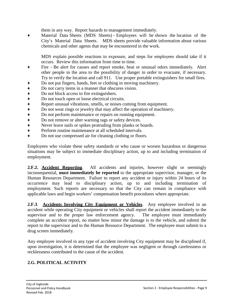them in any way. Report hazards to management immediately.

Material Data Sheets (MDS Sheets) - Employees will be shown the location of the City's Material Data Sheets. MDS sheets provide valuable information about various chemicals and other agents that may be encountered in the work.

MDS explain possible reactions to exposure, and steps for employees should take if it occurs. Review this information from time to time.

- ♦ Fire Be alert for causes and report smoke, heat or unusual odors immediately. Alert other people in the area to the possibility of danger in order to evacuate, if necessary. Try to verify the location and call 911. Use proper portable extinguishers for small fires.
- ♦ Do not put fingers, hands, feet or clothing in moving machinery.
- ♦ Do not carry items in a manner that obscures vision.
- ♦ Do not block access to fire extinguishers.
- 
- ◆ Do not touch open or loose electrical circuits.<br>◆ Report unusual vibrations, smells, or noises co
- <p>★</p>\n<p>Report unusual vibrations, smells, or noises coming from equipment.</p>\n<p>★</p>\n<p>Do not wear rings or jewelry that may affect the operation of machine</p>\n<p>★</p>\n<p>Do not perform maintenance or repairs on running equipment.</p>\n<p>★</p>\n<p>Do not remove or alter warning tags or safety devices.</p>\n<p>Never leave nails or spikes providing from planks or boards.</p> Do not wear rings or jewelry that may affect the operation of machinery.
- Do not perform maintenance or repairs on running equipment.
- Do not remove or alter warning tags or safety devices.
- Never leave nails or spikes protruding from planks or boards.
- ♦ Perform routine maintenance at all scheduled intervals.
- ♦ Do not use compressed air for cleaning clothing or floors.

Employees who violate these safety standards or who cause or worsen hazardous or dangerous situations may be subject to immediate disciplinary action, up to and including termination of employment.

**2.F.2. Accident Reporting**. All accidents and injuries, however slight or seemingly inconsequential, **must immediately be reported** to the appropriate supervisor, manager, or the Human Resources Department. Failure to report any accident or injury within 24 hours of its occurrence may lead to disciplinary action, up to and including termination of employment. Such reports are necessary so that the City can remain in compliance with applicable laws and begin workers' compensation benefit procedures where appropriate.

**2.F.3**. **Accidents Involving City Equipment or Vehicles**. Any employee involved in an accident while operating City equipment or vehicles shall report the accident immediately to the supervisor and to the proper law enforcement agency. The employee must immediately complete an accident report, no matter how minor the damage is to the vehicle, and submit the report to the supervisor and to the Human Resource Department. The employee must submit to a drug screen immediately.

Any employee involved in any type of accident involving City equipment may be disciplined if, upon investigation, it is determined that the employee was negligent or through carelessness or recklessness contributed to the cause of the accident.

# **2.G. POLITICAL ACTIVITY**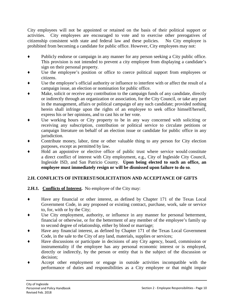<span id="page-21-0"></span>City employees will not be appointed or retained on the basis of their political support or activities. City employees are encouraged to vote and to exercise other prerogatives of citizenship consistent with state and federal law and these policies. No City employee is prohibited from becoming a candidate for public office. However, City employees may not:

- Publicly endorse or campaign in any manner for any person seeking a City public office. This provision is not intended to prevent a city employee from displaying a candidate's sign on their personal property.
- ♦ Use the employee's position or office to coerce political support from employees or citizens.
- Use the employee's official authority or influence to interfere with or affect the result of a campaign issue, an election or nomination for public office.
- Make, solicit or receive any contribution to the campaign funds of any candidate, directly or indirectly through an organization or association, for the City Council, or take any part in the management, affairs or political campaign of any such candidate; provided nothing herein shall infringe upon the rights of an employee to seek office himself/herself, express his or her opinions, and to cast his or her vote.
- ♦ Use working hours or City property to be in any way concerned with soliciting or receiving any subscription, contribution or political service to circulate petitions or campaign literature on behalf of an election issue or candidate for public office in any jurisdiction.
- ♦ Contribute money, labor, time or other valuable thing to any person for City election purposes, except as permitted by law.
- Hold an appointive or elective office of public trust where service would constitute a direct conflict of interest with City employment, e.g., City of Ingleside City Council, Ingleside ISD, and San Patricio County. **Upon being elected to such an office, an employee must immediately resign or will be dismissed upon failure to do so**.

# **2.H. CONFLICTS OF INTEREST/SOLICITATION AND ACCEPTANCE OF GIFTS**

# **2.H.1. Conflicts of Interest.** No employee of the City may:

- Have any financial or other interest, as defined by Chapter 171 of the Texas Local Government Code, in any proposed or existing contract, purchase, work, sale or service to, for, with or by the City;
- Use City employment, authority, or influence in any manner for personal betterment, financial or otherwise, or for the betterment of any member of the employee's family up to second degree of relationship, either by blood or marriage;
- Have any financial interest, as defined by Chapter 171 of the Texas Local Government Code, in the sale to the City of any land, materials, supplies or services;
- Have discussions or participate in decisions of any City agency, board, commission or instrumentality if the employee has any personal economic interest or is employed, directly or indirectly, by the person or entity that is the subject of the discussion or decision;
- Accept other employment or engage in outside activities incompatible with the performance of duties and responsibilities as a City employee or that might impair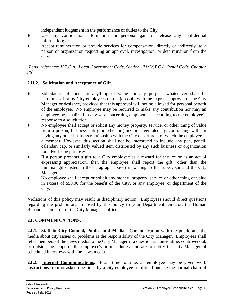independent judgement in the performance of duties to the City;

- <span id="page-22-0"></span>♦ Use any confidential information for personal gain or release any confidential information; or
- Accept remuneration or provide services for compensation, directly or indirectly, to a person or organization requesting an approval, investigation, or determination from the City.

*(Legal reference: V.T.C.A., Local Government Code, Section 171; V.T.C.A. Penal Code, Chapter 36).*

#### **2.H.2. Solicitation and Acceptance of Gift**.

- Solicitation of funds or anything of value for any purpose whatsoever shall be permitted of or by City employees on the job only with the express approval of the City Manager or designee, provided that this approval will not be allowed for personal benefit of the employee. No employee may be required to make any contribution nor may an employee be penalized in any way concerning employment according to the employee's response to a solicitation.
- ♦ No employee shall accept or solicit any money property, service, or other thing of value from a person, business entity or other organization regulated by, contracting with, or having any other business relationship with the City department of which the employee is a member. However, this section shall not be interpreted to include any pen, pencil, calendar, cap, or similarly valued item distributed by any such business or organization for advertising purposes.
- If a person presents a gift to a City employee as a reward for service or as an act of expressing appreciation, then the employee shall report the gift (other than the minimal gifts listed in the paragraph above) in writing to the supervisor and the City Manager.
- No employee shall accept or solicit any money, property, service or other thing of value in excess of \$50.00 for the benefit of the City, or any employee, or department of the City.

Violations of this policy may result in disciplinary action. Employees should direct questions regarding the prohibitions imposed by this policy to your Department Director, the Human Resources Director, or the City Manager's office.

# **2.I. COMMUNICATIONS.**

**2.I.1. Staff to City Council, Public, and Media**. Communication with the public and the media about city issues or problems is the responsibility of the City Manager. Employees shall refer members of the news media to the City Manager if a question is non-routine, controversial, or outside the scope of the employee's normal duties, and are to notify the City Manager of scheduled interviews with the news media.

**2.I.2. Internal Communications.** From time to time, an employee may be given work instructions from or asked questions by a city employee or official outside the normal chain of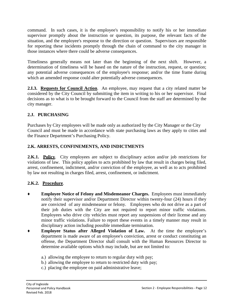<span id="page-23-0"></span>command. In such cases, it is the employee's responsibility to notify his or her immediate supervisor promptly about the instruction or question, its purpose, the relevant facts of the situation, and the employee's response to the direction or question. Supervisors are responsible for reporting these incidents promptly through the chain of command to the city manager in those instances where there could be adverse consequences.

Timeliness generally means not later than the beginning of the next shift. However, a determination of timeliness will be based on the nature of the instruction, request, or question; any potential adverse consequences of the employee's response; and/or the time frame during which an amended response could alter potentially adverse consequences.

**2.I.3. Requests for Council Action**. An employee, may request that a city related matter be considered by the City Council by submitting the item in writing to his or her supervisor. Final decisions as to what is to be brought forward to the Council from the staff are determined by the city manager.

# **2.J. PURCHASING**

Purchases by City employees will be made only as authorized by the City Manager or the City Council and must be made in accordance with state purchasing laws as they apply to cities and the Finance Department's Purchasing Policy.

# **2.K. ARRESTS, CONFINEMENTS, AND INDICTMENTS**

**2.K.1.** Policy. City employees are subject to disciplinary action and/or job restrictions for violations of law. This policy applies to acts prohibited by law that result in charges being filed, arrest, confinement, indictment, and/or conviction of the employee, as well as to acts prohibited by law not resulting in charges filed, arrest, confinement, or indictment.

# **2.K.2. Procedure**.

- **Employee Notice of Felony and Misdemeanor Charges.** Employees must immediately notify their supervisor and/or Department Director within twenty-four (24) hours if they are convicted of any misdemeanor or felony. Employees who do not drive as a part of their job duties with the City are not required to report minor traffic violations. Employees who drive city vehicles must report any suspensions of their license and any minor traffic violations. Failure to report these events in a timely manner may result in disciplinary action including possible immediate termination.
- **Employee Status after Alleged Violation of Law.** At the time the employee's department is made aware of an employee's conviction, arrest or conduct constituting an offense, the Department Director shall consult with the Human Resources Director to determine available options which may include, but are not limited to:
	- a.) allowing the employee to return to regular duty with pay;
	- b.) allowing the employee to return to restricted duty with pay;
	- c.) placing the employee on paid administrative leave;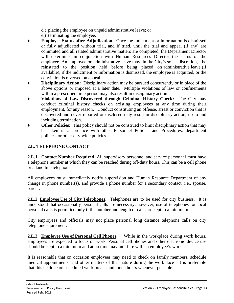- d.) placing the employee on unpaid administrative leave; or
- e.) terminating the employee.
- <span id="page-24-0"></span>**Employee Status after Adjudication.** Once the indictment or information is dismissed or fully adjudicated without trial, and if tried, until the trial and appeal (if any) are commuted and all related administrative matters are completed, the Department Director will determine, in conjunction with Human Resources Director the status of the employee. An employee on administrative leave may, in the City's sole discretion, be reinstated to the position held before being placed on administrative leave (if available), if the indictment or information is dismissed, the employee is acquitted, or the conviction is reversed on appeal.
- ♦ **Disciplinary Action:** Disciplinary action may be pursued concurrently or in place of the above options or imposed at a later date. Multiple violations of law or confinements within a prescribed time period may also result in disciplinary action.
- ♦ **Violations of Law Discovered through Criminal History Check:** The City may conduct criminal history checks on existing employees at any time during their employment, for any reason. Conduct constituting an offense, arrest or conviction that is discovered and never reported or disclosed may result in disciplinary action, up to and including termination.
- **Other Policies:** This policy should not be construed to limit disciplinary action that may be taken in accordance with other Personnel Policies and Procedures, department policies, or other city-wide policies.

# **2.L. TELEPHONE CONTACT**

**2.L.1. Contact Number Required**. All supervisory personnel and service personnel must have a telephone number at which they can be reached during off-duty hours. This can be a cell phone or a land line telephone.

All employees must immediately notify supervision and Human Resource Department of any change in phone number(s), and provide a phone number for a secondary contact, i.e., spouse, parent.

**2.L.2. Employee Use of City Telephones**. Telephones are to be used for city business. It is understood that occasionally personal calls are necessary; however, use of telephones for local personal calls is permitted only if the number and length of calls are kept to a minimum.

City employees and officials may not place personal long distance telephone calls on city telephone equipment.

**2.L.3. Employee Use of Personal Cell Phones**. While in the workplace during work hours, employees are expected to focus on work. Personal cell phones and other electronic device use should be kept to a minimum and at no time may interfere with an employee's work.

It is reasonable that on occasion employees may need to check on family members, schedule medical appointments, and other matters of that nature during the workplace—it is preferable that this be done on scheduled work breaks and lunch hours whenever possible.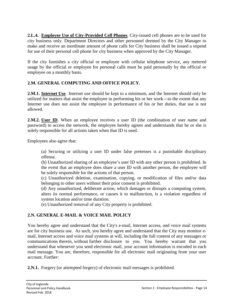<span id="page-25-0"></span>**2.L.4. Employee Use of City-Provided Cell Phones**. City-issued cell phones are to be used for city business only. Department Directors and other personnel deemed by the City Manager to make and receive an inordinate amount of phone calls for City business shall be issued a stipend for use of their personal cell phone for city business when approved by the City Manager.

If the city furnishes a city official or employee with cellular telephone service, any metered usage by the official or employee for personal calls must be paid personally by the official or employee on a monthly basis.

# **2.M. GENERAL COMPUTING AND OFFICE POLICY.**

**2.M.1. Internet Use**. Internet use should be kept to a minimum, and the Internet should only be utilized for matters that assist the employee in performing his or her work—to the extent that any Internet use does not assist the employee in performance of his or her duties, that use is not allowed.

**2.M.2. User ID.** When an employee receives a user ID (the combination of user name and password) to access the network, the employee hereby agrees and understands that he or she is solely responsible for all actions taken when that ID is used.

Employees also agree that:

(a) Securing or utilizing a user ID under false pretenses is a punishable disciplinary offense.

(b) Unauthorized sharing of an employee's user ID with any other person is prohibited. In the event that an employee does share a user ID with another person, the employee will be solely responsible for the actions of that person.

(c) Unauthorized deletion, examination, copying, or modification of files and/or data belonging to other users without their prior consent is prohibited.

(d) Any unauthorized, deliberate action, which damages or disrupts a computing system, alters its normal performance, or causes it to malfunction, is a violation regardless of system location and/or time duration.

(e) Unauthorized removal of any City property is prohibited.

# **2.N. GENERAL E-MAIL & VOICE MAIL POLICY**

You hereby agree and understand that the City's e-mail, Internet access, and voice mail systems are for city business use. As such, you hereby agree and understand that the City may monitor email, Internet access and voice mail systems at will, including the full content of any messages or communications therein, without further disclosure to you. You hereby warrant that you understand that whenever you send electronic mail, your account information is encoded in each mail message. You are, therefore, responsible for all electronic mail originating from your user account. Further:

**2.N.1.** Forgery (or attempted forgery) of electronic mail messages is prohibited.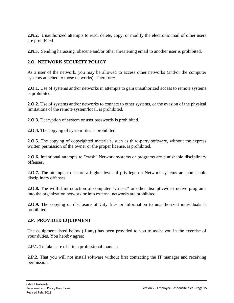<span id="page-26-0"></span>**2.N.2.** Unauthorized attempts to read, delete, copy, or modify the electronic mail of other users are prohibited.

**2.N.3.** Sending harassing, obscene and/or other threatening email to another user is prohibited.

# **2.O. NETWORK SECURITY POLICY**

As a user of the network, you may be allowed to access other networks (and/or the computer systems attached to those networks). Therefore:

**2.O.1.** Use of systems and/or networks in attempts to gain unauthorized access to remote systems is prohibited.

**2.O.2.** Use of systems and/or networks to connect to other systems, or the evasion of the physical limitations of the remote system/local, is prohibited.

**2.O.3.** Decryption of system or user passwords is prohibited.

**2.O.4.** The copying of system files is prohibited.

**2.O.5.** The copying of copyrighted materials, such as third-party software, without the express written permission of the owner or the proper license, is prohibited.

**2.O.6.** Intentional attempts to "crash" Network systems or programs are punishable disciplinary offenses.

**2.O.7.** The attempts to secure a higher level of privilege on Network systems are punishable disciplinary offenses.

**2.O.8.** The willful introduction of computer "viruses" or other disruptive/destructive programs into the organization network or into external networks are prohibited.

**2.O.9.** The copying or disclosure of City files or information to unauthorized individuals is prohibited.

#### **2.P. PROVIDED EQUIPMENT**

The equipment listed below (if any) has been provided to you to assist you in the exercise of your duties. You hereby agree:

**2.P.1.** To take care of it in a professional manner.

**2.P.2.** That you will not install software without first contacting the IT manager and receiving permission.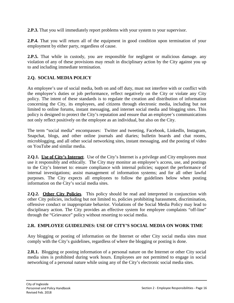<span id="page-27-0"></span>**2.P.3.** That you will immediately report problems with your system to your supervisor.

**2.P.4.** That you will return all of the equipment in good condition upon termination of your employment by either party, regardless of cause.

**2.P.5.** That while in custody, you are responsible for negligent or malicious damage. any violation of any of these provisions may result in disciplinary action by the City against you up to and including immediate termination.

## **2.Q. SOCIAL MEDIA POLICY**

An employee's use of social media, both on and off duty, must not interfere with or conflict with the employee's duties or job performance, reflect negatively on the City or violate any City policy. The intent of these standards is to regulate the creation and distribution of information concerning the City, its employees, and citizens through electronic media, including but not limited to online forums, instant messaging, and internet social media and blogging sites. This policy is designed to protect the City's reputation and ensure that an employee's communications not only reflect positively on the employee as an individual, but also on the City.

The term "social media" encompasses: Twitter and tweeting, Facebook, LinkedIn, Instagram, Snapchat, blogs, and other online journals and diaries; bulletin boards and chat rooms, microblogging, and all other social networking sites, instant messaging, and the posting of video on YouTube and similar media.

**2.Q.1. Use of City's Internet**. Use of the City's Internet is a privilege and City employees must use it responsibly and ethically. The City may monitor an employee's access, use, and postings to the City's Internet to: ensure compliance with internal policies; support the performance of internal investigations; assist management of information systems; and for all other lawful purposes. The City expects all employees to follow the guidelines below when posting information on the City's social media sites.

**2.Q.2. Other City Policies**. This policy should be read and interpreted in conjunction with other City policies, including but not limited to, policies prohibiting harassment, discrimination, offensive conduct or inappropriate behavior. Violations of the Social Media Policy may lead to disciplinary action. The City provides an effective system for employee complaints "off-line" through the "Grievance" policy without resorting to social media.

#### **2.R. EMPLOYEE GUIDELINES: USE OF CITY'S SOCIAL MEDIA ON WORK TIME**

Any blogging or posting of information on the Internet or other City social media sites must comply with the City's guidelines, regardless of where the blogging or posting is done.

**2.R.1.** Blogging or posting information of a personal nature on the Internet or other City social media sites is prohibited during work hours. Employees are not permitted to engage in social networking of a personal nature while using any of the City's electronic social media sites.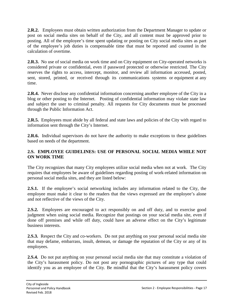<span id="page-28-0"></span>**2.R.2.** Employees must obtain written authorization from the Department Manager to update or post on social media sites on behalf of the City, and all content must be approved prior to posting. All of the employee's time spent updating or posting on City social media sites as part of the employee's job duties is compensable time that must be reported and counted in the calculation of overtime.

**2.R.3.** No use of social media on work time and on City equipment on City-operated networks is considered private or confidential, even if password protected or otherwise restricted. The City reserves the rights to access, intercept, monitor, and review all information accessed, posted, sent, stored, printed, or received through its communications systems or equipment at any time.

**2.R.4.** Never disclose any confidential information concerning another employee of the City in a blog or other posting to the Internet. Posting of confidential information may violate state law and subject the user to criminal penalty. All requests for City documents must be processed through the Public Information Act.

**2.R.5.** Employees must abide by all federal and state laws and policies of the City with regard to information sent through the City's Internet.

**2.R.6.** Individual supervisors do not have the authority to make exceptions to these guidelines based on needs of the department.

#### **2.S. EMPLOYEE GUIDELINES: USE OF PERSONAL SOCIAL MEDIA WHILE NOT ON WORK TIME**

The City recognizes that many City employees utilize social media when not at work. The City requires that employees be aware of guidelines regarding posting of work-related information on personal social media sites, and they are listed below:

**2.S.1.** If the employee's social networking includes any information related to the City, the employee must make it clear to the readers that the views expressed are the employee's alone and not reflective of the views of the City.

**2.S.2.** Employees are encouraged to act responsibly on and off duty, and to exercise good judgment when using social media. Recognize that postings on your social media site, even if done off premises and while off duty, could have an adverse effect on the City's legitimate business interests.

**2.S.3.** Respect the City and co-workers. Do not put anything on your personal social media site that may defame, embarrass, insult, demean, or damage the reputation of the City or any of its employees.

**2.S.4.** Do not put anything on your personal social media site that may constitute a violation of the City's harassment policy. Do not post any pornographic pictures of any type that could identify you as an employee of the City. Be mindful that the City's harassment policy covers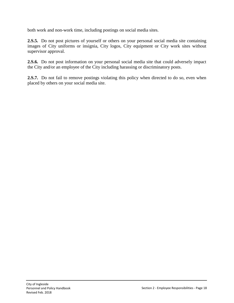both work and non-work time, including postings on social media sites.

**2.S.5.** Do not post pictures of yourself or others on your personal social media site containing images of City uniforms or insignia, City logos, City equipment or City work sites without supervisor approval.

**2.S.6.** Do not post information on your personal social media site that could adversely impact the City and/or an employee of the City including harassing or discriminatory posts.

**2.S.7.** Do not fail to remove postings violating this policy when directed to do so, even when placed by others on your social media site.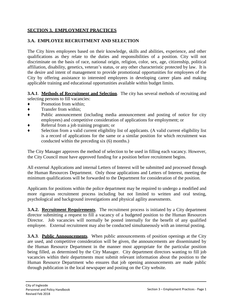#### <span id="page-30-0"></span>**SECTION 3. EMPLOYMENT PRACTICES**

#### **3.A. EMPLOYEE RECRUITMENT AND SELECTION**

The City hires employees based on their knowledge, skills and abilities, experience, and other qualifications as they relate to the duties and responsibilities of a position. City will not discriminate on the basis of race, national origin, religion, color, sex, age, citizenship, political affiliation, disability, genetics, veteran's status, or any other characteristic protected by law. It is the desire and intent of management to provide promotional opportunities for employees of the City by offering assistance to interested employees in developing career plans and making applicable training and educational opportunities available within budget limits.

**3.A.1**. **Methods of Recruitment and Selection**. The city has several methods of recruiting and selecting persons to fill vacancies:

- ♦ Promotion from within;
- ♦ Transfer from within;
- ♦ Public announcement (including media announcement and posting of notice for city employees) and competitive consideration of applications for employment; or
- Referral from a job training program; or
- Selection from a valid current eligibility list of applicants. (A valid current eligibility list is a record of applications for the same or a similar position for which recruitment was conducted within the preceding six (6) months.)

The City Manager approves the method of selection to be used in filling each vacancy. However, the City Council must have approved funding for a position before recruitment begins.

All external Applications and internal Letters of Interest will be submitted and processed through the Human Resources Department. Only those applications and Letters of Interest, meeting the minimum qualifications will be forwarded to the Department for consideration of the position.

Applicants for positions within the police department may be required to undergo a modified and more rigorous recruitment process including but not limited to written and oral testing, psychological and background investigations and physical agility assessments.

**3.A.2. Recruitment Requirements**. The recruitment process is initiated by a City department director submitting a request to fill a vacancy of a budgeted position to the Human Resources Director. Job vacancies will normally be posted internally for the benefit of any qualified employee. External recruitment may also be conducted simultaneously with an internal posting.

**3.A.3**. **Public Announcements**. When public announcements of position openings at the City are used, and competitive consideration will be given, the announcements are disseminated by the Human Resource Department in the manner most appropriate for the particular position being filled, as determined by the City Manager. City department directors wanting to fill job vacancies within their departments must submit relevant information about the position to the Human Resource Department who ensures that job opening announcements are made public through publication in the local newspaper and posting on the City website.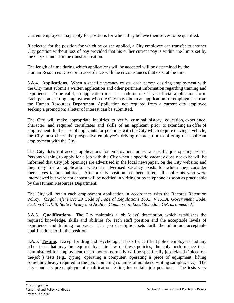Current employees may apply for positions for which they believe themselves to be qualified.

If selected for the position for which he or she applied, a City employee can transfer to another City position without loss of pay provided that his or her current pay is within the limits set by the City Council for the transfer position.

The length of time during which applications will be accepted will be determined by the Human Resources Director in accordance with the circumstances that exist at the time.

**3.A.4. Applications**. When a specific vacancy exists, each person desiring employment with the City must submit a written application and other pertinent information regarding training and experience. To be valid, an application must be made on the City's official application form. Each person desiring employment with the City may obtain an application for employment from the Human Resources Department. Application not required from a current city employee seeking a promotion; a letter of interest can be submitted.

The City will make appropriate inquiries to verify criminal history, education, experience, character, and required certificates and skills of an applicant prior to extending an offer of employment. In the case of applicants for positions with the City which require driving a vehicle, the City must check the prospective employee's driving record prior to offering the applicant employment with the City.

The City does not accept applications for employment unless a specific job opening exists. Persons wishing to apply for a job with the City when a specific vacancy does not exist will be informed that City job openings are advertised in the local newspaper, on the City website; and they may file an application when an advertised vacancy exists for which they consider themselves to be qualified. After a City position has been filled, all applicants who were interviewed but were not chosen will be notified in writing or by telephone as soon as practicable by the Human Resources Department.

The City will retain each employment application in accordance with the Records Retention Policy. *(Legal reference: 29 Code of Federal Regulations 1602; V.T.C.A. Government Code, Section 441.158; State Library and Archive Commission Local Schedule GR, as amended.)*

**3.A.5. Qualifications**. The City maintains a job (class) description, which establishes the required knowledge, skills and abilities for each staff position and the acceptable levels of experience and training for each. The job description sets forth the minimum acceptable qualifications to fill the position.

**3.A.6. Testing**. Except for drug and psychological tests for certified police employees and any other tests that may be required by state law or these policies, the only performance tests administered for employment or promotion normally will be specifically job-related ("piece-ofthe-job") tests (e.g., typing, operating a computer, operating a piece of equipment, lifting something heavy required in the job, tabulating columns of numbers, writing samples, etc.). The city conducts pre-employment qualification testing for certain job positions. The tests vary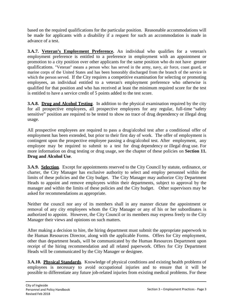based on the required qualifications for the particular position. Reasonable accommodations will be made for applicants with a disability if a request for such an accommodation is made in advance of a test.

**3.A.7. Veteran's Employment Preference.** An individual who qualifies for a veteran's employment preference is entitled to a preference in employment with an appointment or promotion to a city position over other applicants for the same position who do not have greater qualifications. "Veteran" means a person who: has served in the army, navy, air force, coast guard, or marine corps of the United States and has been honorably discharged from the branch of the service in which the person served. If the City requires a competitive examination for selecting or promoting employees, an individual entitled to a veteran's employment preference who otherwise is qualified for that position and who has received at least the minimum required score for the test is entitled to have a service credit of 5 points added to the test score.

**3.A.8. Drug and Alcohol Testing**. In addition to the physical examination required by the city for all prospective employees, all prospective employees for any regular, full-time "safety sensitive" position are required to be tested to show no trace of drug dependency or illegal drug usage.

All prospective employees are required to pass a drug/alcohol test after a conditional offer of employment has been extended, but prior to their first day of work. The offer of employment is contingent upon the prospective employee passing a drug/alcohol test. After employment, any employee may be required to submit to a test for drug dependency or illegal drug use. For more information on drug testing or drug usage, see the chapter of these policies on **Section 11. Drug and Alcohol Use**.

**3.A.9. Selection.** Except for appointments reserved to the City Council by statute, ordinance, or charter, the City Manager has exclusive authority to select and employ personnel within the limits of these policies and the City budget. The City Manager may authorize City Department Heads to appoint and remove employees within their departments, subject to approval by the manager and within the limits of these policies and the City budget. Other supervisors may be asked for recommendations as appropriate.

Neither the council nor any of its members shall in any manner dictate the appointment or removal of any city employees whom the City Manager or any of his or her subordinates is authorized to appoint. However, the City Council or its members may express freely to the City Manager their views and opinions on such matters.

After making a decision to hire, the hiring department must submit the appropriate paperwork to the Human Resources Director, along with the applicable Forms. Offers for City employment, other than department heads, will be communicated by the Human Resources Department upon receipt of the hiring recommendation and all related paperwork. Offers for City Department Heads will be communicated by the City Manager or designee.

**3.A.10. Physical Standards**. Knowledge of physical conditions and existing health problems of employees is necessary to avoid occupational injuries and to ensure that it will be possible to differentiate any future job-related injuries from existing medical problems. For these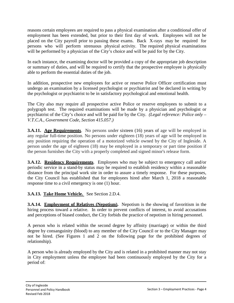reasons certain employees are required to pass a physical examination after a conditional offer of employment has been extended, but prior to their first day of work. Employees will not be placed on the City payroll prior to passing these exams. Back X-rays may be required for persons who will perform strenuous physical activity. The required physical examinations will be performed by a physician of the City's choice and will be paid for by the City.

In each instance, the examining doctor will be provided a copy of the appropriate job description or summary of duties, and will be required to certify that the prospective employee is physically able to perform the essential duties of the job.

In addition, prospective new employees for active or reserve Police Officer certification must undergo an examination by a licensed psychologist or psychiatrist and be declared in writing by the psychologist or psychiatrist to be in satisfactory psychological and emotional health.

The City also may require all prospective active Police or reserve employees to submit to a polygraph test. The required examinations will be made by a physician and psychologist or psychiatrist of the City's choice and will be paid for by the City. *(Legal reference: Police only – V.T.C.A., Government Code, Section 415.057.)*

**3.A.11.** Age Requirements. No persons under sixteen (16) years of age will be employed in any regular full-time position. No persons under eighteen (18) years of age will be employed in any position requiring the operation of a motorized vehicle owned by the City of Ingleside. A person under the age of eighteen (18) may be employed in a temporary or part time position if the person furnishes the City with a properly completed and signed minor's release form.

**3.A.12. Residency Requirements**. Employees who may be subject to emergency call and/or periodic service in a stand-by status may be required to establish residency within a reasonable distance from the principal work site in order to assure a timely response. For these purposes, the City Council has established that for employees hired after March 1, 2018 a reasonable response time to a civil emergency is one (1) hour.

#### **3.A.13. Take Home Vehicle.** See Section 2.D.4.

**3.A.14. Employment of Relatives (Nepotism).** Nepotism is the showing of favoritism in the hiring process toward a relative. In order to prevent conflicts of interest, to avoid accusations and perceptions of biased conduct, the City forbids the practice of nepotism in hiring personnel.

A person who is related within the second degree by affinity (marriage) or within the third degree by consanguinity (blood) to any member of the City Council or to the City Manager may not be hired. (See Figures 1 and 2 on the following page for the prohibited degrees of relationship).

A person who is already employed by the City and is related in a prohibited manner may not stay in City employment unless the employee had been continuously employed by the City for a period of: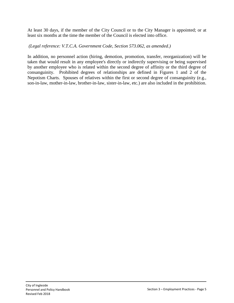At least 30 days, if the member of the City Council or to the City Manager is appointed; or at least six months at the time the member of the Council is elected into office.

*(Legal reference: V.T.C.A. Government Code, Section 573.062, as amended.)*

In addition, no personnel action (hiring, demotion, promotion, transfer, reorganization) will be taken that would result in any employee's directly or indirectly supervising or being supervised by another employee who is related within the second degree of affinity or the third degree of consanguinity. Prohibited degrees of relationships are defined in Figures 1 and 2 of the Nepotism Charts. Spouses of relatives within the first or second degree of consanguinity (e.g., son-in-law, mother-in-law, brother-in-law, sister-in-law, etc.) are also included in the prohibition.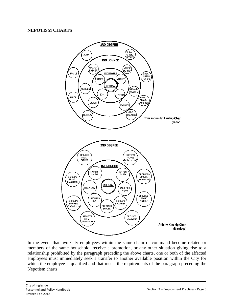#### **NEPOTISM CHARTS**



In the event that two City employees within the same chain of command become related or members of the same household, receive a promotion, or any other situation giving rise to a relationship prohibited by the paragraph preceding the above charts, one or both of the affected employees must immediately seek a transfer to another available position within the City for which the employee is qualified and that meets the requirements of the paragraph preceding the Nepotism charts.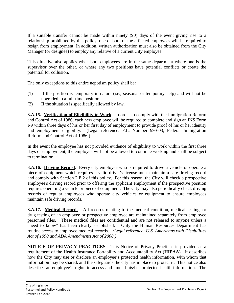If a suitable transfer cannot be made within ninety (90) days of the event giving rise to a relationship prohibited by this policy, one or both of the affected employees will be required to resign from employment. In addition, written authorization must also be obtained from the City Manager (or designee) to employ any relative of a current City employee.

This directive also applies when both employees are in the same department where one is the supervisor over the other, or where any two positions have potential conflicts or create the potential for collusion.

The only exceptions to this entire nepotism policy shall be:

- (1) If the position is temporary in nature (i.e., seasonal or temporary help) and will not be upgraded to a full-time position.
- (2) If the situation is specifically allowed by law.

**3.A.15. Verification of Eligibility to Work**. In order to comply with the Immigration Reform and Control Act of 1986, each new employee will be required to complete and sign an INS Form I-9 within three days of his or her first day of employment to provide proof of his or her identity and employment eligibility. (Legal reference: P.L. Number 99-603; Federal Immigration Reform and Control Act of 1986.)

In the event the employee has not provided evidence of eligibility to work within the first three days of employment, the employee will not be allowed to continue working and shall be subject to termination.

**3.A.16. Driving Record.** Every city employee who is required to drive a vehicle or operate a piece of equipment which requires a valid driver's license must maintain a safe driving record and comply with Section 2.E.2 of this policy. For this reason, the City will check a prospective employee's driving record prior to offering the applicant employment if the prospective position requires operating a vehicle or piece of equipment. The City may also periodically check driving records of regular employees who operate city vehicles or equipment to ensure employees maintain safe driving records.

**3.A.17. Medical Records**. All records relating to the medical condition, medical testing, or drug testing of an employee or prospective employee are maintained separately from employee personnel files. These medical files are confidential and are not released to anyone unless a "need to know" has been clearly established. Only the Human Resources Department has routine access to employee medical records. *(Legal reference: U.S. Americans with Disabilities Act of 1990 and ADA Amendments Act of 2008.)*

**NOTICE OF PRIVACY PRACTICES**. This Notice of Privacy Practices is provided as a requirement of the Health Insurance Portability and Accountability Act (**HIPAA**). It describes how the City may use or disclose an employee's protected health information, with whom that information may be shared, and the safeguards the city has in place to protect it. This notice also describes an employee's rights to access and amend his/her protected health information. The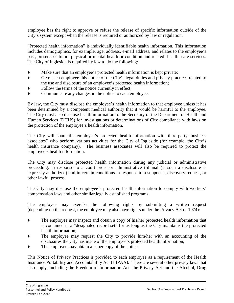employee has the right to approve or refuse the release of specific information outside of the City's system except when the release is required or authorized by law or regulation.

"Protected health information" is individually identifiable health information. This information includes demographics, for example, age, address, e-mail address, and relates to the employee's past, present, or future physical or mental health or condition and related health care services. The City of Ingleside is required by law to do the following:

- ♦ Make sure that an employee's protected health information is kept private;
- ♦ Give each employee this notice of the City's legal duties and privacy practices related to the use and disclosure of an employee's protected health information;
- Follow the terms of the notice currently in effect;
- ♦ Communicate any changes in the notice to each employee.

By law, the City must disclose the employee's health information to that employee unless it has been determined by a competent medical authority that it would be harmful to the employee. The City must also disclose health information to the Secretary of the Department of Health and Human Services (DHHS) for investigations or determinations of City compliance with laws on the protection of the employee's health information.

The City will share the employee's protected health information with third-party "business associates" who perform various activities for the City of Ingleside (for example, the City's health insurance company). The business associates will also be required to protect the employee's health information.

The City may disclose protected health information during any judicial or administrative proceeding, in response to a court order or administrative tribunal (if such a disclosure is expressly authorized) and in certain conditions in response to a subpoena, discovery request, or other lawful process.

The City may disclose the employee's protected health information to comply with workers' compensation laws and other similar legally established programs.

The employee may exercise the following rights by submitting a written request (depending on the request, the employee may also have rights under the Privacy Act of 1974):

- ♦ The employee may inspect and obtain a copy of his/her protected health information that is contained in a "designated record set" for as long as the City maintains the protected health information;
- The employee may request the City to provide him/her with an accounting of the disclosures the City has made of the employee's protected health information;
- The employee may obtain a paper copy of the notice.

This Notice of Privacy Practices is provided to each employee as a requirement of the Health Insurance Portability and Accountability Act (HIPAA). There are several other privacy laws that also apply, including the Freedom of Information Act, the Privacy Act and the Alcohol, Drug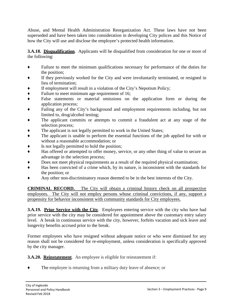Abuse, and Mental Health Administration Reorganization Act. These laws have not been superseded and have been taken into consideration in developing City polices and this Notice of how the City will use and disclose the employee's protected health information.

**3.A.18. Disqualification**. Applicants will be disqualified from consideration for one or more of the following:

- ♦ Failure to meet the minimum qualifications necessary for performance of the duties for the position;
- If they previously worked for the City and were involuntarily terminated, or resigned in lieu of termination;
- If employment will result in a violation of the City's Nepotism Policy;
- Failure to meet minimum age requirement of 16;
- False statements or material omissions on the application form or during the application process;
- Failing any of the City's background and employment requirements including, but not limited to, drug/alcohol testing;
- The applicant commits or attempts to commit a fraudulent act at any stage of the selection process;
- The applicant is not legally permitted to work in the United States;
- The applicant is unable to perform the essential functions of the job applied for with or without a reasonable accommodation; or
- Is not legally permitted to hold the position;
- ♦ Has offered or attempted to offer money, service, or any other thing of value to secure an advantage in the selection process;
- Does not meet physical requirements as a result of the required physical examination;
- Has been convicted of a crime which, by its nature, is inconsistent with the standards for the position; or
- Any other non-discriminatory reason deemed to be in the best interests of the City.

**CRIMINAL RECORD.** The City will obtain a criminal history check on all prospective employees. The City will not employ persons whose criminal convictions, if any, support a propensity for behavior inconsistent with community standards for City employees.

**3.A.19. Prior Service with the City.** Employees entering service with the city who have had prior service with the city may be considered for appointment above the customary entry salary level. A break in continuous service with the city, however, forfeits vacation and sick leave and longevity benefits accrued prior to the break.

Former employees who have resigned without adequate notice or who were dismissed for any reason shall not be considered for re-employment, unless consideration is specifically approved by the city manager.

**3.A.20. Reinstatement**. An employee is eligible for reinstatement if:

The employee is returning from a military duty leave of absence; or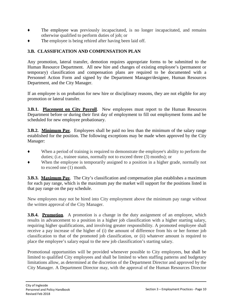- The employee was previously incapacitated, is no longer incapacitated, and remains otherwise qualified to perform duties of job; or
- The employee is being rehired after having been laid off.

# **3.B. CLASSIFICATION AND COMPENSATION PLAN**

Any promotion, lateral transfer, demotion requires appropriate forms to be submitted to the Human Resource Department. All new hire and changes of existing employee's (permanent or temporary) classification and compensation plans are required to be documented with a Personnel Action Form and signed by the Department Manager/designee, Human Resources Department, and the City Manager.

If an employee is on probation for new hire or disciplinary reasons, they are not eligible for any promotion or lateral transfer.

**3.B.1. Placement on City Payroll.** New employees must report to the Human Resources Department before or during their first day of employment to fill out employment forms and be scheduled for new employee probationary.

**3.B.2. Minimum Pay.** Employees shall be paid no less than the minimum of the salary range established for the position. The following exceptions may be made when approved by the City Manager:

- ♦ When a period of training is required to demonstrate the employee's ability to perform the duties; (i.e., trainee status, normally not to exceed three (3) months); or
- ♦ When the employee is temporarily assigned to a position in a higher grade, normally not to exceed one (1) month.

**3.B.3. Maximum Pay**. The City's classification and compensation plan establishes a maximum for each pay range, which is the maximum pay the market will support for the positions listed in that pay range on the pay schedule.

New employees may not be hired into City employment above the minimum pay range without the written approval of the City Manager.

**3.B.4. Promotion.** A promotion is a change in the duty assignment of an employee, which results in advancement to a position in a higher job classification with a higher starting salary, requiring higher qualifications, and involving greater responsibility. A promoted employee shall receive a pay increase of the higher of (i) the amount of difference from his or her former job classification to that of the promoted job classification, or (ii) whatever amount is required to place the employee's salary equal to the new job classification's starting salary.

Promotional opportunities will be provided whenever possible to City employees, but shall be limited to qualified City employees and shall be limited to when staffing patterns and budgetary limitations allow, as determined at the discretion of the Department Director and approved by the City Manager. A Department Director may, with the approval of the Human Resources Director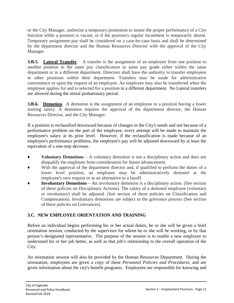or the City Manager, authorize a temporary promotion to insure the proper performance of a City function while a position is vacant, or if the position's regular incumbent is temporarily absent. Temporary assignment pay shall be considered on a case-by-case basis and shall be determined by the department director and the Human Resources Director with the approval of the City Manager.

**3.B.5.** Lateral Transfer. A transfer is the assignment of an employee from one position to another position in the same pay classification or same pay grade either within the same department or in a different department. Directors shall have the authority to transfer employees to other positions within their department. Transfers may be made for administrative convenience or upon the request of an employee. An employee may also be transferred when the employee applies for and is selected for a position in a different department. No Lateral transfers are allowed during the initial probationary period.

**3.B.6.** Demotion. A demotion is the assignment of an employee to a position having a lower starting salary. A demotion requires the approval of the department director, the Human Resources Director, and the City Manager.

If a position is reclassified downward because of changes in the City's needs and not because of a performance problem on the part of the employee, every attempt will be made to maintain the employee's salary at its prior level. However, if the reclassification is made because of an employee's performance problems, the employee's pay will be adjusted downward by at least the equivalent of a one-step decrease.

- ♦ **Voluntary Demotions**  A voluntary demotion is not a disciplinary action and does not disqualify the employee from consideration for future advancement.
- With the approval of the department director and, if qualified to perform the duties of a lower level position, an employee may be administratively demoted at the employee's own request or as an alternative to a layoff.
- **Involuntary Demotions** An involuntary demotion is a disciplinary action. (See section of these policies on Disciplinary Actions). The salary of a demoted employee (voluntary or involuntary) shall be adjusted. (See section of these policies on Classification and Compensation). Involuntary demotions are subject to the grievance process (See section of these policies on Grievances).

# **3.C. NEW EMPLOYEE ORIENTATION AND TRAINING**

Before an individual begins performing his or her actual duties, he or she will be given a brief orientation session, conducted by the supervisor for whom he or she will be working, or by that person's designated representative. The purpose of the session is to enable a new employee to understand his or her job better, as well as that job's relationship to the overall operation of the City.

An orientation session will also be provided by the Human Resources Department. During the orientation, employees are given a copy of these *Personnel Policies and Procedures,* and are given information about the city's benefit programs. Employees are responsible for knowing and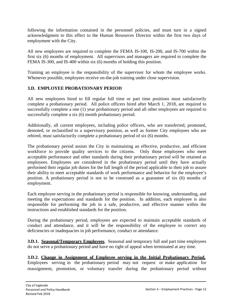following the information contained in the personnel policies, and must turn in a signed acknowledgment to this effect to the Human Resources Director within the first two days of employment with the City.

All new employees are required to complete the FEMA IS-100, IS-200, and IS-700 within the first six (6) months of employment. All supervisors and managers are required to complete the FEMA IS-300, and IS-400 within six (6) months of holding this position.

Training an employee is the responsibility of the supervisor for whom the employee works. Whenever possible, employees receive on-the-job training under close supervision.

## **3.D. EMPLOYEE PROBATIONARY PERIOD**

All new employees hired to fill regular full time or part time positions must satisfactorily complete a probationary period. All police officers hired after March 1, 2018, are required to successfully complete a one (1) year probationary period and all other employees are required to successfully complete a six (6) month probationary period.

Additionally, all current employees, including police officers, who are transferred, promoted, demoted, or reclassified to a supervisory position, as well as former City employees who are rehired, must satisfactorily complete a probationary period of six (6) months.

The probationary period assists the City in maintaining an effective, productive, and efficient workforce to provide quality services to the citizens. Only those employees who meet acceptable performance and other standards during their probationary period will be retained as employees. Employees are considered in the probationary period until they have actually performed their regular job duties for the full length of the period applicable to their job to assure their ability to meet acceptable standards of work performance and behavior for the employee's position. A probationary period is not to be construed as a guarantee of six (6) months of employment.

Each employee serving in the probationary period is responsible for knowing, understanding, and meeting the expectations and standards for the position. In addition, each employee is also responsible for performing the job in a safe, productive, and effective manner within the instructions and established standards for the position.

During the probationary period, employees are expected to maintain acceptable standards of conduct and attendance, and it will be the responsibility of the employee to correct any deficiencies or inadequacies in job performance, conduct or attendance.

**3.D.1. Seasonal/Temporary Employees**. Seasonal and temporary full and part time employees do not serve a probationary period and have no right of appeal when terminated at any time.

## **3.D.2. Change in Assignment of Employee serving in the Initial Probationary Period.**

Employees serving in the probationary period may not request or make application for reassignment, promotion, or voluntary transfer during the probationary period without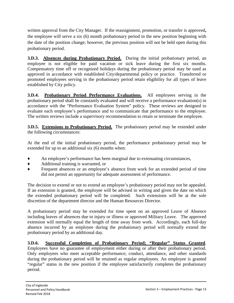written approval from the City Manager. If the reassignment, promotion, or transfer is approved**,**  the employee will serve a six (6) month probationary period in the new position beginning with the date of the position change; however, the previous position will not be held open during this probationary period.

**3.D.3. Absences during Probationary Period.** During the initial probationary period, an employee is not eligible for paid vacation or sick leave during the first six months. Compensatory time off or recognized holidays during the probationary period may be used as approved in accordance with established City/departmental policy or practice. Transferred or promoted employees serving in the probationary period retain eligibility for all types of leave established by City policy.

**3.D.4. Probationary Period Performance Evaluations.** All employees serving in the probationary period shall be constantly evaluated and will receive a performance evaluation(s) in accordance with the "Performance Evaluation System" policy. These reviews are designed to evaluate each employee's performance and to communicate that performance to the employee. The written reviews include a supervisory recommendation to retain or terminate the employee.

**3.D.5. Extensions to Probationary Period.** The probationary period may be extended under the following circumstances:

At the end of the initial probationary period, the performance probationary period may be extended for up to an additional six (6) months when:

- An employee's performance has been marginal due to extenuating circumstances,
- ♦ Additional training is warranted, or
- ♦ Frequent absences or an employee's absence from work for an extended period of time did not permit an opportunity for adequate assessment of performance.

The decision to extend or not to extend an employee's probationary period may not be appealed. If an extension is granted, the employee will be advised in writing and given the date on which the extended probationary period will be completed. Such extensions will be at the sole discretion of the department director and the Human Resources Director.

A probationary period may be extended for time spent on an approved Leave of Absence including leaves of absences due to injury or illness or approved Military Leave. The approved extension will normally equal the length of time away from work. Accordingly, each full-day absence incurred by an employee during the probationary period will normally extend the probationary period by an additional day.

**3.D.6. Successful Completion of Probationary Period; "Regular" Status Granted**. Employees have no guarantee of employment either during or after their probationary period. Only employees who meet acceptable performance, conduct, attendance, and other standards during the probationary period will be retained as regular employees. An employee is granted "regular" status in the new position if the employee satisfactorily completes the probationary period.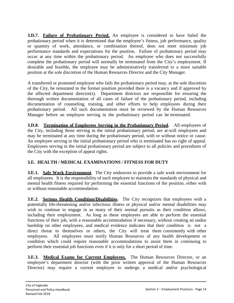**3.D.7. Failure of Probationary Period.** An employee is considered to have failed the probationary period when it is determined that the employee's fitness, job performance, quality or quantity of work, attendance, or combination thereof, does not meet minimum job performance standards and expectations for the position. Failure of probationary period may occur at any time within the probationary period. An employee who does not successfully complete the probationary period will normally be terminated from the City's employment. If desirable and feasible, the employee may be administratively transferred to a more suitable position at the sole discretion of the Human Resources Director and the City Manager.

A transferred or promoted employee who fails the probationary period may, at the sole discretion of the City, be reinstated to the former position provided there is a vacancy and if approved by the affected department director(s). Department directors are responsible for ensuring the thorough written documentation of all cases of failure of the probationary period, including documentation of counseling, training, and other efforts to help employees during their probationary period. All such documentation must be reviewed by the Human Resources Manager before an employee serving in the probationary period can be terminated.

**3.D.8. Termination of Employees Serving in the Probationary Period.** All employees of the City, including those serving in the initial probationary period, are at-will employees and may be terminated at any time during the probationary period, with or without notice or cause. An employee serving in the initial probationary period who is terminated has no right of appeal. Employees serving in the initial probationary period are subject to all policies and procedures of the City with the exception of appeal rights.

# **3.E. HEALTH / MEDICAL EXAMINATIONS / FITNESS FOR DUTY**

**3.E.1. Safe Work Environment**. The City endeavors to provide a safe work environment for all employees. It is the responsibility of each employee to maintain the standards of physical and mental health fitness required for performing the essential functions of the position, either with or without reasonable accommodation.

**3.E.2.** Serious Health Condition/Disabilities. The City recognizes that employees with a potentially life-threatening and/or infectious illness or physical and/or mental disabilities may wish to continue to engage in as many of their normal pursuits as their condition allows, including their employment. As long as these employees are able to perform the essential functions of their job, with a reasonable accommodation if necessary, without creating an undue hardship on other employees, and medical evidence indicates that their condition is not a direct threat to themselves or others, the City will treat them consistently with other employees. All employees must notify Human Resources of any health development or condition which could require reasonable accommodations to assist them in continuing to perform their essential job functions even if it is only for a short period of time.

**3.E.3. Medical Exams for Current Employees.** The Human Resources Director, or an employee's department director (with the prior written approval of the Human Resources Director) may require a current employee to undergo a medical and/or psychological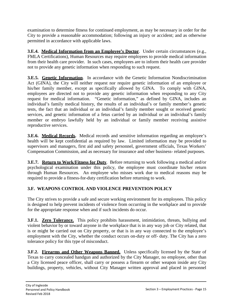examination to determine fitness for continued employment, as may be necessary in order for the City to provide a reasonable accommodation; following an injury or accident; and as otherwise permitted in accordance with applicable laws.

**3.E.4. Medical Information from an Employee's Doctor**. Under certain circumstances (e.g., FMLA Certifications), Human Resources may require employees to provide medical information from their health care provider. In such cases, employees are to inform their health care provider not to provide any genetic information when responding to such request.

**3.E.5. Genetic Information**. In accordance with the Genetic Information Nondiscrimination Act (GINA), the City will neither request nor require genetic information of an employee or his/her family member, except as specifically allowed by GINA. To comply with GINA, employees are directed not to provide any genetic information when responding to any City request for medical information. "Genetic information," as defined by GINA, includes an individual's family medical history, the results of an individual's or family member's genetic tests, the fact that an individual or an individual's family member sought or received genetic services, and genetic information of a fetus carried by an individual or an individual's family member or embryo lawfully held by an individual or family member receiving assistive reproductive services.

**3.E.6. Medical Records.** Medical records and sensitive information regarding an employee's health will be kept confidential as required by law. Limited information may be provided to supervisors and managers, first aid and safety personnel, government officials, Texas Workers' Compensation Commission, and as necessary for insurance and other business- related purposes.

**3.E.7. Return to Work/Fitness for Duty**. Before returning to work following a medical and/or psychological examination under this policy, the employee must coordinate his/her return through Human Resources. An employee who misses work due to medical reasons may be required to provide a fitness-for-duty certification before returning to work.

# **3.F. WEAPONS CONTROL AND VIOLENCE PREVENTION POLICY**

The City strives to provide a safe and secure working environment for its employees. This policy is designed to help prevent incidents of violence from occurring in the workplace and to provide for the appropriate response when and if such incidents do occur.

**3.F.1. Zero Tolerance.** This policy prohibits harassment, intimidation, threats, bullying and violent behavior by or toward anyone in the workplace that is in any way job or City related, that is or might be carried out on City property, or that is in any way connected to the employee's employment with the City, whether the conduct occurs on-duty or off- duty. The City has a zero tolerance policy for this type of misconduct.

**3.F.2. Firearms and Other Weapons Banned.** Unless specifically licensed by the State of Texas to carry concealed handgun and authorized by the City Manager, no employee, other than a City licensed peace officer, shall carry or possess a firearm or other weapon inside any City buildings, property, vehicles, without City Manager written approval and placed in personnel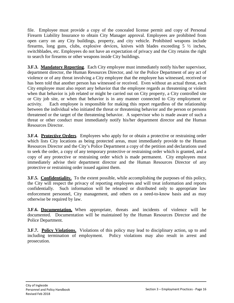file. Employee must provide a copy of the concealed license permit and copy of Personal Firearm Liability Insurance to obtain City Manager approval. Employees are prohibited from open carry on any City buildings, property, and city vehicle. Prohibited weapons include firearms, long guns, clubs, explosive devices, knives with blades exceeding  $5\frac{1}{2}$  inches, switchblades, etc. Employees do not have an expectation of privacy and the City retains the right to search for firearms or other weapons inside City buildings.

**3.F.3. Mandatory Reporting.** Each City employee must immediately notify his/her supervisor, department director, the Human Resources Director, and /or the Police Department of any act of violence or of any threat involving a City employee that the employee has witnessed, received or has been told that another person has witnessed or received. Even without an actual threat, each City employee must also report any behavior that the employee regards as threatening or violent when that behavior is job related or might be carried out on City property, a City controlled site or City job site, or when that behavior is in any manner connected to City employment or activity. Each employee is responsible for making this report regardless of the relationship between the individual who initiated the threat or threatening behavior and the person or persons threatened or the target of the threatening behavior. A supervisor who is made aware of such a threat or other conduct must immediately notify his/her department director and the Human Resources Director.

**3.F.4. Protective Orders.** Employees who apply for or obtain a protective or restraining order which lists City locations as being protected areas, must immediately provide to the Human Resources Director and the City's Police Department a copy of the petition and declarations used to seek the order, a copy of any temporary protective or restraining order which is granted, and a copy of any protective or restraining order which is made permanent. City employees must immediately advise their department director and the Human Resources Director of any protective or restraining order issued against them.

**3.F.5. Confidentiality.** To the extent possible, while accomplishing the purposes of this policy, the City will respect the privacy of reporting employees and will treat information and reports confidentially. Such information will be released or distributed only to appropriate law enforcement personnel, City management, and others on a need-to-know basis and as may otherwise be required by law.

**3.F.6. Documentation.** When appropriate, threats and incidents of violence will be documented. Documentation will be maintained by the Human Resources Director and the Police Department.

**3.F.7. Policy Violations.** Violations of this policy may lead to disciplinary action, up to and including termination of employment. Policy violations may also result in arrest and prosecution.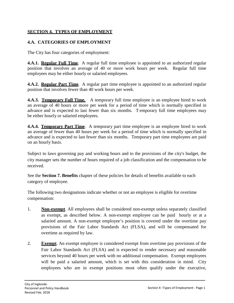## **SECTION 4. TYPES OF EMPLOYMENT**

## **4.A. CATEGORIES OF EMPLOYMENT**

The City has four categories of employment:

**4.A.1. Regular Full Time.** A regular full time employee is appointed to an authorized regular position that involves an average of 40 or more work hours per week. Regular full time employees may be either hourly or salaried employees.

**4.A.2. Regular Part Time**. A regular part time employee is appointed to an authorized regular position that involves fewer than 40 work hours per week.

**4.A.3. Temporary Full Time.** A temporary full time employee is an employee hired to work an average of 40 hours or more per week for a period of time which is normally specified in advance and is expected to last fewer than six months. T emporary full time employees may be either hourly or salaried employees.

**4.A.4. Temporary Part Time**. A temporary part time employee is an employee hired to work an average of fewer than 40 hours per week for a period of time which is normally specified in advance and is expected to last fewer than six months. Temporary part time employees are paid on an hourly basis.

Subject to laws governing pay and working hours and to the provisions of the city's budget, the city manager sets the number of hours required of a job classification and the compensation to be received.

See the **Section 7. Benefits** chapter of these policies for details of benefits available to each category of employee.

The following two designations indicate whether or not an employee is eligible for overtime compensation:

- 1. **Non-exempt**. All employees shall be considered non-exempt unless separately classified as exempt, as described below. A non-exempt employee can be paid hourly or at a salaried amount. A non-exempt employee's position is covered under the overtime pay provisions of the Fair Labor Standards Act (FLSA), and will be compensated for overtime as required by law.
- 2. **Exempt**. An exempt employee is considered exempt from overtime pay provisions of the Fair Labor Standards Act (FLSA) and is expected to render necessary and reasonable services beyond 40 hours per week with no additional compensation. Exempt employees will be paid a salaried amount, which is set with this consideration in mind. City employees who are in exempt positions most often qualify under the executive,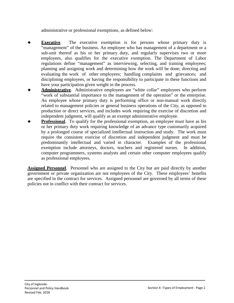administrative or professional exemptions, as defined below:

- **Executive**. The executive exemption is for persons whose primary duty is "management" of the business. An employee who has management of a department or a sub-unit thereof as his or her primary duty, and regularly supervises two or more employees, also qualifies for the executive exemption. The Department of Labor regulations define "management" as interviewing, selecting, and training employees; planning and assigning work and determining how the work will be done; directing and evaluating the work of other employees; handling complaints and grievances; and disciplining employees, or having the responsibility to participate in these functions and have your participation given weight in the process.
- Administrative. Administrative employees are "white collar" employees who perform "work of substantial importance to the management of the operation" or the enterprise. An employee whose primary duty is performing office or non-manual work directly related to management policies or general business operations of the City, as opposed to production or direct services, and includes work requiring the exercise of discretion and independent judgment, will qualify as an exempt administrative employee.
- **Professional**. To qualify for the professional exemption, an employee must have as his or her primary duty work requiring knowledge of an advance type customarily acquired by a prolonged course of specialized intellectual instruction and study. The work must require the consistent exercise of discretion and independent judgment and must be predominantly intellectual and varied in character. Examples of the professional exemption include attorneys, doctors, teachers and registered nurses. In addition, computer programmers, systems analysts and certain other computer employees qualify as professional employees.

**Assigned Personnel**. Personnel who are assigned to the City but are paid directly by another government or private organization are not employees of the City. These employees' benefits are specified in the contract for services. Assigned personnel are governed by all terms of these policies not in conflict with their contract for services.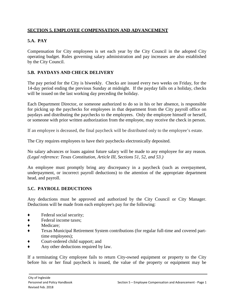# **SECTION 5. EMPLOYEE COMPENSATION AND ADVANCEMENT**

# **5.A. PAY**

Compensation for City employees is set each year by the City Council in the adopted City operating budget. Rules governing salary administration and pay increases are also established by the City Council.

## **5.B. PAYDAYS AND CHECK DELIVERY**

The pay period for the City is biweekly. Checks are issued every two weeks on Friday, for the 14-day period ending the previous Sunday at midnight. If the payday falls on a holiday, checks will be issued on the last working day preceding the holiday.

Each Department Director, or someone authorized to do so in his or her absence, is responsible for picking up the paychecks for employees in that department from the City payroll office on paydays and distributing the paychecks to the employees. Only the employee himself or herself, or someone with prior written authorization from the employee, may receive the check in person.

If an employee is deceased, the final paycheck will be distributed only to the employee's estate.

The City requires employees to have their paychecks electronically deposited.

No salary advances or loans against future salary will be made to any employee for any reason*. (Legal reference: Texas Constitution, Article III, Sections 51, 52, and 53.)*

An employee must promptly bring any discrepancy in a paycheck (such as overpayment, underpayment, or incorrect payroll deductions) to the attention of the appropriate department head, and payroll.

## **5.C. PAYROLL DEDUCTIONS**

Any deductions must be approved and authorized by the City Council or City Manager. Deductions will be made from each employee's pay for the following:

- Federal social security;
- ♦ Federal income taxes;
- ♦ Medicare;
- ♦ Texas Municipal Retirement System contributions (for regular full-time and covered parttime employees);
- ♦ Court-ordered child support; and
- ♦ Any other deductions required by law.

If a terminating City employee fails to return City-owned equipment or property to the City before his or her final paycheck is issued, the value of the property or equipment may be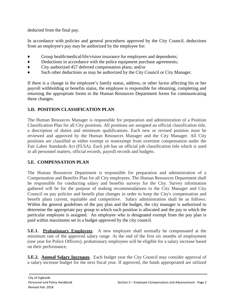deducted from the final pay.

In accordance with policies and general procedures approved by the City Council, deductions from an employee's pay may be authorized by the employee for:

- ♦ Group health/medical/life/vision insurance for employees and dependents;
- ♦ Deductions in accordance with the police equipment purchase agreements;
- ♦ City authorized 457 deferred compensation plans; and/or
- ♦ Such other deductions as may be authorized by the City Council or City Manager.

If there is a change in the employee's family status, address, or other factor affecting his or her payroll withholding or benefits status, the employee is responsible for obtaining, completing and returning the appropriate forms to the Human Resources Department forms for communicating these changes.

# **5.D. POSITION CLASSIFICATION PLAN**

The Human Resources Manager is responsible for preparation and administration of a Position Classification Plan for all City positions. All positions are assigned an official classification title, a description of duties and minimum qualifications. Each new or revised position must be reviewed and approved by the Human Resources Manager and the City Manager. All City positions are classified as either exempt or nonexempt from overtime compensation under the Fair Labor Standards Act (FLSA). Each job has an official job classification title which is used in all personnel matters, official records, payroll records and budgets.

# **5.E. COMPENSATION PLAN**

The Human Resources Department is responsible for preparation and administration of a Compensation and Benefits Plan for all City employees. The Human Resources Department shall be responsible for conducting salary and benefits surveys for the City. Survey information gathered will be for the purpose of making recommendations to the City Manager and City Council on pay policies and benefit plan changes in order to keep the City's compensation and benefit plans current, equitable and competitive. Salary administration shall be as follows: Within the general guidelines of the pay plan and the budget, the city manager is authorized to determine the appropriate pay group to which each position is allocated and the pay to which the particular employee is assigned. An employee who is designated exempt from the pay plan is paid within maximums set in a budget approved by the city council.

**5.E.1. Probationary Employees**. A new employee shall normally be compensated at the minimum rate of the approved salary range. At the end of the first six months of employment (one year for Police Officers), probationary employees will be eligible for a salary increase based on their performance.

**5.E.2. Annual Salary Increases**. Each budget year the City Council may consider approval of a salary increase budget for the next fiscal year. If approved, the funds appropriated are utilized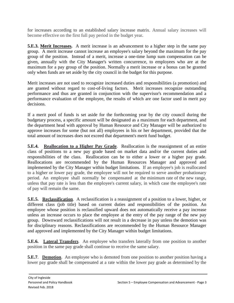for increases according to an established salary increase matrix. Annual salary increases will become effective on the first full pay period in the budget year.

**5.E.3. Merit Increases.** A merit increase is an advancement to a higher step in the same pay group. A merit increase cannot increase an employee's salary beyond the maximum for the pay group of the position. Instead of a merit, increase a one-time lump sum compensation can be given, annually with the City Manager's written concurrence, to employees who are at the maximum for a pay group of the position. Normally a merit increase or a bonus can be granted only when funds are set aside by the city council in the budget for this purpose.

Merit increases are not used to recognize increased duties and responsibilities (a promotion) and are granted without regard to cost-of-living factors. Merit increases recognize outstanding performance and thus are granted in conjunction with the supervisor's recommendation and a performance evaluation of the employee, the results of which are one factor used in merit pay decisions.

If a merit pool of funds is set aside for the forthcoming year by the city council during the budgetary process, a specific amount will be designated as a maximum for each department, and the department head with approval by Human Resource and City Manager will be authorized to approve increases for some (but not all) employees in his or her department, provided that the total amount of increases does not exceed that department's merit fund budget.

**5.E.4.** Reallocation to a Higher Pay Grade. Reallocation is the reassignment of an entire class of positions to a new pay grade based on market data and/or the current duties and responsibilities of the class. Reallocation can be to either a lower or a higher pay grade. Reallocations are recommended by the Human Resources Manager and approved and implemented by the City Manager within budget limitations. If an employee's job is reallocated to a higher or lower pay grade, the employee will not be required to serve another probationary period. An employee shall normally be compensated at the minimum rate of the new range, unless that pay rate is less than the employee's current salary, in which case the employee's rate of pay will remain the same.

**5.E.5. Reclassification**. A reclassification is a reassignment of a position to a lower, higher, or different class (job title) based on current duties and responsibilities of the position. An employee whose position is reclassified upward does not automatically receive a pay increase unless an increase occurs to place the employee at the entry of the pay range of the new pay group. Downward reclassifications will not result in a decrease in pay unless the demotion was for disciplinary reasons. Reclassifications are recommended by the Human Resource Manager and approved and implemented by the City Manager within budget limitations.

**5.E.6.** Lateral Transfers. An employee who transfers laterally from one position to another position in the same pay grade shall continue to receive the same salary.

**5.E.7. Demotion**. An employee who is demoted from one position to another position having a lower pay grade shall be compensated at a rate within the lower pay grade as determined by the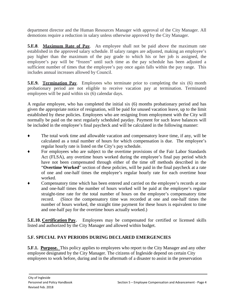department director and the Human Resources Manager with approval of the City Manager. All demotions require a reduction in salary unless otherwise approved by the City Manager.

**5.E.8**. **Maximum Rate of Pay**. An employee shall not be paid above the maximum rate established in the approved salary schedule. If salary ranges are adjusted, making an employee's pay higher than the maximum of the pay grade to which his or her job is assigned, the employee's pay will be "frozen" until such time as the pay schedule has been adjusted a sufficient number of times that the employee's pay once again falls within the pay range. This includes annual increases allowed by Council.

**5.E.9. Termination Pay.** Employees who terminate prior to completing the six (6) month probationary period are not eligible to receive vacation pay at termination. Terminated employees will be paid within six (6) calendar days.

A regular employee, who has completed the initial six (6) months probationary period and has given the appropriate notice of resignation, will be paid for unused vacation leave, up to the limit established by these policies. Employees who are resigning from employment with the City will normally be paid on the next regularly scheduled payday. Payment for such leave balances will be included in the employee's final paycheck and will be calculated in the following manner:

- The total work time and allowable vacation and compensatory leave time, if any, will be calculated as a total number of hours for which compensation is due. The employee's regular hourly rate is listed on the City's pay schedule.
- For employees who are subject to the overtime provisions of the Fair Labor Standards Act (FLSA), any overtime hours worked during the employee's final pay period which have not been compensated through either of the time off methods described in the "**Overtime Worked**" section of these policies, will be paid in the final paycheck at a rate of one and one-half times the employee's regular hourly rate for each overtime hour worked.
- Compensatory time which has been entered and carried on the employee's records at one and one-half times the number of hours worked will be paid at the employee's regular straight-time rate for the total number of hours on the employee's compensatory time record. (Since the compensatory time was recorded at one and one-half times the number of hours worked, the straight time payment for these hours is equivalent to time and one-half pay for the overtime hours actually worked.)

**5.E.10. Certification Pay.** Employees may be compensated for certified or licensed skills listed and authorized by the City Manager and allowed within budget.

# **5.F. SPECIAL PAY PERIODS DURING DECLARED EMERGENCIES**

**5.F.1. Purpose.** This policy applies to employees who report to the City Manager and any other employee designated by the City Manager. The citizens of Ingleside depend on certain City employees to work before, during and in the aftermath of a disaster to assist in the preservation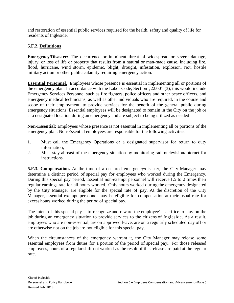and restoration of essential public services required for the health, safety and quality of life for residents of Ingleside.

# **5.F.2. Definitions**

**Emergency/Disaster:** The occurrence or imminent threat of widespread or severe damage, injury, or loss of life or property that results from a natural or man-made cause, including fire, flood, hurricane, wind storm, epidemic, blight, drought, infestation, explosion, riot, hostile military action or other public calamity requiring emergency action.

**Essential Personnel.** Employees whose presence is essential in implementing all or portions of the emergency plan. In accordance with the Labor Code, Section §22.001 (3), this would include Emergency Services Personnel such as fire fighters, police officers and other peace officers, and emergency medical technicians, as well as other individuals who are required, in the course and scope of their employment, to provide services for the benefit of the general public during emergency situations. Essential employees will be designated to remain in the City on the job or at a designated location during an emergency and are subject to being utilized as needed

**Non-Essential:** Employees whose presence is not essential in implementing all or portions of the emergency plan. Non-Essential employees are responsible for the following activities:

- 1. Must call the Emergency Operations or a designated supervisor for return to duty information;
- 2. Must stay abreast of the emergency situation by monitoring radio/television/internet for instructions.

**5.F.3. Compensation.** At the time of a declared emergency/disaster, the City Manager may determine a distinct period of special pay for employees who worked during the Emergency. During this special pay period, Essential non-exempt personnel will receive 1.5 to 2 times their regular earnings rate for all hours worked. Only hours worked during the emergency designated by the City Manager are eligible for the special rate of pay. At the discretion of the City Manager, essential exempt personnel may be eligible for compensation at their usual rate for excess hours worked during the period of special pay.

The intent of this special pay is to recognize and reward the employee's sacrifice to stay on the job during an emergency situation to provide services to the citizens of Ingleside. As a result, employees who are non-essential, are on approved leave, are on a regularly scheduled day off or are otherwise not on the job are not eligible for this special pay.

When the circumstances of the emergency warrant it, the City Manager may release some essential employees from duties for <sup>a</sup> portion of the period of special pay. For those released employees, hours of a regular shift not worked as the result of this release are paid at the regular rate.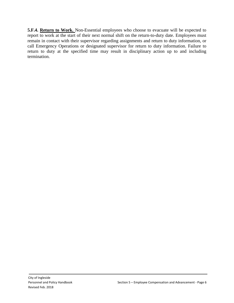**5.F.4. Return to Work.** Non-Essential employees who choose to evacuate will be expected to report to work at the start of their next normal shift on the return-to-duty date. Employees must remain in contact with their supervisor regarding assignments and return to duty information, or call Emergency Operations or designated supervisor for return to duty information. Failure to return to duty at the specified time may result in disciplinary action up to and including termination.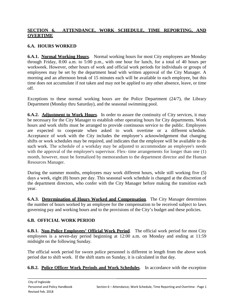## **SECTION 6. ATTENDANCE, WORK SCHEDULE, TIME REPORTING, AND OVERTIME**

## **6.A. HOURS WORKED**

**6.A.1. Normal Working Hours.** Normal working hours for most City employees are Monday through Friday, 8:00 a.m. to 5:00 p.m., with one hour for lunch, for a total of 40 hours per workweek. However, other hours of work and official work periods for individuals or groups of employees may be set by the department head with written approval of the City Manager. A morning and an afternoon break of 15 minutes each will be available to each employee, but this time does not accumulate if not taken and may not be applied to any other absence, leave, or time off.

Exceptions to these normal working hours are the Police Department (24/7), the Library Department (Monday thru Saturday), and the seasonal swimming pool.

**6.A.2. Adjustment to Work Hours**. In order to assure the continuity of City services, it may be necessary for the City Manager to establish other operating hours for City departments. Work hours and work shifts must be arranged to provide continuous service to the public. Employees are expected to cooperate when asked to work overtime or a different schedule. Acceptance of work with the City includes the employee's acknowledgement that changing shifts or work schedules may be required, and indicates that the employee will be available to do such work. The schedule of a workday may be adjusted to accommodate an employee's needs with the approval of the employee's supervisor. Flex- time arrangements for longer than one (1) month, however, must be formalized by memorandum to the department director and the Human Resources Manager.

During the summer months, employees may work different hours, while still working five (5) days a week, eight (8) hours per day. This seasonal work schedule is changed at the discretion of the department directors, who confer with the City Manager before making the transition each year.

**6.A.3. Determination of Hours Worked and Compensation**. The City Manager determines the number of hours worked by an employee for the compensation to be received subject to laws governing pay and working hours and to the provisions of the City's budget and these policies.

## **6.B. OFFICIAL WORK PERIOD**

**6.B.1. Non-Police Employees' Official Work Period**. The official work period for most City employees is a seven-day period beginning at 12:00 a.m. on Monday and ending at 11:59 midnight on the following Sunday.

The official work period for sworn police personnel is different in length from the above work period due to shift work. If the shift starts on Sunday, it is calculated in that day.

## **6.B.2. Police Officer Work Periods and Work Schedules**. In accordance with the exception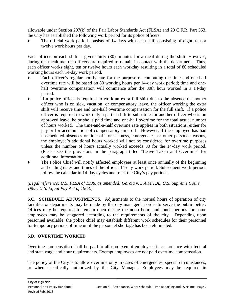allowable under Section 207(k) of the Fair Labor Standards Act (FLSA) and 29 C.F.R. Part 553, the City has established the following work period for its police officers:

The official work period consists of 14 days with each shift consisting of eight, ten or twelve work hours per day.

Each officer on each shift is given thirty (30) minutes for a meal during the shift. However, during the mealtime, the officers are required to remain in contact with the department. Thus, each officer works eight, ten or twelve hours each workday resulting in a total of 80 scheduled working hours each 14-day work period.

- Each officer's regular hourly rate for the purpose of computing the time and one-half overtime rate will be based on 80 working hours per 14-day work period; time and onehalf overtime compensation will commence after the 80th hour worked in a 14-day period.
- If a police officer is required to work an extra full shift due to the absence of another officer who is on sick, vacation, or compensatory leave, the officer working the extra shift will receive time and one-half overtime compensation for the full shift. If a police officer is required to work only a partial shift to substitute for another officer who is on approved leave, he or she is paid time and one-half overtime for the total actual number of hours worked. The time-and-a-half overtime rate applies in both situations, either for pay or for accumulation of compensatory time off. However, if the employee has had unscheduled absences or time off for sickness, emergencies, or other personal reasons, the employee's additional hours worked will not be considered for overtime purposes unless the number of hours actually worked exceeds 80 for the 14-day work period. (Please see the provisions in the paragraph titled "Leave Taken and Overtime" for additional information.
- The Police Chief will notify affected employees at least once annually of the beginning and ending dates and times of the official 14-day work period. Subsequent work periods follow the calendar in 14-day cycles and track the City's pay periods.

*(Legal reference: U.S. FLSA of 1938, as amended; Garcia v. S.A.M.T.A., U.S. Supreme Court, 1985; U.S. Equal Pay Act of 1963.)*

**6.C. SCHEDULE ADJUSTMENTS.** Adjustments to the normal hours of operation of city facilities or departments may be made by the city manager in order to serve the public better. Offices may be required to remain open during the noon hour, and lunch periods for some employees may be staggered according to the requirements of the city. Depending upon personnel available, the police chief may establish different work schedules for their personnel for temporary periods of time until the personnel shortage has been eliminated.

## **6.D. OVERTIME WORKED**

Overtime compensation shall be paid to all non-exempt employees in accordance with federal and state wage and hour requirements. Exempt employees are not paid overtime compensation.

The policy of the City is to allow overtime only in cases of emergencies, special circumstances, or when specifically authorized by the City Manager. Employees may be required in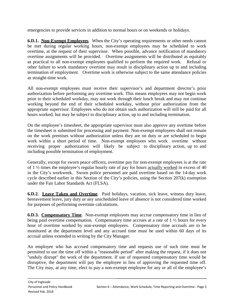emergencies to provide services in addition to normal hours or on weekends or holidays.

**6.D.1. Non-Exempt Employees.** When the City's operating requirements or other needs cannot be met during regular working hours, non-exempt employees may be scheduled to work overtime, at the request of their supervisor. When possible, advance notification of mandatory overtime assignments will be provided. Overtime assignments will be distributed as equitably as practical to all non-exempt employees qualified to perform the required work. Refusal or other failure to work mandatory overtime may result in disciplinary action up to and including termination of employment. Overtime work is otherwise subject to the same attendance policies as straight-time work.

All non-exempt employees must receive their supervisor's and department director's prior authorization before performing any overtime work. This means employees may not begin work prior to their scheduled workday, may not work through their lunch break and may not continue working beyond the end of their scheduled workday, without prior authorization from the appropriate supervisor. Employees who do not obtain such authorization will still be paid for all hours worked, but may be subject to disciplinary action, up to and including termination.

On the employee's timesheet, the appropriate supervisor must also approve any overtime before the timesheet is submitted for processing and payment. Non-exempt employees shall not remain on the work premises without authorization unless they are on duty or are scheduled to begin work within a short period of time. Non-exempt employees who work overtime without receiving proper authorization will likely be subject to disciplinary action, up to and including possible termination of employment.

Generally, except for sworn peace officers, overtime pay for non-exempt employees is at the rate of 1 ½ times the employee's regular hourly rate of pay for hours actually worked in excess of 40 in the City's workweek. Sworn police personnel are paid overtime based on the 14-day work cycle described earlier in this Section of the City's policies, using the Section 207(k) exemption under the Fair Labor Standards Act (FLSA).

**6.D.2. Leave Taken and Overtime**. Paid holidays, vacation, sick leave, witness duty leave, bereavement leave, jury duty or any unscheduled leave of absence is not considered time worked for purposes of performing overtime calculations.

**6.D.3. Compensatory Time**. Non-exempt employees may accrue compensatory time in lieu of being paid overtime compensation. Compensatory time accrues at a rate of 1  $\frac{1}{2}$  hours for every hour of overtime worked by non-exempt employees. Compensatory time accruals are to be monitored at the department level and any accrued time must be used within 60 days of its accrual unless extended in writing by the City Manager.

An employee who has accrued compensatory time and requests use of such time must be permitted to use the time off within a "reasonable period" after making the request, if it does not "unduly disrupt" the work of the department. If use of requested compensatory time would be disruptive, the department will pay the employee in lieu of approving the requested time off. The City may, at any time, elect to pay a non-exempt employee for any or all of the employee's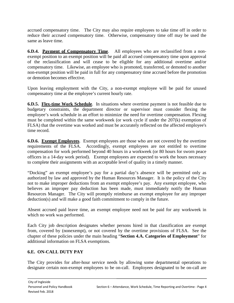accrued compensatory time. The City may also require employees to take time off in order to reduce their accrued compensatory time. Otherwise, compensatory time off may be used the same as leave time.

**6.D.4. Payment of Compensatory Time**. All employees who are reclassified from a nonexempt position to an exempt position will be paid all accrued compensatory time upon approval of the reclassification and will cease to be eligible for any additional overtime and/or compensatory time. Likewise, an employee who is promoted, transferred, or demoted to another non-exempt position will be paid in full for any compensatory time accrued before the promotion or demotion becomes effective.

Upon leaving employment with the City, a non-exempt employee will be paid for unused compensatory time at the employee's current hourly rate.

**6.D.5. Flex-time Work Schedule**. In situations where overtime payment is not feasible due to budgetary constraints, the department director or supervisor must consider flexing the employee's work schedule in an effort to minimize the need for overtime compensation. Flexing must be completed within the same workweek (or work cycle if under the 207(k) exemption of FLSA) that the overtime was worked and must be accurately reflected on the affected employee's time record.

**6.D.6. Exempt Employees**. Exempt employees are those who are not covered by the overtime requirements of the FLSA. Accordingly, exempt employees are not entitled to overtime compensation for work performed beyond 40 hours in a workweek (or 80 hours for sworn peace officers in a 14-day work period). Exempt employees are expected to work the hours necessary to complete their assignments with an acceptable level of quality in a timely manner.

"Docking" an exempt employee's pay for a partial day's absence will be permitted only as authorized by law and approved by the Human Resources Manager. It is the policy of the City not to make improper deductions from an exempt employee's pay. Any exempt employee, who believes an improper pay deduction has been made, must immediately notify the Human Resources Manager. The City will promptly reimburse an exempt employee for any improper deduction(s) and will make a good faith commitment to comply in the future.

Absent accrued paid leave time, an exempt employee need not be paid for any workweek in which no work was performed.

Each City job description designates whether persons hired in that classification are exempt from, covered by (nonexempt), or not covered by the overtime provisions of FLSA. See the chapter of these policies under the main heading "**Section 4.A. Categories of Employment**" for additional information on FLSA exemptions.

# **6.E. ON-CALL DUTY PAY**

The City provides for after-hour service needs by allowing some departmental operations to designate certain non-exempt employees to be on-call. Employees designated to be on-call are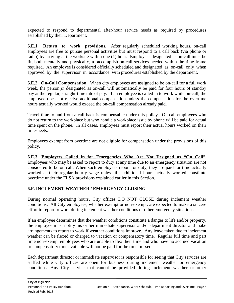expected to respond to departmental after-hour service needs as required by procedures established by their Department.

**6.E.1. Return to work provisions.** After regularly scheduled working hours, on-call employees are free to pursue personal activities but must respond to a call back (via phone or radio) by arriving at the worksite within one (1) hour. Employees designated as on-call must be fit, both mentally and physically, to accomplish on-call services needed within the time frame required. An employee is considered officially scheduled and designated as on-call only when approved by the supervisor in accordance with procedures established by the department.

**6.E.2. On-Call Compensation.** When city employees are assigned to be on-call for a full work week, the person(s) designated as on-call will automatically be paid for four hours of standby pay at the regular, straight-time rate of pay. If an employee is called in to work while on-call, the employee does not receive additional compensation unless the compensation for the overtime hours actually worked would exceed the on-call compensation already paid.

Travel time to and from a call-back is compensable under this policy. On-call employees who do not return to the workplace but who handle a workplace issue by phone will be paid for actual time spent on the phone. In all cases, employees must report their actual hours worked on their timesheets.

Employees exempt from overtime are not eligible for compensation under the provisions of this policy.

**6.E.3. Employees Called in for Emergencies Who Are Not Designed as "On Call**". Employees who may be asked to report to duty at any time due to an emergency situation are not considered to be on call. When such employees report for duty, they are paid for time actually worked at their regular hourly wage unless the additional hours actually worked constitute overtime under the FLSA provisions explained earlier in this Section.

# **6.F. INCLEMENT WEATHER / EMERGENCY CLOSING**

During normal operating hours, City offices DO NOT CLOSE during inclement weather conditions**.** All City employees, whether exempt or non-exempt, are expected to make a sincere effort to report to work during inclement weather conditions or other emergency situations.

If an employee determines that the weather conditions constitute a danger to life and/or property, the employee must notify his or her immediate supervisor and/or department director and make arrangements to report to work if weather conditions improve. Any leave taken due to inclement weather can be flexed or charged to vacation or compensatory time. Regular full time and part time non-exempt employees who are unable to flex their time and who have no accrued vacation or compensatory time available will not be paid for the time missed.

Each department director or immediate supervisor is responsible for seeing that City services are staffed while City offices are open for business during inclement weather or emergency conditions. Any City service that cannot be provided during inclement weather or other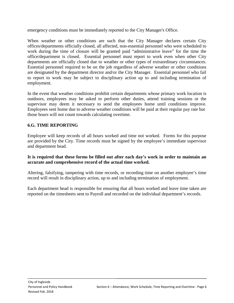emergency conditions must be immediately reported to the City Manager's Office.

When weather or other conditions are such that the City Manager declares certain City offices/departments officially closed, all affected, non-essential personnel who were scheduled to work during the time of closure will be granted paid "administrative leave" for the time the office/department is closed. Essential personnel must report to work even when other City departments are officially closed due to weather or other types of extraordinary circumstances. Essential personnel required to be on the job regardless of adverse weather or other conditions are designated by the department director and/or the City Manager. Essential personnel who fail to report to work may be subject to disciplinary action up to and including termination of employment.

In the event that weather conditions prohibit certain departments whose primary work location is outdoors, employees may be asked to perform other duties, attend training sessions or the supervisor may deem it necessary to send the employees home until conditions improve. Employees sent home due to adverse weather conditions will be paid at their regular pay rate but those hours will not count towards calculating overtime.

## **6.G. TIME REPORTING**

Employee will keep records of all hours worked and time not worked. Forms for this purpose are provided by the City. Time records must be signed by the employee's immediate supervisor and department head.

#### **It is required that these forms be filled out after each day's work in order to maintain an accurate and comprehensive record of the actual time worked.**

Altering, falsifying, tampering with time records, or recording time on another employee's time record will result in disciplinary action, up to and including termination of employment.

Each department head is responsible for ensuring that all hours worked and leave time taken are reported on the timesheets sent to Payroll and recorded on the individual department's records.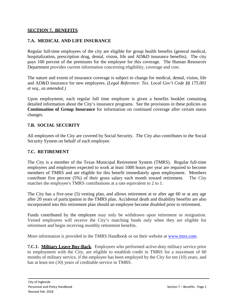#### **SECTION 7. BENEFITS**

### **7.A. MEDICAL AND LIFE INSURANCE**

Regular full-time employees of the city are eligible for group health benefits (general medical, hospitalization, prescription drug, dental, vision, life and AD&D insurance benefits). The city pays 100 percent of the premiums for the employee for this coverage. The Human Resources Department provides current information concerning eligibility, coverage and cost.

The nature and extent of insurance coverage is subject to change for medical, dental, vision, life and AD&D insurance for new employees. *(Legal Reference: Tex. Local Gov't Code §§ 175.001 et seq., as amended.)*

Upon employment, each regular full time employee is given a benefits booklet containing detailed information about the City's insurance programs. See the provisions in these policies on **Continuation of Group Insurance** for information on continued coverage after certain status changes.

#### **7.B. SOCIAL SECURITY**

All employees of the City are covered by Social Security. The City also contributes to the Social Security System on behalf of each employee.

#### **7.C. RETIREMENT**

The City is a member of the Texas Municipal Retirement System (TMRS). Regular full-time employees and employees expected to work at least 1000 hours per year are required to become members of TMRS and are eligible for this benefit immediately upon employment. Members contribute five percent (5%) of their gross salary each month toward retirement. The City matches the employee's TMRS contributions at a rate equivalent to 2 to 1.

The City has a five-year (5) vesting plan, and allows retirement at or after age 60 or at any age after 20 years of participation in the TMRS plan. Accidental death and disability benefits are also incorporated into this retirement plan should an employee become disabled prior to retirement.

Funds contributed by the employee may only be withdrawn upon retirement or resignation. Vested employees will receive the City's matching funds only when they are eligible for retirement and begin receiving monthly retirement benefits.

More information is provided in the TMRS Handbook or on their website at [www.tmrs.com.](http://www.tmrs.com/)

**7.C.1. Military Leave Buy-Back**. Employees who performed active-duty military service prior to employment with the City, are eligible to establish credit in TMRS for a maximum of 60 months of military service, if the employee has been employed by the City for ten (10) years, and has at least ten (10) years of creditable service in TMRS.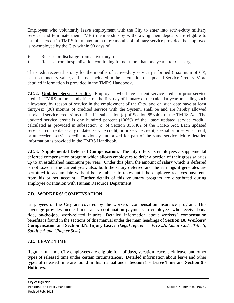Employees who voluntarily leave employment with the City to enter into active-duty military service, and terminate their TMRS membership by withdrawing their deposits are eligible to establish credit in TMRS for a maximum of 60 months of military service provided the employee is re-employed by the City within 90 days of:

- Release or discharge from active duty; or
- ♦ Release from hospitalization continuing for not more than one year after discharge.

The credit received is only for the months of active-duty service performed (maximum of 60), has no monetary value, and is not included in the calculation of Updated Service Credits. More detailed information is provided in the TMRS Handbook.

**7.C.2. Updated Service Credits**. Employees who have current service credit or prior service credit in TMRS in force and effect on the first day of January of the calendar year preceding such allowance, by reason of service in the employment of the City, and on such date have at least thirty-six (36) months of credited service with the System, shall be and are hereby allowed "updated service credits" as defined in subsection (d) of Section 853.402 of the TMRS Act. The updated service credit is one hundred percent (100%) of the "base updated service credit," calculated as provided in subsection (c) of Section 853.402 of the TMRS Act. Each updated service credit replaces any updated service credit, prior service credit, special prior service credit, or antecedent service credit previously authorized for part of the same service. More detailed information is provided in the TMRS Handbook.

**7.C.3. Supplemental Deferred Compensation.** The city offers its employees a supplemental deferred compensation program which allows employees to defer a portion of their gross salaries up to an established maximum per year. Under this plan, the amount of salary which is deferred is not taxed in the current year; also, both the salary deferred and the earnings it generates are permitted to accumulate without being subject to taxes until the employee receives payments from his or her account. Further details of this voluntary program are distributed during employee orientation with Human Resource Department.

# **7.D. WORKERS' COMPENSATION**

Employees of the City are covered by the workers' compensation insurance program. This coverage provides medical and salary continuation payments to employees who receive bona fide, on-the-job, work-related injuries. Detailed information about workers' compensation benefits is found in the sections of this manual under the main headings of **Section 10. Workers' Compensation** and **Section 8.N. Injury Leave**. *(Legal reference: V.T.C.A. Labor Code, Title 5, Subtitle A and Chapter 504.)*

## **7.E. LEAVE TIME**

Regular full-time City employees are eligible for holidays, vacation leave, sick leave, and other types of released time under certain circumstances. Detailed information about leave and other types of released time are found in this manual under **Section 8 - Leave Time** and **Section 9 - Holidays**.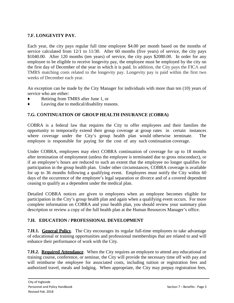## **7.F. LONGEVITY PAY.**

Each year, the city pays regular full time employee \$4.00 per month based on the months of service calculated from 12/1 to 11/30. After 60 months (five years) of service, the city pays \$1040.00. After 120 months (ten years) of service, the city pays \$2080.00. In order for any employee to be eligible to receive longevity pay, the employee must be employed by the city on the first day of December of the year in which it is paid. In addition, the City pays the FICA and TMRS matching costs related to the longevity pay. Longevity pay is paid within the first two weeks of December each year.

An exception can be made by the City Manager for individuals with more than ten (10) years of service who are either:

- ♦ Retiring from TMRS after June 1, or
- Leaving due to medical/disability reasons.

#### **7.G. CONTINUATION OF GROUP HEALTH INSURANCE (COBRA)**

COBRA is a federal law that requires the City to offer employees and their families the opportunity to temporarily extend their group coverage at group rates in certain instances where coverage under the City's group health plan would otherwise terminate. The employee is responsible for paying for the cost of any such continuation coverage.

Under COBRA, employees may elect COBRA continuation of coverage for up to 18 months after termination of employment (unless the employee is terminated due to gross misconduct), or if an employee's hours are reduced to such an extent that the employee no longer qualifies for participation in the group health plan. Under other circumstances, COBRA coverage is available for up to 36 months following a qualifying event. Employees must notify the City within 60 days of the occurrence of the employee's legal separation or divorce and of a covered dependent ceasing to qualify as a dependent under the medical plan.

Detailed COBRA notices are given to employees when an employee becomes eligible for participation in the City's group health plan and again when a qualifying event occurs. For more complete information on COBRA and your health plan, you should review your summary plan description or review a copy of the full health plan at the Human Resources Manager's office.

#### **7.H. EDUCATION / PROFESSIONAL DEVELOPMENT**

**7.H.1.** General Policy. The City encourages its regular full-time employees to take advantage of educational or training opportunities and professional memberships that are related to and will enhance their performance of work with the City.

**7.H.2. Required Attendance**. When the City requires an employee to attend any educational or training course, conference, or seminar, the City will provide the necessary time off with pay and will reimburse the employee for associated costs, including tuition or registration fees and authorized travel, meals and lodging. When appropriate, the City may prepay registration fees,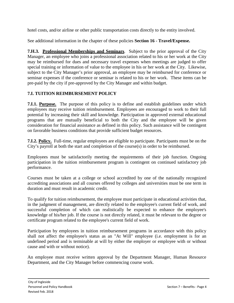hotel costs, and/or airline or other public transportation costs directly to the entity involved.

See additional information in the chapter of these policies **Section 16 - Travel/Expense.**

**7.H.3. Professional Memberships and Seminars**. Subject to the prior approval of the City Manager, an employee who joins a professional association related to his or her work at the City may be reimbursed for dues and necessary travel expenses when meetings are judged to offer special training or information of value to the employee in his or her work at the City. Likewise, subject to the City Manager's prior approval, an employee may be reimbursed for conference or seminar expenses if the conference or seminar is related to his or her work. These items can be pre-paid by the city if pre-approved by the City Manager and within budget.

## **7.I. TUITION REIMBURSEMENT POLICY**

**7.I.1. Purpose.** The purpose of this policy is to define and establish guidelines under which employees may receive tuition reimbursement. Employees are encouraged to work to their full potential by increasing their skill and knowledge. Participation in approved external educational programs that are mutually beneficial to both the City and the employee will be given consideration for financial assistance as defined in this policy. Such assistance will be contingent on favorable business conditions that provide sufficient budget resources.

**7.I.2. Policy.** Full-time, regular employees are eligible to participate. Participants must be on the City's payroll at both the start and completion of the course(s) in order to be reimbursed.

Employees must be satisfactorily meeting the requirements of their job function. Ongoing participation in the tuition reimbursement program is contingent on continued satisfactory job performance.

Courses must be taken at a college or school accredited by one of the nationally recognized accrediting associations and all courses offered by colleges and universities must be one term in duration and must result in academic credit.

To qualify for tuition reimbursement, the employee must participate in educational activities that, in the judgment of management, are directly related to the employee's current field of work, and successful completion of which can realistically be expected to enhance the employee's knowledge of his/her job. If the course is not directly related, it must be relevant to the degree or certificate program related to the employee's current field of work.

Participation by employees in tuition reimbursement programs in accordance with this policy shall not affect the employee's status as an "At Will" employee (i.e. employment is for an undefined period and is terminable at will by either the employer or employee with or without cause and with or without notice).

An employee must receive written approval by the Department Manager, Human Resource Department, and the City Manager before commencing course work.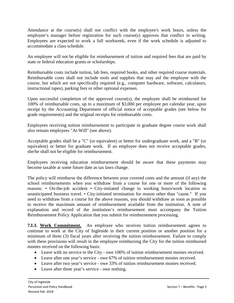Attendance at the course(s) shall not conflict with the employee's work hours, unless the employee's manager before registration for such course(s) approves that conflict in writing. Employees are expected to work a full workweek, even if the work schedule is adjusted to accommodate a class schedule.

An employee will not be eligible for reimbursement of tuition and required fees that are paid by state or federal education grants or scholarships.

Reimbursable costs include tuition, lab fees, required books, and other required course materials. Reimbursable costs shall not include tools and supplies that may aid the employee with the course, but which are not specifically required (e.g., computer hardware, software, calculators, instructional tapes), parking fees or other optional expenses.

Upon successful completion of the approved course(s), the employee shall be reimbursed for 100% of reimbursable costs, up to a maximum of \$3,000 per employee per calendar year, upon receipt by the Accounting Department of official notice of acceptable grades (see below for grade requirements) and the original receipts for reimbursable costs.

Employees receiving tuition reimbursement to participate in graduate degree course work shall also remain employees "At-Will" (see above).

Acceptable grades shall be a "C" (or equivalent) or better for undergraduate work, and a "B" (or equivalent) or better for graduate work. If an employee does not receive acceptable grades, she/he shall not be eligible for reimbursement.

Employees receiving education reimbursement should be aware that these payments may become taxable at some future date as tax laws change.

The policy will reimburse the difference between your covered costs and the amount (if any) the school reimbursements when you withdraw from a course for one or more of the following reasons: • On-the-job accident • City-initiated change to working hours/work location or unanticipated business travel. • City-initiated termination for reason other than "cause." If you need to withdraw from a course for the above reasons, you should withdraw as soon as possible to receive the maximum amount of reimbursement available from the institution. A note of explanation and record of the institution's reimbursement must accompany the Tuition Reimbursement Policy Application that you submit for reimbursement processing.

**7.I.3. Work Commitment.** An employee who receives tuition reimbursement agrees to continue to work at the City of Ingleside in their current position or another position for a minimum of three (3) fiscal years after receiving the tuition reimbursement. Failure to comply with these provisions will result in the employee reimbursing the City for the tuition reimbursed monies received on the following basis:

- Leave with no service to the City owe 100% of tuition reimbursement monies received.
- Leave after one year's service owe 67% of tuition reimbursement monies received.
- Leave after two year's service owe 33% of tuition reimbursement monies received.
- Leave after three year's service owe nothing.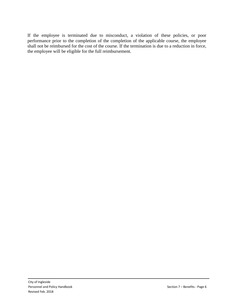If the employee is terminated due to misconduct, a violation of these policies, or poor performance prior to the completion of the completion of the applicable course, the employee shall not be reimbursed for the cost of the course. If the termination is due to a reduction in force, the employee will be eligible for the full reimbursement.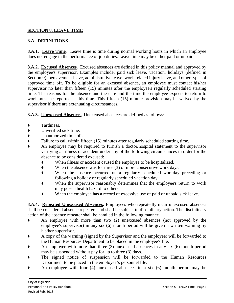## **SECTION 8. LEAVE TIME**

#### **8.A. DEFINITIONS**

**8.A.1. Leave Time**. Leave time is time during normal working hours in which an employee does not engage in the performance of job duties. Leave time may be either paid or unpaid.

**8.A.2. Excused Absences**. Excused absences are defined in this policy manual and approved by the employee's supervisor. Examples include: paid sick leave, vacation, holidays (defined in Section 9), bereavement leave, administrative leave, work-related injury leave, and other types of approved time off. To be eligible for an excused absence, an employee must contact his/her supervisor no later than fifteen (15) minutes after the employee's regularly scheduled starting time. The reasons for the absence and the date and the time the employee expects to return to work must be reported at this time. This fifteen (15) minute provision may be waived by the supervisor if there are extenuating circumstances.

**8.A.3. Unexcused Absences**. Unexcused absences are defined as follows:

- Tardiness.
- ♦ Unverified sick time.
- ◆ Unauthorized time off.<br>◆ Failure to call within fi
- Failure to call within fifteen (15) minutes after regularly scheduled starting time.
- An employee may be required to furnish a doctor/hospital statement to the supervisor verifying an illness or accident under any of the following circumstances in order for the absence to be considered excused:
	- ♦ When illness or accident caused the employee to be hospitalized.
	- $\blacklozenge$  When the absence was for three (3) or more consecutive work days.
	- ♦ When the absence occurred on a regularly scheduled workday preceding or following a holiday or regularly scheduled vacation day.
	- When the supervisor reasonably determines that the employee's return to work may pose a health hazard to others.
	- ♦ When the employee has a record of excessive use of paid or unpaid sick leave.

**8.A.4. Repeated Unexcused Absences**. Employees who repeatedly incur unexcused absences shall be considered absence repeaters and shall be subject to disciplinary action. The disciplinary action of the absence repeater shall be handled in the following manner:

- An employee with more than two (2) unexcused absences (not approved by the employee's supervisor) in any six (6) month period will be given a written warning by his/her supervisor.
- ♦ A copy of the warning (signed by the Supervisor and the employee) will be forwarded to the Human Resources Department to be placed in the employee's file.
- An employee with more than three  $(3)$  unexcused absences in any six  $(6)$  month period may be suspended without pay for up to three (3) days.
- The signed notice of suspension will be forwarded to the Human Resources Department to be placed in the employee's personnel file.
- An employee with four  $(4)$  unexcused absences in a six  $(6)$  month period may be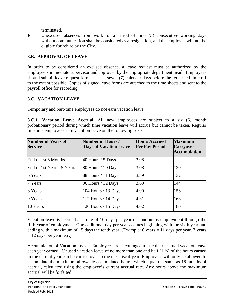terminated.

Unexcused absences from work for a period of three  $(3)$  consecutive working days without communication shall be considered as a resignation, and the employee will not be eligible for rehire by the City.

### **8.B. APPROVAL OF LEAVE**

In order to be considered an excused absence, a leave request must be authorized by the employee's immediate supervisor and approved by the appropriate department head. Employees should submit leave request forms at least seven (7) calendar days before the requested time off to the extent possible. Copies of signed leave forms are attached to the time sheets and sent to the payroll office for recording.

#### **8.C. VACATION LEAVE**

Temporary and part-time employees do not earn vacation leave.

**8.C.1. Vacation Leave Accrual**. All new employees are subject to a six (6) month probationary period during which time vacation leave will accrue but cannot be taken. Regular full-time employees earn vacation leave on the following basis:

| <b>Number of Years of</b><br><b>Service</b> | Number of Hours /<br><b>Days of Vacation Leave</b> | <b>Hours Accrued</b><br><b>Per Pay Period</b> | <b>Maximum</b><br><b>Carryover</b><br><b>Accumulation</b> |
|---------------------------------------------|----------------------------------------------------|-----------------------------------------------|-----------------------------------------------------------|
| End of 1st 6 Months                         | 40 Hours / 5 Days                                  | 3.08                                          |                                                           |
| End of 1st Year $-5$ Years                  | 80 Hours / 10 Days                                 | 3.08                                          | 120                                                       |
| 6 Years                                     | 88 Hours / 11 Days                                 | 3.39                                          | 132                                                       |
| 7 Years                                     | 96 Hours / 12 Days                                 | 3.69                                          | 144                                                       |
| 8 Years                                     | 104 Hours / 13 Days                                | 4.00                                          | 156                                                       |
| 9 Years                                     | 112 Hours $/$ 14 Days                              | 4.31                                          | 168                                                       |
| 10 Years                                    | 120 Hours / 15 Days                                | 4.62                                          | 180                                                       |

Vacation leave is accrued at a rate of 10 days per year of continuous employment through the fifth year of employment. One additional day per year accrues beginning with the sixth year and ending with a maximum of 15 days the tenth year. (Example: 6 years  $= 11$  days per year, 7 years  $= 12$  days per year, etc.)

Accumulation of Vacation Leave. Employees are encouraged to use their accrued vacation leave each year earned. Unused vacation leave of no more than one and half (1 ½) of the hours earned in the current year can be carried over to the next fiscal year. Employees will only be allowed to accumulate the maximum allowable accumulated hours, which equal the same as 18 months of accrual, calculated using the employee's current accrual rate. Any hours above the maximum accrual will be forfeited.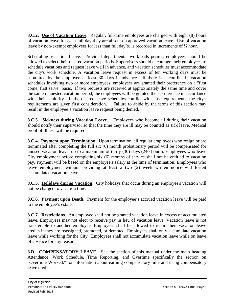**8.C.2.** Use of Vacation Leave. Regular, full-time employees are charged with eight (8) hours of vacation leave for each full day they are absent on approved vacation leave. Use of vacation leave by non-exempt employees for less than full day(s) is recorded in increments of ¼ hour.

Scheduling Vacation Leave. Provided departmental workloads permit, employees should be allowed to select their desired vacation periods. Supervisors should encourage their employees to schedule vacations and request leave well in advance, and vacation schedules must accommodate the city's work schedule. A vacation leave request in excess of ten working days must be submitted by the employee at least 30 days in advance. If there is a conflict in vacation schedules involving two or more employees, employees are granted their preference on a "first come, first serve" basis. If two requests are received at approximately the same time and cover the same requested vacation period, the employees will be granted their preference in accordance with their seniority. If the desired leave schedules conflict with city requirements, the city's requirements are given first consideration. Failure to abide by the terms of this section may Failure to abide by the terms of this section may result in the employee's vacation leave request being denied.

**8.C.3. Sickness during Vacation Leave.** Employees who become ill during their vacation should notify their supervisor so that the time they are ill may be counted as sick leave. Medical proof of illness will be required.

**8.C.4. Payment upon Termination**. Upon termination, all regular employees who resign or are terminated after completing the full six (6) month probationary period will be compensated for unused vacation leave, up to a maximum of thirty (30) days (240 hours). Employees who leave City employment before completing six (6) months of service shall not be entitled to vacation pay. Payment will be based on the employee's salary at the time of termination. Employees who leave employment without providing at least a two (2) week written notice will forfeit accumulated vacation leave.

**8.C.5. Holidays during Vacation**. City holidays that occur during an employee's vacation will not be charged to vacation time.

**8.C.6. Payment upon Death.** Payment for the employee's accrued vacation leave will be paid to the employee's estate.

**8.C.7. Restrictions**. An employee shall not be granted vacation leave in excess of accumulated leave. Employees may not elect to receive pay in lieu of vacation leave. Vacation leave is not transferable to another employee. Employees shall be allowed to retain their vacation leave credits if they are reassigned, promoted, or demoted. Employees shall only accumulate vacation leave while working for the City. Employees shall not accumulate vacation leave while on leave of absence for any reason.

**8.D. COMPENSATORY LEAVE.** See the section of this manual under the main heading Attendance, Work Schedule, Time Reporting, and Overtime specifically the section on "Overtime Worked," for information about earning compensatory time and using compensatory leave credits.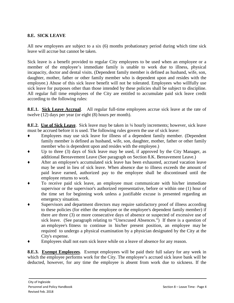#### **8.E. SICK LEAVE**

All new employees are subject to a six (6) months probationary period during which time sick leave will accrue but cannot be taken.

Sick leave is a benefit provided to regular City employees to be used when an employee or a member of the employee's immediate family is unable to work due to illness, physical incapacity, doctor and dental visits. (Dependent family member is defined as husband, wife, son, daughter, mother, father or other family member who is dependent upon and resides with the employee.) Abuse of this sick leave benefit will not be tolerated. Employees who willfully use sick leave for purposes other than those intended by these policies shall be subject to discipline. All regular full time employees of the City are entitled to accumulate paid sick leave credit according to the following rules:

**8.E.1.** Sick Leave Accrual. All regular full-time employees accrue sick leave at the rate of twelve (12) days per year (or eight (8) hours per month).

**8.E.2.** Use of Sick Leave. Sick leave may be taken in <sup>1</sup>/4 hourly increments; however, sick leave must be accrued before it is used. The following rules govern the use of sick leave:

- ♦ Employees may use sick leave for illness of a dependent family member. (Dependent family member is defined as husband, wife, son, daughter, mother, father or other family member who is dependent upon and resides with the employee.)
- ♦ Up to three (3) days of Sick leave may be used, if approved by the City Manager, as additional Bereavement Leave (See paragraph on Section 8.K. Bereavement Leave.)
- After an employee's accumulated sick leave has been exhausted, accrued vacation leave may be used in lieu of sick leave. When absence due to illness exceeds the amount of paid leave earned, authorized pay to the employee shall be discontinued until the employee returns to work.
- To receive paid sick leave, an employee must communicate with his/her immediate supervisor or the supervisor's authorized representative, before or within one (1) hour of the time set for beginning work unless a justifiable excuse is presented regarding an emergency situation.
- Supervisors and department directors may require satisfactory proof of illness according to these policies (for either the employee or the employee's dependent family member) if there are three (3) or more consecutive days of absence or suspected of excessive use of sick leave. (See paragraph relating to "Unexcused Absences.") If there is a question of an employee's fitness to continue in his/her present position, an employee may be required to undergo a physical examination by a physician designated by the City at the City's expense.
- Employees shall not earn sick leave while on a leave of absence for any reason.

**8.E.3. Exempt Employees**. Exempt employees will be paid their full salary for any week in which the employee performs work for the City. The employee's accrued sick leave bank will be deducted, however, for any time the employee is absent from work due to sickness. If the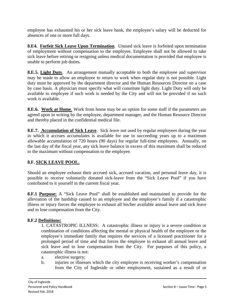employee has exhausted his or her sick leave bank, the employee's salary will be deducted for absences of one or more full days.

**8.E4. Forfeit Sick Leave Upon Termination**. Unused sick leave is forfeited upon termination of employment without compensation to the employee. Employee shall not be allowed to take sick leave before retiring or resigning unless medical documentation is provided that employee is unable to perform job duties.

**8.E.5. Light Duty**. An arrangement mutually acceptable to both the employee and supervisor may be made to allow an employee to return to work when regular duty is not possible. Light duty must be approved by the department director and the Human Resources Director on a case by case basis. A physician must specify what will constitute light duty. Light Duty will only be available to employee if such work is needed by the City and will not be provided if no such work is available.

**8.E.6. Work at Home**. Work from home may be an option for some staff if the parameters are agreed upon in writing by the employee, department manager, and the Human Resource Director and thereby placed in the confidential medical file.

**8.E.7. Accumulation of Sick Leave**. Sick leave not used by regular employees during the year in which it accrues accumulates is available for use in succeeding years up to a maximum allowable accumulation of 720 hours (90 days) for regular full-time employees. Annually, on the last day of the fiscal year, any sick leave balance in excess of this maximum shall be reduced to the maximum without compensation to the employee.

# **8.F. SICK LEAVE POOL.**

Should an employee exhaust their accrued sick, accrued vacation, and personal leave day, it is possible to receive voluntarily donated sick-leave from the "Sick Leave Pool" if you have contributed to it yourself in the current fiscal year.

**8.F.1 Purpose:** A "Sick Leave Pool" shall be established and maintained to provide for the alleviation of the hardship caused to an employee and the employee's family if a catastrophic illness or injury forces the employee to exhaust all his/her available annual leave and sick leave and to lose compensation from the City.

## **8.F.2 Definitions:**

1. CATASTROPIC ILLNESS: A catastrophic illness or injury is a severe condition or combination of conditions affecting the mental or physical health of the employee or the employee's immediate family that requires the services of a licensed practitioner for a prolonged period of time and that forces the employee to exhaust all annual leave and sick leave and to lose compensation from the City. For purposes of this policy, a catastrophic illness is not:

- a. elective surgery;
- b. injuries or illnesses which the city employee is receiving worker's compensation from the City of Ingleside or other employment, sustained as a result of or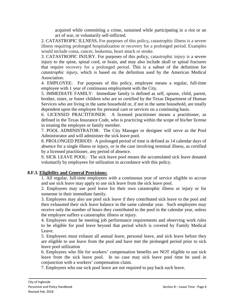acquired while committing a crime, sustained while participating in a riot or an act of war, or voluntarily self-inflicted.

2. CATASTROPIC ILLNESS**.** For purposes of this policy**,** catastrophic illness is a severe illness requiring prolonged hospitalization or recovery for a prolonged period. Examples would include coma, cancer, leukemia, heart attack or stroke.

3. CATASTROPIC INJURY. For purposes of this policy, catastrophic injury is a severe injury to the spine, spinal cord, or brain, and may also include skull or spinal fractures that require recovery for a prolonged period. This is a subset of the definition for *catastrophic injury*, which is based on the definition used by the American Medical Association.

4. EMPLOYEE: For purposes of this policy, employee means a regular, full-time employee with 1 year of continuous employment with the City.

5. IMMEDIATE FAMILY: Immediate family is defined as self, spouse, child, parent, brother, sister, or foster children who are so certified by the Texas Department of Human Services who are living in the same household or, if not in the same household, are totally dependent upon the employee for personal care or services on a continuing basis.

6. LICENSED PRACTITIONER: A licensed practitioner means a practitioner, as defined in the Texas Insurance Code, who is practicing within the scope of his/her license in treating the employee or family member.

7. POOL ADMINISTRATOR: The City Manager or designee will serve as the Pool Administrator and will administer the sick leave pool.

8. PROLONGED PERIOD: A prolonged period of time is defined as 14 calendar days of absence for a single illness or injury, or in the case involving terminal illness, as certified by a licensed practitioner, any period of absence.

9. SICK LEAVE POOL: The sick leave pool means the accumulated sick leave donated voluntarily by employees for utilization in accordance with this policy.

#### **8.F.3. Eligibility and General Provisions:**

1. All regular, full-time employees with a continuous year of service eligible to accrue and use sick leave may apply to use sick leave from the sick leave pool.

2. Employees may use pool leave for their own catastrophic illness or injury or for someone in their immediate family.

3. Employees may also use pool sick leave if they contributed sick leave to the pool and then exhausted their sick leave balance in the same calendar year. Such employees may receive only the number of hours they contributed to the pool in the calendar year, unless the employee suffers a catastrophic illness or injury.

4. Employees must be meeting job performance requirements and observing work rules to be eligible for pool leave beyond that period which is covered by Family Medical Leave.

5. Employees must exhaust all annual leave, personal leave, and sick leave before they are eligible to use leave from the pool and have met the prolonged period prior to sick leave pool utilization

6. Employees who file for workers' compensation benefits are NOT eligible to use sick leave from the sick leave pool. In no case may sick leave pool time be used in conjunction with a workers' compensation claim.

7. Employees who use sick pool leave are not required to pay back such leave.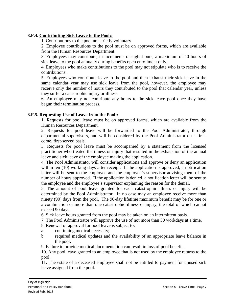## **8.F.4. Contributing Sick Leave to the Pool::**

1. Contributions to the pool are strictly voluntary.

2. Employee contributions to the pool must be on approved forms, which are available from the Human Resources Department.

3. Employees may contribute, in increments of eight hours, a maximum of 40 hours of sick leave to the pool annually during benefits open enrollment only.

4. Employees who make contributions to the pool may not stipulate who is to receive the contributions.

5. Employees who contribute leave to the pool and then exhaust their sick leave in the same calendar year may use sick leave from the pool, however, the employee may receive only the number of hours they contributed to the pool that calendar year, unless they suffer a catastrophic injury or illness.

6. An employee may not contribute any hours to the sick leave pool once they have begun their termination process.

### **8.F.5. Requesting Use of Leave from the Pool::**

1. Requests for pool leave must be on approved forms, which are available from the Human Resources Department.

2. Requests for pool leave will be forwarded to the Pool Administrator, through departmental supervisors, and will be considered by the Pool Administrator on a firstcome, first-served basis.

3. Requests for pool leave must be accompanied by a statement from the licensed practitioner who treated the illness or injury that resulted in the exhaustion of the annual leave and sick leave of the employee making the application.

4. The Pool Administrator will consider applications and approve or deny an application within ten (10) working days after receipt. If the application is approved, a notification letter will be sent to the employee and the employee's supervisor advising them of the number of hours approved. If the application is denied, a notification letter will be sent to the employee and the employee's supervisor explaining the reason for the denial.

5. The amount of pool leave granted for each catastrophic illness or injury will be determined by the Pool Administrator. In no case may an employee receive more than ninety (90) days from the pool. The 90-day lifetime maximum benefit may be for one or a combination or more than one catastrophic illness or injury, the total of which cannot exceed 90 days.

6. Sick leave hours granted from the pool may be taken on an intermittent basis.

7. The Pool Administrator will approve the use of not more than 30 workdays at a time.

8. Renewal of approval for pool leave is subject to:

- a. continuing medical necessity;
- b. required medical updates and the availability of an appropriate leave balance in the pool.

9. Failure to provide medical documentation can result in loss of pool benefits.

10. Any pool leave granted to an employee that is not used by the employee returns to the pool.

11. The estate of a deceased employee shall not be entitled to payment for unused sick leave assigned from the pool.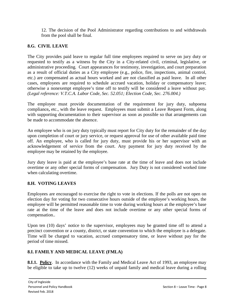12. The decision of the Pool Administrator regarding contributions to and withdrawals from the pool shall be final.

# **8.G. CIVIL LEAVE**

The City provides paid leave to regular full time employees required to serve on jury duty or requested to testify as a witness by the City in a City-related civil, criminal, legislative, or administrative proceeding. Court appearances for testimony, investigation, and court preparation as a result of official duties as a City employee (e.g., police, fire, inspections, animal control, etc.) are compensated as actual hours worked and are not classified as paid leave. In all other cases, employees are required to schedule accrued vacation, holiday or compensatory leave; otherwise a nonexempt employee's time off to testify will be considered a leave without pay. *(Legal reference: V.T.C.A. Labor Code, Sec. 52.051; Election Code, Sec. 276.004.)*

The employee must provide documentation of the requirement for jury duty, subpoena compliance, etc., with the leave request. Employees must submit a Leave Request Form, along with supporting documentation to their supervisor as soon as possible so that arrangements can be made to accommodate the absence.

An employee who is on jury duty typically must report for City duty for the remainder of the day upon completion of court or jury service, or request approval for use of other available paid time off. An employee, who is called for jury duty, must provide his or her supervisor with an acknowledgement of service from the court. Any payment for jury duty received by the employee may be retained by the employee.

Jury duty leave is paid at the employee's base rate at the time of leave and does not include overtime or any other special forms of compensation. Jury Duty is not considered worked time when calculating overtime.

# **8.H. VOTING LEAVES**

Employees are encouraged to exercise the right to vote in elections. If the polls are not open on election day for voting for two consecutive hours outside of the employee's working hours, the employee will be permitted reasonable time to vote during working hours at the employee's base rate at the time of the leave and does not include overtime or any other special forms of compensation..

Upon ten (10) days' notice to the supervisor, employees may be granted time off to attend a precinct convention or a county, district, or state convention to which the employee is a delegate. Time will be charged to vacation, accrued compensatory time, or leave without pay for the period of time missed.

# **8.I. FAMILY AND MEDICAL LEAVE (FMLA)**

**8.I.1. Policy.** In accordance with the Family and Medical Leave Act of 1993, an employee may be eligible to take up to twelve (12) weeks of unpaid family and medical leave during a rolling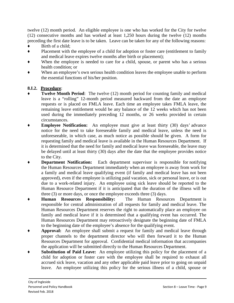twelve (12) month period. An eligible employee is one who has worked for the City for twelve (12) consecutive months and has worked at least 1,250 hours during the twelve (12) months preceding the first date leave is to be taken. Leave can be taken for any of the following reasons:

- Birth of a child;
- ♦ Placement with the employee of a child for adoption or foster care (entitlement to family and medical leave expires twelve months after birth or placement);
- When the employee is needed to care for a child, spouse, or parent who has a serious health condition; or
- When an employee's own serious health condition leaves the employee unable to perform the essential functions of his/her position.

# **8.I.2. Procedure**:

- **Twelve Month Period:** The twelve (12) month period for counting family and medical leave is a "rolling" 12-month period measured backward from the date an employee requests or is placed on FMLA leave. Each time an employee takes FMLA leave, the remaining leave entitlement would be any balance of the 12 weeks which has not been used during the immediately preceding 12 months, or 26 weeks provided in certain circumstances.
- **Employee Notification:** An employee must give at least thirty (30) days' advance notice for the need to take foreseeable family and medical leave, unless the need is unforeseeable, in which case, as much notice as possible should be given. A form for requesting family and medical leave is available in the Human Resources Department. If it is determined that the need for family and medical leave was foreseeable, the leave may be delayed until at least thirty (30) days after the date that the employee provides notice to the City.
- **Department Notification:** Each department supervisor is responsible for notifying the Human Resources Department immediately when an employee is away from work for a family and medical leave qualifying event (if family and medical leave has not been approved), even if the employee is utilizing paid vacation, sick or personal leave, or is out due to a work-related injury. An employee using sick leave should be reported to the Human Resource Department if it is anticipated that the duration of the illness will be three (3) or more days, or once the employee exceeds three (3) days.
- Human Resources Responsibility: The Human Resources Department is responsible for central administration of all requests for family and medical leave. The Human Resources Department reserves the right to automatically place an employee on family and medical leave if it is determined that a qualifying event has occurred. The Human Resources Department may retroactively designate the beginning date of FMLA to the beginning date of the employee's absence for the qualifying event.
- Approval: An employee shall submit a request for family and medical leave through proper channels to the department director who will then forward it to the Human Resources Department for approval. Confidential medical information that accompanies the application will be submitted directly to the Human Resources Department.
- **Substitution of Paid Leave:** An employee utilizing this policy for the placement of a child for adoption or foster care with the employee shall be required to exhaust all accrued sick leave, vacation and any other applicable paid leave prior to going on unpaid leave. An employee utilizing this policy for the serious illness of a child, spouse or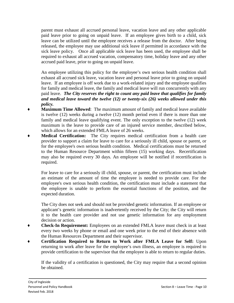parent must exhaust all accrued personal leave, vacation leave and any other applicable paid leave prior to going on unpaid leave. If an employee gives birth to a child, sick leave can be utilized until the employee receives a release from the doctor. After being released, the employee may use additional sick leave if permitted in accordance with the sick leave policy. Once all applicable sick leave has been used, the employee shall be required to exhaust all accrued vacation, compensatory time, holiday leave and any other accrued paid leave, prior to going on unpaid leave.

An employee utilizing this policy for the employee's own serious health condition shall exhaust all accrued sick leave, vacation leave and personal leave prior to going on unpaid leave. If an employee is off work due to a work-related injury and the employee qualifies for family and medical leave, the family and medical leave will run concurrently with any paid leave. *The City reserves the right to count any paid leave that qualifies for family and medical leave toward the twelve (12) or twenty-six (26) weeks allowed under this policy.*

- **Maximum Time Allowed:** The maximum amount of family and medical leave available is twelve (12) weeks during a twelve (12) month period even if there is more than one family and medical leave qualifying event. The only exception to the twelve (12) week maximum is the leave to provide care of an injured service member, described below, which allows for an extended FMLA leave of 26 weeks.
- **Medical Certification:** The City requires medical certification from a health care provider to support a claim for leave to care for a seriously ill child, spouse or parent, or for the employee's own serious health condition. Medical certifications must be returned to the Human Resource Department within fifteen (15) working days. Recertification may also be required every 30 days. An employee will be notified if recertification is required.

For leave to care for a seriously ill child, spouse, or parent, the certification must include an estimate of the amount of time the employee is needed to provide care. For the employee's own serious health condition, the certification must include a statement that the employee is unable to perform the essential functions of the position, and the expected duration.

The City does not seek and should not be provided genetic information. If an employee or applicant's genetic information is inadvertently received by the City; the City will return it to the health care provider and not use genetic information for any employment decision or action.

- **Check-In Requirement:** Employees on an extended FMLA leave must check in at least every two weeks by phone or email and one week prior to the end of their absence with the Human Resources Department and their supervisor.
- ♦ **Certification Required to Return to Work after FMLA Leave for Self:** Upon returning to work after leave for the employee's own illness, an employee is required to provide certification to the supervisor that the employee is able to return to regular duties.

If the validity of a certification is questioned, the City may require that a second opinion be obtained.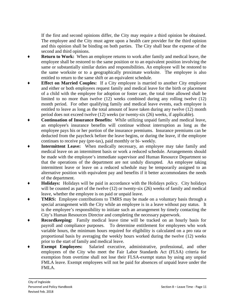If the first and second opinions differ, the City may require a third opinion be obtained. The employee and the City must agree upon a health care provider for the third opinion and this opinion shall be binding on both parties. The City shall bear the expense of the second and third opinions.

- **Return to Work:** When an employee returns to work after family and medical leave, the employee shall be restored to the same position or to an equivalent position involving the same or substantially similar duties and responsibilities. An employee will be restored to the same worksite or to a geographically proximate worksite. The employee is also entitled to return to the same shift or an equivalent schedule.
- **Effect on Married Couples:** If a City employee is married to another City employee and either or both employees request family and medical leave for the birth or placement of a child with the employee for adoption or foster care, the total time allowed shall be limited to no more than twelve (12) weeks combined during any rolling twelve (12) month period. For other qualifying family and medical leave events, each employee is entitled to leave as long as the total amount of leave taken during any twelve (12) month period does not exceed twelve (12) weeks (or twenty-six (26) weeks, if applicable).
- Continuation of Insurance Benefits: While utilizing unpaid family and medical leave, an employee's insurance benefits will continue without interruption as long as the employee pays his or her portion of the insurance premiums. Insurance premiums can be deducted from the paycheck before the leave begins, or during the leave, if the employee continues to receive pay (pre-tax), paid monthly or bi- weekly.
- **Intermittent Leave:** When medically necessary, an employee may take family and medical leave on an intermittent basis or work a reduced schedule. Arrangements should be made with the employee's immediate supervisor and Human Resource Department so that the operations of the department are not unduly disrupted. An employee taking intermittent leave or leave on a reduced schedule may be temporarily assigned to an alternative position with equivalent pay and benefits if it better accommodates the needs of the department.
- **Holidays:** Holidays will be paid in accordance with the Holidays policy. City holidays will be counted as part of the twelve (12) or twenty-six (26) weeks of family and medical leave, whether the employee is on paid or unpaid leave.
- **TMRS:** Employee contributions to TMRS may be made on a voluntary basis through a special arrangement with the City while an employee is in a leave without pay status. It is the employee's responsibility to initiate such an arrangement by timely contacting the City's Human Resources Director and completing the necessary paperwork.
- **Recordkeeping:** Family medical leave time will be tracked on an hourly basis for payroll and compliance purposes. To determine entitlement for employees who work variable hours, the minimum hours required for eligibility is calculated on a pro rata or proportional basis by averaging the weekly hours worked during the twelve (12) weeks prior to the start of family and medical leave.
- **Exempt Employees:** Salaried executive, administrative, professional, and other employees of the City who meet the Fair Labor Standards Act (FLSA) criteria for exemption from overtime shall not lose their FLSA-exempt status by using any unpaid FMLA leave. Exempt employees will not be paid for absences of unpaid leave under the FMLA.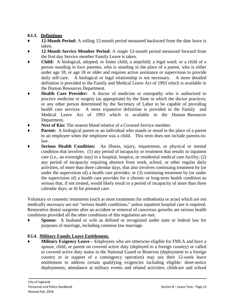# **8.I.3. Definitions**

- 12-Month Period: A rolling 12-month period measured backward from the date leave is taken.
- **12-Month Service Member Period:** A single 12-month period measured forward from the first day Service member Family Leave is taken.
- **Child:** A biological, adopted, or foster child; a stepchild; a legal ward; or a child of a person standing in loco parentis, who is standing in the place of a parent, who is either under age 18, or age 18 or older and requires active assistance or supervision to provide daily self-care. A biological or legal relationship is not necessary. A more detailed definition is provided in the Family and Medical Leave Act of 1993 which is available in the Human Resources Department.
- **Health Care Provider:** A doctor of medicine or osteopathy who is authorized to practice medicine or surgery (as appropriate) by the State in which the doctor practices; or any other person determined by the Secretary of Labor to be capable of providing health care services. A more expansive definition is provided in the Family and Medical Leave Act of 1993 which is available in the Human Resources Department.
- **Next of Kin:** The nearest blood relative of a Covered Service member.
- **Parent:** A biological parent or an individual who stands or stood in the place of a parent to an employee when the employee was a child. This term does not include parents-inlaw.
- **Serious Health Condition:** An illness, injury, impairment, or physical or mental condition that involves: (1) any period of incapacity or treatment that results in inpatient care (i.e., an overnight stay) in a hospital, hospice, or residential medical care facility; (2) any period of incapacity requiring absence from work, school, or other regular daily activities, of more than three calendar days, that also involves continuing treatment by (or under the supervision of) a health care provider; or (3) continuing treatment by (or under the supervision of) a health care provider for a chronic or long-term health condition so serious that, if not treated, would likely result in a period of incapacity of more than three calendar days; or 4) for prenatal care.

Voluntary or cosmetic treatments (such as most treatments for orthodontia or acne) which are not medically necessary are not "serious health conditions," unless inpatient hospital care is required. Restorative dental surgeries after an accident or removal of cancerous growths are serious health conditions provided all the other conditions of this regulation are met.

**Spouse:** A husband or wife as defined or recognized under state or federal law for purposes of marriage, including common law marriage.

# **8.I.4. Military Family Leave Entitlement.**

**Military Exigency Leave** – Employees who are otherwise eligible for FMLA and have a spouse, child, or parent on covered active duty (deployed to a foreign country) or called to covered active duty status in the National Guard or Reserves (deployment to a foreign country or in support of a contingency operation) may use their 12-week leave entitlement to address certain qualifying exigencies including eligible: short-notice deployments; attendance at military events and related activities; childcare and school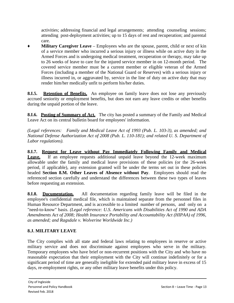activities; addressing financial and legal arrangements; attending counseling sessions; attending post-deployment activities; up to 15 days of rest and recuperation; and parental care.

**Military Caregiver Leave** – Employees who are the spouse, parent, child or next of kin of a service member who incurred a serious injury or illness while on active duty in the Armed Forces and is undergoing medical treatment, recuperation or therapy, may take up to 26 weeks of leave to care for the injured service member in on 12-month period. The covered service member must be a current member or eligible veteran of the Armed Forces (including a member of the National Guard or Reserves) with a serious injury or illness incurred in, or aggravated by, service in the line of duty on active duty that may render him/her medically unfit to perform his/her duties.

**8.I.5.** Retention of Benefits. An employee on family leave does not lose any previously accrued seniority or employment benefits, but does not earn any leave credits or other benefits during the unpaid portion of the leave.

**8.I.6. Posting of Summary of Act.** The city has posted a summary of the Family and Medical Leave Act on its central bulletin board for employees' information.

*(Legal references: Family and Medical Leave Act of 1993 (Pub. L. 103-3), as amended; and National Defense Authorization Act of 2008 (Pub. L. 110-181); and related U. S. Department of Labor regulations).*

**8.I.7. Request for Leave without Pay Immediately Following Family and Medical** Leave. If an employee requests additional unpaid leave beyond the 12-week maximum allowable under the family and medical leave provisions of these policies (or the 26-week period, if applicable), any extension granted will be under the terms set out in these policies headed **Section 8.M. Other Leaves of Absence without Pay**. Employees should read the referenced section carefully and understand the differences between these two types of leaves before requesting an extension.

**8.I.8. Documentation.** All documentation regarding family leave will be filed in the employee's confidential medical file, which is maintained separate from the personnel files in Human Resource Department, and is accessible to a limited number of persons, and only on a "need-to-know" basis. *(Legal reference: U.S. Americans with Disabilities Act of 1990 and ADA Amendments Act of 2008; Health Insurance Portability and Accountability Act (HIPAA) of 1996, as amended; and Ragsdale v. Wolverine Worldwide Inc.)*

# **8.J. MILITARY LEAVE**

The City complies with all state and federal laws relating to employees in reserve or active military service and does not discriminate against employees who serve in the military. Temporary employees who have brief or non-recurrent positions with the City and who have no reasonable expectation that their employment with the City will continue indefinitely or for a significant period of time are generally ineligible for extended paid military leave in excess of 15 days, re-employment rights, or any other military leave benefits under this policy.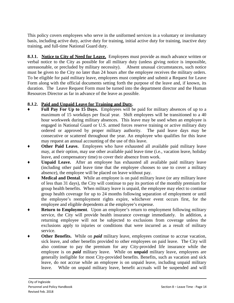This policy covers employees who serve in the uniformed services in a voluntary or involuntary basis, including active duty, active duty for training, initial active duty for training, inactive duty training, and full-time National Guard duty.

**8.J.1.** Notice to City of Need for Leave. Employees must provide as much advance written or verbal notice to the City as possible for all military duty (unless giving notice is impossible, unreasonable, or precluded by military necessity). Absent unusual circumstances, such notice must be given to the City no later than 24 hours after the employee receives the military orders. To be eligible for paid military leave, employees must complete and submit a Request for Leave Form along with the official documents setting forth the purpose of the leave and, if known, its duration. The Leave Request Form must be turned into the department director and the Human Resources Director as far in advance of the leave as possible.

# **8.J.2. Paid and Unpaid Leave for Training and Duty.**

- **Full Pay For Up to 15 Days.** Employees will be paid for military absences of up to a maximum of 15 workdays per fiscal year. Shift employees will be transitioned to a 40 hour workweek during military absences. This leave may be used when an employee is engaged in National Guard or U.S. armed forces reserve training or active military duty ordered or approved by proper military authority. The paid leave days may be consecutive or scattered throughout the year. An employee who qualifies for this leave may request an annual accounting of the use of this leave.
- Other Paid Leave. Employees who have exhausted all available paid military leave may, at their option, may use other available paid leave time (i.e., vacation leave, holiday leave, and compensatory time) to cover their absence from work.
- Unpaid Leave. After an employee has exhausted all available paid military leave (including other paid leave time that the employee chooses to use to cover a military absence), the employee will be placed on leave without pay.
- **Medical and Dental**. While an employee is on paid military leave (or any military leave of less than 31 days), the City will continue to pay its portion of the monthly premium for group health benefits. When military leave is unpaid, the employee may elect to continue group health coverage for up to 24 months following separation of employment or until the employee's reemployment rights expire, whichever event occurs first, for the employee and eligible dependents at the employee's expense.
- **Return to Employment**. Upon an employee's return to employment following military service, the City will provide health insurance coverage immediately. In addition, a returning employee will not be subjected to exclusions from coverage unless the exclusions apply to injuries or conditions that were incurred as a result of military service.
- **Other Benefits.** While on *paid* military leave, employees continue to accrue vacation, sick leave, and other benefits provided to other employees on paid leave. The City will also continue to pay the premium for any City-provided life insurance while the employee is on *paid* military leave. While on **unpaid** military leave, employees are generally ineligible for most City-provided benefits. Benefits, such as vacation and sick leave, do not accrue while an employee is on unpaid leave, including unpaid military leave. While on unpaid military leave, benefit accruals will be suspended and will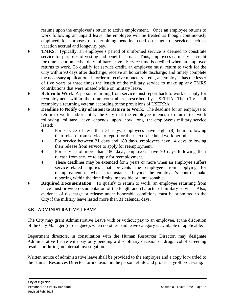resume upon the employee's return to active employment. Once an employee returns to work following an unpaid leave, the employee will be treated as though continuously employed for purposes of determining benefits based on length of service, such as vacation accrual and longevity pay.

- **TMRS.** Typically, an employee's period of uniformed service is deemed to constitute service for purposes of vesting and benefit accrual. Thus, employees earn service credit for time spent on active duty military leave. Service time is credited when an employee returns to work. To qualify for service credit, an employee must: return to work for the City within 90 days after discharge; receive an honorable discharge; and timely complete the necessary application. In order to receive monetary credit, an employee has the lesser of five years or three times the length of the military service to make up any TMRS contributions that were missed while on military leave.
- **Return to Work:** A person returning from service must report back to work or apply for reemployment within the time constraints prescribed by USERRA. The City shall reemploy a returning veteran according to the provisions of USERRA.
- **Deadline to Notify City of Intent to Return to Work.** The deadline for an employee to return to work and/or notify the City that the employee intends to return to work following military leave depends upon how long the employee's military service lasted:
	- ♦ For service of less than 31 days, employees have eight (8) hours following their release from service to report for their next scheduled work period.
	- For service between 31 days and 180 days, employees have 14 days following their release from service to apply for reemployment.
	- For service of more than 180 days, employees have 90 days following their release from service to apply for reemployment.
	- These deadlines may be extended for 2 years or more when an employee suffers service-related injuries that prevents the employee from applying for reemployment or when circumstances beyond the employee's control make reporting within the time limits impossible or unreasonable.
- **Required Documentation.** To qualify to return to work, an employee returning from leave must provide documentation of the length and character of military service. Also, evidence of discharge or release under honorable conditions must be submitted to the City if the military leave lasted more than 31 calendar days.

# **8.K. ADMINISTRATIVE LEAVE**

The City may grant Administrative Leave with or without pay to an employee**,** at the discretion of the City Manager (or designee)**,** when no other paid leave category is available or applicable.

Department directors, in consultation with the Human Resources Director, may designate Administrative Leave with pay only pending a disciplinary decision or drug/alcohol screening results, or during an internal investigation.

Written notice of administrative leave shall be provided to the employee and a copy forwarded to the Human Resources Director for inclusion in the personnel file and proper payroll processing.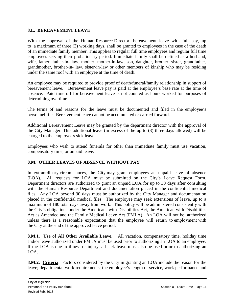#### **8.L. BEREAVEMENT LEAVE**

With the approval of the Human Resource Director, bereavement leave with full pay, up to a maximum of three (3) working days, shall be granted to employees in the case of the death of an immediate family member. This applies to regular full time employees and regular full time employees serving their probationary period. Immediate family shall be defined as a husband, wife, father, father-in- law, mother, mother-in-law, son, daughter, brother, sister, grandfather, grandmother, brother-in- law, sister-in-law or other members of kinship who may be residing under the same roof with an employee at the time of death.

An employee may be required to provide proof of death/funeral/family relationship in support of bereavement leave. Bereavement leave pay is paid at the employee's base rate at the time of absence. Paid time off for bereavement leave is not counted as hours worked for purposes of determining overtime.

The terms of and reasons for the leave must be documented and filed in the employee's personnel file. Bereavement leave cannot be accumulated or carried forward.

Additional Bereavement Leave may be granted by the department director with the approval of the City Manager. This additional leave (in excess of the up to (3) three days allowed) will be charged to the employee's sick leave.

Employees who wish to attend funerals for other than immediate family must use vacation, compensatory time, or unpaid leave.

# **8.M. OTHER LEAVES OF ABSENCE WITHOUT PAY**

In extraordinary circumstances, the City may grant employees an unpaid leave of absence (LOA). All requests for LOA must be submitted on the City's Leave Request Form. Department directors are authorized to grant an unpaid LOA for up to 30 days after consulting with the Human Resource Department and documentation placed in the confidential medical files. Any LOA beyond 30 days must be authorized by the City Manager and documentation placed in the confidential medical files. The employee may seek extensions of leave, up to a maximum of 180 total days away from work. This policy will be administered consistently with the City's obligations under the Americans with Disabilities Act, the American with Disabilities Act as Amended and the Family Medical Leave Act (FMLA). An LOA will not be authorized unless there is a reasonable expectation that the employee will return to employment with the City at the end of the approved leave period.

**8.M.1.** Use of All Other Available Leave. All vacation, compensatory time, holiday time and/or leave authorized under FMLA must be used prior to authorizing an LOA to an employee. If the LOA is due to illness or injury, all sick leave must also be used prior to authorizing an LOA.

**8.M.2. Criteria**. Factors considered by the City in granting an LOA include the reason for the leave; departmental work requirements; the employee's length of service, work performance and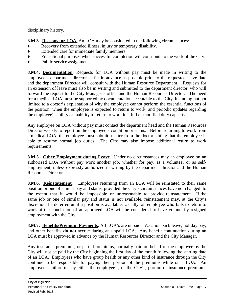disciplinary history.

**8.M.3**. **Reasons for LOA.** An LOA may be considered in the following circumstances:

- Recovery from extended illness, injury or temporary disability.
- ♦ Extended care for immediate family members.
- ♦ Educational purposes when successful completion will contribute to the work of the City.
- ♦ Public service assignment.

**8.M.4. Documentation**. Requests for LOA without pay must be made in writing to the employee's department director as far in advance as possible prior to the requested leave date and the department Director will consult with the Human Resource Department. Requests for an extension of leave must also be in writing and submitted to the department director, who will forward the request to the City Manager's office and the Human Resources Director. The need for a medical LOA must be supported by documentation acceptable to the City, including but not limited to a doctor's explanation of why the employee cannot perform the essential functions of the position, when the employee is expected to return to work, and periodic updates regarding the employee's ability or inability to return to work in a full or modified duty capacity.

Any employee on LOA without pay must contact the department head and the Human Resources Director weekly to report on the employee's condition or status. Before returning to work from a medical LOA, the employee must submit a letter from the doctor stating that the employee is able to resume normal job duties. The City may also impose additional return to work requirements.

**8.M.5. Other Employment during Leave**. Under no circumstances may an employee on an authorized LOA without pay work another job, whether for pay, as a volunteer or as selfemployment, unless expressly authorized in writing by the department director and the Human Resources Director.

**8.M.6. Reinstatement**. Employees returning from an LOA will be reinstated to their same position or one of similar pay and status, provided the City's circumstances have not changed to the extent that it would be impossible or unreasonable to provide reinstatement. If the same job or one of similar pay and status is not available, reinstatement may, at the City's discretion, be deferred until a position is available. Usually, an employee who fails to return to work at the conclusion of an approved LOA will be considered to have voluntarily resigned employment with the City.

**8.M.7. Benefits/Premium Payments**. All LOA's are unpaid. Vacation, sick leave, holiday pay, and other benefits **do not** accrue during an unpaid LOA. Any benefit continuation during an LOA must be approved in advance by the Human Resources Director and the City Manager.

Any insurance premiums, or partial premiums, normally paid on behalf of the employee by the City will not be paid by the City beginning the first day of the month following the starting date of an LOA. Employees who have group health or any other kind of insurance through the City continue to be responsible for paying their portion of the premiums while on a LOA. An employee's failure to pay either the employee's, or the City's, portion of insurance premiums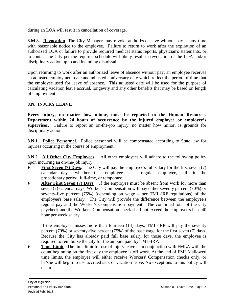during an LOA will result in cancellation of coverage.

**8.M.8. Revocation**. The City Manager may revoke authorized leave without pay at any time with reasonable notice to the employee. Failure to return to work after the expiration of an authorized LOA or failure to provide required medical status reports, physician's statements, or to contact the City per the required schedule will likely result in revocation of the LOA and/or disciplinary action up to and including dismissal.

Upon returning to work after an authorized leave of absence without pay, an employee receives an adjusted employment date and adjusted anniversary date which reflect the period of time that the employee used for leave of absence. This adjusted date will be used for the purpose of calculating vacation leave accrual, longevity and any other benefits that may be based on length of employment.

### **8.N. INJURY LEAVE**

**Every injury, no matter how minor, must be reported to the Human Resources Department within 24 hours of occurrence by the injured employee or employee's supervisor.** Failure to report an on-the-job injury, no matter how minor, is grounds for disciplinary action.

**8.N.1. Police Personnel**. Police personnel will be compensated according to State law for injuries occurring in the course of employment.

**8.N.2. All Other City Employees.** All other employees will adhere to the following policy upon incurring an on-the-job injury:

- ♦ **First Seven (7) Days**. The City will pay the employee's full salary for the first seven (7) calendar days, whether that employee is a regular employee, still in the probationary period, full-time, or temporary
- **After First Seven (7) Days.** If the employee must be absent from work for more than seven (7) calendar days, Worker's Compensation will pay either seventy percent (70%) or seventy-five percent (75%) (depending on wage – per TML-IRP regulations) of the employee's base salary. The City will provide the difference between the employee's regular pay and the Worker's Compensation payment. The combined total of the City paycheck and the Worker's Compensation check shall not exceed the employee's base 40 hour per week salary.

If the employee misses more than fourteen (14) days, TML-IRP will pay the seventy percent (70%) or seventy-five percent (75%) of the base wage for the first seven (7) days. Because the City has already paid full base salary for those days, the employee is required to reimburse the city for the amount paid by TML-IRP.

**Time Limit**. The time limit for use of injury leave is in conjunction with FMLA with the count beginning on the first day the employee is off work. At the end of FMLA allowed time limits, the employee will either receive Workers' Compensation checks only, or he/she will begin to use accrued sick or vacation leave. No exceptions to this policy will occur.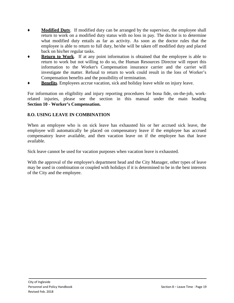- **Modified Duty**. If modified duty can be arranged by the supervisor, the employee shall return to work on a modified duty status with no loss in pay. The doctor is to determine what modified duty entails as far as activity. As soon as the doctor rules that the employee is able to return to full duty, he/she will be taken off modified duty and placed back on his/her regular tasks.
- **Return to Work**. If at any point information is obtained that the employee is able to return to work but not willing to do so, the Human Resources Director will report this information to the Worker's Compensation insurance carrier and the carrier will investigate the matter. Refusal to return to work could result in the loss of Worker's Compensation benefits and the possibility of termination.
- **Benefits**. Employees accrue vacation, sick and holiday leave while on injury leave.

For information on eligibility and injury reporting procedures for bona fide, on-the-job, workrelated injuries, please see the section in this manual under the main heading **Section 10 - Worker's Compensation.**

# **8.O. USING LEAVE IN COMBINATION**

When an employee who is on sick leave has exhausted his or her accrued sick leave, the employee will automatically be placed on compensatory leave if the employee has accrued compensatory leave available, and then vacation leave on if the employee has that leave available.

Sick leave cannot be used for vacation purposes when vacation leave is exhausted.

With the approval of the employee's department head and the City Manager, other types of leave may be used in combination or coupled with holidays if it is determined to be in the best interests of the City and the employee.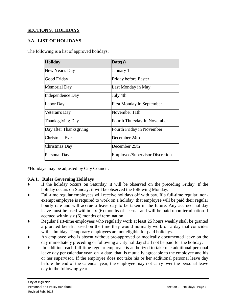## **SECTION 9. HOLIDAYS**

### **9.A. LIST OF HOLIDAYS**

The following is a list of approved holidays:

| <b>Holiday</b>          | Date(s)                               |
|-------------------------|---------------------------------------|
| New Year's Day          | January 1                             |
| Good Friday             | <b>Friday before Easter</b>           |
| <b>Memorial Day</b>     | Last Monday in May                    |
| <b>Independence Day</b> | July 4th                              |
| Labor Day               | <b>First Monday in September</b>      |
| Veteran's Day           | November 11th                         |
| <b>Thanksgiving Day</b> | Fourth Thursday In November           |
| Day after Thanksgiving  | Fourth Friday in November             |
| <b>Christmas</b> Eve    | December 24th                         |
| Christmas Day           | December 25th                         |
| Personal Day            | <b>Employee/Supervisor Discretion</b> |

\*Holidays may be adjusted by City Council.

#### **9.A.1. Rules Governing Holidays**

- If the holiday occurs on Saturday, it will be observed on the preceding Friday. If the holiday occurs on Sunday, it will be observed the following Monday.
- Full-time regular employees will receive holidays off with pay. If a full-time regular, nonexempt employee is required to work on a holiday, that employee will be paid their regular hourly rate and will accrue a leave day to be taken in the future. Any accrued holiday leave must be used within six (6) months of accrual and will be paid upon termination if accrued within six (6) months of termination.
- Regular Part-time employees who regularly work at least 25 hours weekly shall be granted a prorated benefit based on the time they would normally work on a day that coincides with a holiday. Temporary employees are not eligible for paid holidays.
- An employee who is absent without pre-approved or medically documented leave on the day immediately preceding or following a City holiday shall not be paid for the holiday.
- In addition, each full-time regular employee is authorized to take one additional personal leave day per calendar year on a date that is mutually agreeable to the employee and his or her supervisor. If the employee does not take his or her additional personal leave day before the end of the calendar year, the employee may not carry over the personal leave day to the following year.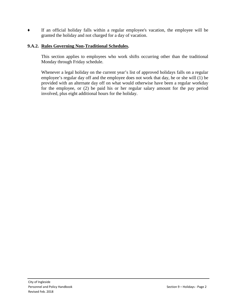♦ If an official holiday falls within a regular employee's vacation, the employee will be granted the holiday and not charged for a day of vacation.

# **9.A.2. Rules Governing Non-Traditional Schedules.**

This section applies to employees who work shifts occurring other than the traditional Monday through Friday schedule.

Whenever a legal holiday on the current year's list of approved holidays falls on a regular employee's regular day off and the employee does not work that day, he or she will (1) be provided with an alternate day off on what would otherwise have been a regular workday for the employee, or (2) be paid his or her regular salary amount for the pay period involved, plus eight additional hours for the holiday.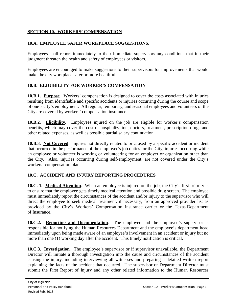# **SECTION 10. WORKERS' COMPENSATION**

# **10.A. EMPLOYEE SAFER WORKPLACE SUGGESTIONS.**

Employees shall report immediately to their immediate supervisors any conditions that in their judgment threaten the health and safety of employees or visitors.

Employees are encouraged to make suggestions to their supervisors for improvements that would make the city workplace safer or more healthful.

# **10.B. ELIGIBILITY FOR WORKER'S COMPENSATION**

**10.B.1. Purpose**. Workers' compensation is designed to cover the costs associated with injuries resulting from identifiable and specific accidents or injuries occurring during the course and scope of one's city's employment. All regular, temporary, and seasonal employees and volunteers of the City are covered by workers' compensation insurance.

**10.B.2**. **Eligibility**. Employees injured on the job are eligible for worker's compensation benefits, which may cover the cost of hospitalization, doctors, treatment, prescription drugs and other related expenses, as well as possible partial salary continuation.

**10.B.3**. **Not Covered**. Injuries not directly related to or caused by a specific accident or incident that occurred in the performance of the employee's job duties for the City, injuries occurring while an employee or volunteer is working or volunteering for an employer or organization other than the City. Also, injuries occurring during self-employment, are not covered under the City's workers' compensation plan.

# **10.C. ACCIDENT AND INJURY REPORTING PROCEDURES**

**10.C. 1. Medical Attention**. When an employee is injured on the job, the City's first priority is to ensure that the employee gets timely medical attention and possible drug screen. The employee must immediately report the circumstances of the accident and/or injury to the supervisor who will direct the employee to seek medical treatment, if necessary, from an approved provider list as provided by the City's Workers' Compensation insurance carrier or the Texas Department of Insurance.

**10.C.2. Reporting and Documentation**. The employee and the employee's supervisor is responsible for notifying the Human Resources Department and the employee's department head immediately upon being made aware of an employee's involvement in an accident or injury but no more than one (1) working day after the accident. This timely notification is critical.

**10.C.3. Investigation**. The employee's supervisor or if supervisor unavailable, the Department Director will initiate a thorough investigation into the cause and circumstances of the accident causing the injury, including interviewing all witnesses and preparing a detailed written report explaining the facts of the accident that occurred. The supervisor or Department Director must submit the First Report of Injury and any other related information to the Human Resources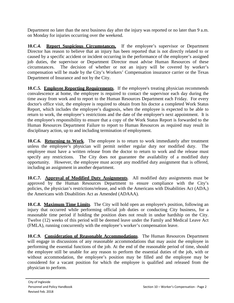Department no later than the next business day after the injury was reported or no later than 9 a.m. on Monday for injuries occurring over the weekend.

**10.C.4. Report Suspicious Circumstances.** If the employee's supervisor or Department Director has reason to believe that an injury has been reported that is not directly related to or caused by a specific accident or incident occurring in the performance of the employee's assigned job duties, the supervisor or Department Director must advise Human Resources of these circumstances. The decision of whether or not an injury will be covered by worker's compensation will be made by the City's Workers' Compensation insurance carrier or the Texas Department of Insurance and not by the City.

**10.C.5. Employee Reporting Requirements**. If the employee's treating physician recommends convalescence at home, the employee is required to contact the supervisor each day during the time away from work and to report to the Human Resources Department each Friday. For every doctor's office visit, the employee is required to obtain from his doctor a completed Work Status Report, which includes the employee's diagnosis, when the employee is expected to be able to return to work, the employee's restrictions and the date of the employee's next appointment. It is the employee's responsibility to ensure that a copy of the Work Status Report is forwarded to the Human Resources Department Failure to report to Human Resources as required may result in disciplinary action, up to and including termination of employment.

**10.C.6. Returning to Work**. The employee is to return to work immediately after treatment unless the employee's physician will permit neither regular duty nor modified duty. The employee must have a written release from the doctor to return to work and the release must specify any restrictions. The City does not guarantee the availability of a modified duty opportunity. However, the employee must accept any modified duty assignment that is offered, including an assignment in another department.

**10.C.7. Approval of Modified Duty Assignments**. All modified duty assignments must be approved by the Human Resources Department to ensure compliance with the City's policies, the physician's restrictions/release, and with the Americans with Disabilities Act (ADA,) the Americans with Disabilities Act as Amended (ADAAA).

**10.C.8. Maximum Time Limits**. The City will hold open an employee's position, following an injury that occurred while performing official job duties or conducting City business, for a reasonable time period if holding the position does not result in undue hardship on the City. Twelve (12) weeks of this period will be deemed leave under the Family and Medical Leave Act (FMLA), running concurrently with the employee's worker's compensation leave.

**10.C.9. Consideration of Reasonable Accommodations**. The Human Resources Department will engage in discussions of any reasonable accommodations that may assist the employee in performing the essential functions of the job. At the end of the reasonable period of time, should the employee still be unable for any reason to perform the essential duties of the job, with or without accommodation, the employee's position may be filled and the employee may be considered for a vacant position for which the employee is qualified and released from the physician to perform.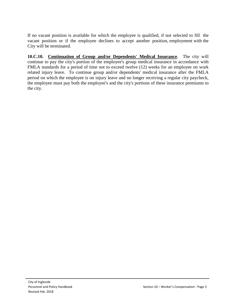If no vacant position is available for which the employee is qualified, if not selected to fill the vacant position or if the employee declines to accept another position, employment with the City will be terminated.

**10.C.10. Continuation of Group and/or Dependents' Medical Insurance**. The city will continue to pay the city's portion of the employee's group medical insurance in accordance with FMLA standards for a period of time not to exceed twelve (12) weeks for an employee on work related injury leave. To continue group and/or dependents' medical insurance after the FMLA period on which the employee is on injury leave and no longer receiving a regular city paycheck, the employee must pay both the employee's and the city's portions of these insurance premiums to the city.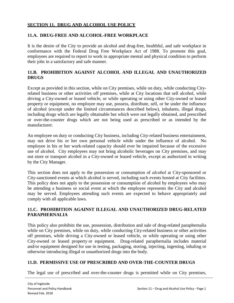### **SECTION 11. DRUG AND ALCOHOL USE POLICY**

#### **11.A. DRUG-FREE AND ALCOHOL-FREE WORKPLACE**

It is the desire of the City to provide an alcohol and drug-free, healthful, and safe workplace in conformance with the Federal Drug Free Workplace Act of 1988. To promote this goal, employees are required to report to work in appropriate mental and physical condition to perform their jobs in a satisfactory and safe manner.

# **11.B. PROHIBITION AGAINST ALCOHOL AND ILLEGAL AND UNAUTHORIZED DRUGS**

Except as provided in this section, while on City premises, while on duty, while conducting Cityrelated business or other activities off premises, while at City locations that sell alcohol, while driving a City-owned or leased vehicle, or while operating or using other City-owned or leased property or equipment, no employee may use, possess, distribute, sell, or be under the influence of alcohol (except under the limited circumstances described below), inhalants, illegal drugs, including drugs which are legally obtainable but which were not legally obtained, and prescribed or over-the-counter drugs which are not being used as prescribed or as intended by the manufacturer.

An employee on duty or conducting City business, including City-related business entertainment, may not drive his or her own personal vehicle while under the influence of alcohol. No employee in his or her work-related capacity should ever be impaired because of the excessive use of alcohol. City employees may not bring alcoholic beverages on City premises, and may not store or transport alcohol in a City-owned or leased vehicle, except as authorized in writing by the City Manager.

This section does not apply to the possession or consumption of *alcohol* at City-sponsored or City-sanctioned events at which alcohol is served, including such events hosted at City facilities. This policy does not apply to the possession or consumption of alcohol by employees who may be attending a business or social event at which the employee represents the City and alcohol may be served. Employees attending such events are expected to behave appropriately and comply with all applicable laws.

### **11.C. PROHIBITION AGAINST ILLEGAL AND UNAUTHORIZED DRUG-RELATED PARAPHERNALIA**

This policy also prohibits the use, possession, distribution and sale of drug-related paraphernalia while on City premises, while on duty, while conducting City**-**related business or other activities off premises, while driving a City-owned or leased vehicle, or while operating or using other City-owned or leased property or equipment. Drug-related paraphernalia includes material and/or equipment designed for use in testing, packaging, storing, injecting, ingesting, inhaling or otherwise introducing illegal or unauthorized drugs into the body.

# **11.D. PERMISSIVE USE OF PRESCRIBED AND OVER-THE-COUNTER DRUGS**

The legal use of prescribed and over-the-counter drugs is permitted while on City premises,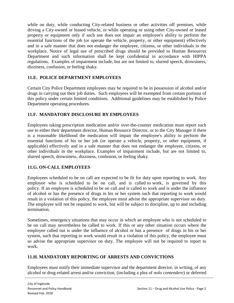while on duty, while conducting City-related business or other activities off premises, while driving a City-owned or leased vehicle, or while operating or using other City-owned or leased property or equipment only if such use does not impair an employee's ability to perform the essential functions of the job (or operate the vehicle, property, or other equipment) effectively and in a safe manner that does not endanger the employee, citizens, or other individuals in the workplace. Notice of legal use of prescribed drugs should be provided to Human Resources Department and such information shall be kept confidential in accordance with HIPPA regulations. Examples of impairment include, but are not limited to, slurred speech, drowsiness, dizziness, confusion, or feeling shaky.

# **11.E. POLICE DEPARTMENT EMPLOYEES**

Certain City Police Department employees may be required to be in possession of alcohol and/or drugs in carrying out their job duties. Such employees will be exempted from certain portions of this policy under certain limited conditions. Additional guidelines may be established by Police Department operating procedures.

# **11.F. MANDATORY DISCLOSURE BY EMPLOYEES**

Employees taking prescription medication and/or over-the-counter medication must report such use to either their department director, Human Resource Director, or to the City Manager if there is a reasonable likelihood the medication will impair the employee's ability to perform the essential functions of his or her job (or operate a vehicle, property, or other equipment, if applicable) effectively and in a safe manner that does not endanger the employee, citizens, or other individuals in the workplace. Examples of impairment include, but are not limited to, slurred speech, drowsiness, dizziness, confusion, or feeling shaky.

# **11.G. ON-CALL EMPLOYEES**

Employees scheduled to be on call are expected to be fit for duty upon reporting to work. Any employee who is scheduled to be on call, and is called to work, is governed by this policy. If an employee is scheduled to be on call and is called to work and is under the influence of alcohol or has the presence of drugs in his or her system such that reporting to work would result in a violation of this policy, the employee must advise the appropriate supervisor on duty. The employee will not be required to work, but will be subject to discipline, up to and including termination.

Sometimes, emergency situations that may occur in which an employee who is not scheduled to be on call may nevertheless be called to work. If this or any other situation occurs where the employee called out is under the influence of alcohol or has a presence of drugs in his or her system, such that reporting to work would result in a violation of this policy, the employee must so advise the appropriate supervisor on duty. The employee will not be required to report to work.

# **11.H. MANDATORY REPORTING OF ARRESTS AND CONVICTIONS**

Employees must notify their immediate supervisor and the department director, in writing, of any alcohol or drug-related arrest and/or conviction, (including a plea of *nolo contendere*) or deferred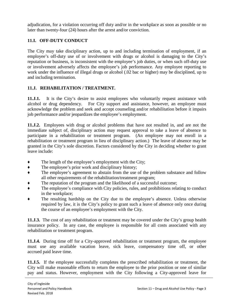adjudication, for a violation occurring off duty and/or in the workplace as soon as possible or no later than twenty-four (24) hours after the arrest and/or conviction.

# **11.I. OFF-DUTY CONDUCT**

The City may take disciplinary action, up to and including termination of employment, if an employee's off-duty use of or involvement with drugs or alcohol is damaging to the City's reputation or business, is inconsistent with the employee's job duties, or when such off-duty use or involvement adversely affects the employee's job performance. Any employee reporting to work under the influence of illegal drugs or alcohol (.02 bac or higher) may be disciplined, up to and including termination.

# **11.J. REHABILITATION / TREATMENT.**

**11.J.1.** It is the City's desire to assist employees who voluntarily request assistance with alcohol or drug dependency. For City support and assistance, however, an employee must acknowledge the problem and seek and accept counseling and/or rehabilitation before it impairs job performance and/or jeopardizes the employee's employment.

**11.J.2.** Employees with drug or alcohol problems that have not resulted in, and are not the immediate subject of, disciplinary action may request approval to take a leave of absence to participate in a rehabilitation or treatment program. (An employee may not enroll in a rehabilitation or treatment program in lieu of disciplinary action.) The leave of absence may be granted in the City's sole discretion. Factors considered by the City in deciding whether to grant leave include:

- ♦ The length of the employee's employment with the City;
- ♦ The employee's prior work and disciplinary history;
- ♦ The employee's agreement to abstain from the use of the problem substance and follow all other requirements of the rehabilitation/treatment program;
- The reputation of the program and the likelihood of a successful outcome;
- ♦ The employee's compliance with City policies, rules, and prohibitions relating to conduct in the workplace;
- The resulting hardship on the City due to the employee's absence. Unless otherwise required by law, it is the City's policy to grant such a leave of absence only once during the course of an employee's employment with the City.

**11.J.3.** The cost of any rehabilitation or treatment may be covered under the City's group health insurance policy. In any case, the employee is responsible for all costs associated with any rehabilitation or treatment program.

**11.J.4.** During time off for a City-approved rehabilitation or treatment program, the employee must use any available vacation leave, sick leave, compensatory time off, or other accrued paid leave time.

**11.J.5.** If the employee successfully completes the prescribed rehabilitation or treatment, the City will make reasonable efforts to return the employee to the prior position or one of similar pay and status. However, employment with the City following a City-approved leave for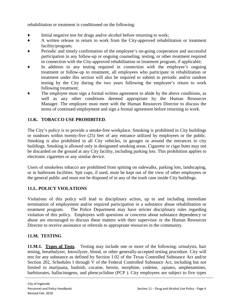rehabilitation or treatment is conditioned on the following:

- ♦ Initial negative test for drugs and/or alcohol before returning to work;
- ♦ A written release to return to work from the City-approved rehabilitation or treatment facility/program;
- Periodic and timely confirmation of the employee's on-going cooperation and successful participation in any follow-up or ongoing counseling, testing, or other treatment required in connection with the City-approved rehabilitation or treatment program, if applicable;
- In addition to any testing required in connection with the employee's ongoing treatment or follow-up to treatment, all employees who participate in rehabilitation or treatment under this section will also be required to submit to periodic and/or random testing by the City during the two years following the employee's return to work following treatment;
- The employee must sign a formal written agreement to abide by the above conditions, as well as any other conditions deemed appropriate by the Human Resources Manager. The employee must meet with the Human Resources Director to discuss the terms of continued employment and sign a formal agreement before returning to work.

# **11.K. TOBACCO USE PROHIBITED**.

The City's policy is to provide a smoke-free workplace. Smoking is prohibited in City buildings or outdoors within twenty-five (25) feet of any entrance utilized by employees or the public. Smoking is also prohibited in all City vehicles, in garages or around the entrances to city buildings. Smoking is allowed only in designated smoking areas. Cigarette or cigar butts may not be discarded on the ground at any City facility, including parking lots. This prohibition applies to electronic cigarettes or any similar device.

Users of smokeless tobacco are prohibited from spitting on sidewalks, parking lots, landscaping, or in bathroom facilities. Spit cups, if used, must be kept out of the view of other employees or the general public and must not be disposed of in any of the trash cans inside City buildings.

# **11.L. POLICY VIOLATIONS**

Violations of this policy will lead to disciplinary action, up to and including immediate termination of employment and/or required participation in a substance abuse rehabilitation or treatment program. The Police Department may have stricter disciplinary rules regarding violation of this policy. Employees with questions or concerns about substance dependency or abuse are encouraged to discuss these matters with their supervisor or the Human Resources Director to receive assistance or referrals to appropriate resources in the community.

# **11.M. TESTING**

**11.M.1. Types of Tests**. Testing may include one or more of the following: urinalysis, hair testing, breathalyzer, Intoxilyzer, blood, or other generally-accepted testing procedure. City will test for any substance as defined by Section 1.02 of the Texas Controlled Substance Act and/or Section 202, Schedules I through V of the Federal Controlled Substance Act, including but not limited to marijuana, hashish, cocaine, heroin, morphine, codeine, .opiates, amphetamines, barbiturates, hallucinogens, and phencyclidine (PCP ). City employees are subject to five types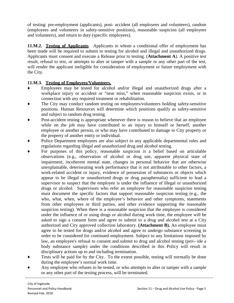of testing: pre-employment (applicants), post- accident (all employees and volunteers), random (employees and volunteers in safety-sensitive positions), reasonable suspicion (all employees and volunteers), and return to duty (specific employees).

**11.M.2. Testing of Applicants**. Applicants to whom a conditional offer of employment has been made will be required to submit to testing for alcohol and illegal and unauthorized drugs. Applicants must consent and execute a Release prior to testing. (**Attachment A**). A positive test result, refusal to test, or attempts to alter or tamper with a sample or any other part of the test, will render the applicant ineligible for consideration of employment or future employment with the City.

# **11.M.3. Testing of Employees/Volunteers.**

- Employees may be tested for alcohol and/or illegal and unauthorized drugs after a workplace injury or accident or "near miss," when reasonable suspicion exists, or in connection with any required treatment or rehabilitation.
- ♦ The City may conduct random testing on employees/volunteers holding safety-sensitive positions. Human Resources will determine which positions qualify as safety-sensitive and subject to random drug testing.
- Post-accident testing is appropriate whenever there is reason to believe that an employee while on the job may have contributed to an injury to himself or herself, another employee or another person, or who may have contributed to damage to City property or the property of another entity or individual.
- Police Department employees are also subject to any applicable departmental rules and regulations regarding illegal and unauthorized drug and alcohol testing.
- For purposes of this policy, reasonable suspicion is a belief based on articulable observations (e.g., observation of alcohol or drug use, apparent physical state of impairment, incoherent mental state, changes in personal behavior that are otherwise unexplainable, deteriorating work performance that is not attributable to other factors, a work-related accident or injury, evidence of possession of substances or objects which appear to be illegal or unauthorized drugs or drug paraphernalia) sufficient to lead a supervisor to suspect that the employee is under the influence of illegal or unauthorized drugs or alcohol. Supervisors who refer an employee for reasonable suspicion testing must document the specific factors that support reasonable suspicion testing (e.g., the who, what, when, where of the employee's behavior and other symptoms, statements from other employees or third parties, and other evidence supporting the reasonable suspicion testing). When there is a reasonable suspicion that the employee is considered under the influence of or using drugs or alcohol during work time, the employee will be asked to sign a consent form and agree to submit to a drug and alcohol test at a City authorized and City approved collection laboratory. **(Attachment B).** An employee must agree to be tested for drugs and/or alcohol and agree to undergo substance screening in order to be considered for continued employment. Subject to any limitations imposed by law, an employee's refusal to consent and submit to drug and alcohol testing (pro\-·ide a body substance sample) under the conditions described in this Policy will result in disciplinary actions up to and including termination.
- ♦ Tests will be paid for by the City. To the extent possible, testing will normally be done during the employee's normal work time.
- Any employee who refuses to be tested, or who attempts to alter or tamper with a sample or any other part of the testing process, will be terminated.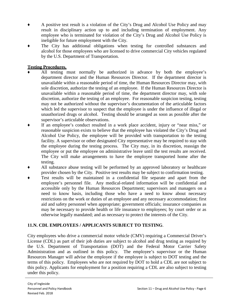- A positive test result is a violation of the City's Drug and Alcohol Use Policy and may result in disciplinary action up to and including termination of employment. Any employee who is terminated for violation of the City's Drug and Alcohol Use Policy is ineligible for future employment with the City.
- The City has additional obligations when testing for controlled substances and alcohol for those employees who are licensed to drive commercial City vehicles regulated by the U.S. Department of Transportation.

### **Testing Procedures.**

- All testing must normally be authorized in advance by both the employee's department director and the Human Resources Director. If the department director is unavailable within a reasonable period of time, the Human Resources Director may, with sole discretion, authorize the testing of an employee. If the Human Resources Director is unavailable within a reasonable period of time, the department director may, with sole discretion, authorize the testing of an employee. For reasonable suspicion testing, testing may not be authorized without the supervisor's documentation of the articulable factors which led the supervisor to suspect that the employee is under the influence of illegal or unauthorized drugs or alcohol. Testing should be arranged as soon as possible after the supervisor's articulable observations.
- ♦ If an employee's conduct resulted in a work place accident, injury or "near miss," or reasonable suspicion exists to believe that the employee has violated the City's Drug and Alcohol Use Policy, the employee will be provided with transportation to the testing facility. A supervisor or other designated City representative may be required to stay with the employee during the testing process. The City may, in its discretion, reassign the employee or put the employee on administrative leave until the test results are received. The City will make arrangements to have the employee transported home after the testing.
- All substance abuse testing will be performed by an approved laboratory or healthcare provider chosen by the City. Positive test results may be subject to confirmation testing.
- Test results will be maintained in a confidential file separate and apart from the employee's personnel file. Any medical-related information will be confidential and accessible only by the Human Resources Department; supervisors and managers on a need to know basis, including those who have a need to know about necessary restrictions on the work or duties of an employee and any necessary accommodation; first aid and safety personnel when appropriate; government officials; insurance companies as may be necessary to provide health or life insurance to employees; by court order or as otherwise legally mandated; and as necessary to protect the interests of the City.

# **11.N. CDL EMPLOYEES / APPLICANTS SUBJECT TO TESTING**.

City employees who drive a commercial motor vehicle (CMV) requiring a Commercial Driver's License (CDL) as part of their job duties are subject to alcohol and drug testing as required by the U.S. Department of Transportation (DOT) and the Federal Motor Carrier Safety Administration and as outlined in this policy. The employee's supervisor or the Human Resources Manager will advise the employee if the employee is subject to DOT testing and the terms of this policy. Employees who are not required by DOT to hold a CDL are not subject to this policy. Applicants for employment for a position requiring a CDL are also subject to testing under this policy.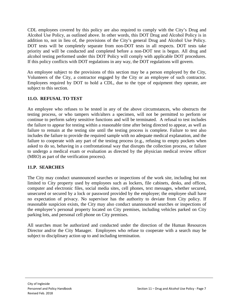CDL employees covered by this policy are also required to comply with the City's Drug and Alcohol Use Policy, as outlined above. In other words, this DOT Drug and Alcohol Policy is in addition to, not in lieu of, the provisions of the City's general Drug and Alcohol Use Policy. DOT tests will be completely separate from non-DOT tests in all respects. DOT tests take priority and will be conducted and completed before a non-DOT test is begun. All drug and alcohol testing performed under this DOT Policy will comply with applicable DOT procedures. If this policy conflicts with DOT regulations in any way, the DOT regulations will govern.

An employee subject to the provisions of this section may be a person employed by the City, Volunteers of the City, a contractor engaged by the City or an employee of such contractor. Employees required by DOT to hold a CDL, due to the type of equipment they operate, are subject to this section.

# **11.O. REFUSAL TO TEST**

An employee who refuses to be tested in any of the above circumstances, who obstructs the testing process, or who tampers with/alters a specimen, will not be permitted to perform or continue to perform safety sensitive functions and will be terminated. A refusal to test includes the failure to appear for testing within a reasonable time after being directed to appear, as well as failure to remain at the testing site until the testing process is complete. Failure to test also includes the failure to provide the required sample with no adequate medical explanation, and the failure to cooperate with any part of the testing process (e.g., refusing to empty pockets when asked to do so, behaving in a confrontational way that disrupts the collection process, or failure to undergo a medical exam or evaluation as directed by the physician medical review officer (MRO) as part of the verification process).

# **11.P. SEARCHES**

The City may conduct unannounced searches or inspections of the work site, including but not limited to City property used by employees such as lockers, file cabinets, desks, and offices, computer and electronic files, social media sites, cell phones, text messages, whether secured, unsecured or secured by a lock or password provided by the employee; the employee shall have no expectation of privacy. No supervisor has the authority to deviate from City policy. If reasonable suspicion exists, the City may also conduct unannounced searches or inspections of the employee's personal property located on City premises, including vehicles parked on City parking lots, and personal cell phone on City premises.

All searches must be authorized and conducted under the direction of the Human Resources Director and/or the City Manager. Employees who refuse to cooperate with a search may be subject to disciplinary action up to and including termination.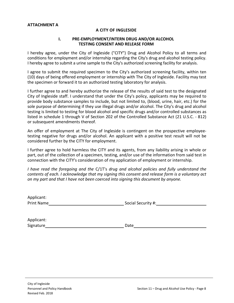#### **ATTACHMENT A**

#### **A CITY OF INGLESIDE**

#### **I. PRE-EMPLOYMENT/INTERN DRUG AND/OR ALCOHOL TESTING CONSENT AND RELEASE FORM**

I hereby agree, under the City of Ingleside ("CITY") Drug and Alcohol Policy to all terms and conditions for employment and/or internship regarding the City's drug and alcohol testing policy. I hereby agree to submit a urine sample to the City's authorized screening facility for analysis.

I agree to submit the required specimen to the City's authorized screening facility, within ten (10) days of being offered employment or internship with The City of Ingleside. Facility may test the specimen or forward it to an authorized testing laboratory for analysis.

I further agree to and hereby authorize the release of the results of said test to the designated City of Ingleside staff. I understand that under the City's policy, applicants may be required to provide body substance samples to include, but not limited to, (blood, urine, hair, etc.) for the sole purpose of determining if they use illegal drugs and/or alcohol. The City's drug and alcohol testing is limited to testing for blood alcohol and specific drugs and/or controlled substances as listed in schedule 1 through V of Section 202 of the Controlled Substance Act (21 U.S.C. - 812) or subsequent amendments thereof.

An offer of employment at The City of Ingleside is contingent on the prospective employeetesting negative for drugs and/or alcohol. An applicant with a positive test result will not be considered further by the CITY for employment.

I further agree to hold harmless the CITY and its agents, from any liability arising in whole or part, out of the collection of a specimen, testing, and/or use of the information from said test in connection with the CITY's consideration of my application of employment or internship.

*I have read the foregoing and the* C/1T's *drug and alcohol policies and fully understand the contents of each. I acknowledge that my signing this consent and release form is a voluntary act on my part and that I have not been coerced into signing this document by anyone.*

| Applicant:        |                    |
|-------------------|--------------------|
| <b>Print Name</b> | Social Security #: |

| Applicant: |      |
|------------|------|
| Signature  | Date |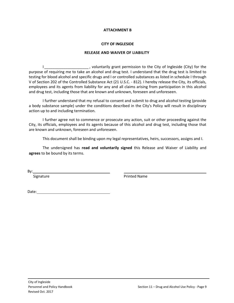#### **ATTACHMENT B**

#### **CITY OF INGLESIDE**

#### **RELEASE AND WAIVER OF LIABILITY**

I\_\_\_\_\_\_\_\_\_\_\_\_\_\_\_\_\_\_\_\_\_\_\_\_, voluntarily grant permission to the City of Ingleside (City) for the purpose of requiring me to take an alcohol and drug test. I understand that the drug test is limited to testing for blood alcohol and specific drugs and I or controlled substances as listed in schedule I through V of Section 202 of the Controlled Substance Act (21 U.S.C. - 812). I hereby release the City, its officials, employees and its agents from liability for any and all claims arising from participation in this alcohol and drug test, including those that are known and unknown, foreseen and unforeseen.

I further understand that my refusal to consent and submit to drug and alcohol testing (provide a body substance sample) under the conditions described in the City's Policy will result in disciplinary action up to and including termination.

I further agree not to commence or prosecute any action, suit or other proceeding against the City, its officials, employees and its agents because of this alcohol and drug test, including those that are known and unknown, foreseen and unforeseen.

This document shall be binding upon my legal representatives, heirs, successors, assigns and I.

The undersigned has **read and voluntarily signed** this Release and Waiver of Liability and **agrees** to be bound by its terms.

By:

Signature **Printed Name** 

Date: when the contract of the contract of the contract of the contract of the contract of the contract of the contract of the contract of the contract of the contract of the contract of the contract of the contract of the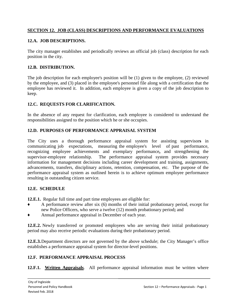# **SECTION 12. JOB (CLASS) DESCRIPTIONS AND PERFORMANCE EVALUATIONS**

### **12.A. JOB DESCRIPTIONS.**

The city manager establishes and periodically reviews an official job (class) description for each position in the city.

### **12.B. DISTRIBUTION.**

The job description for each employee's position will be (1) given to the employee, (2) reviewed by the employee, and (3) placed in the employee's personnel file along with a certification that the employee has reviewed it. In addition, each employee is given a copy of the job description to keep.

### **12.C. REQUESTS FOR CLARIFICATION.**

In the absence of any request for clarification, each employee is considered to understand the responsibilities assigned to the position which he or she occupies.

### **12.D. PURPOSES OF PERFORMANCE APPRAISAL SYSTEM**

The City uses a thorough performance appraisal system for assisting supervisor**s** in communicating job expectations, measuring the employee's level of past performance, recognizing employee achievements and exemplary performance, and strengthening the supervisor-employee relationship. The performance appraisal system provides necessary The performance appraisal system provides necessary information for management decisions including career development and training, assignments, advancements, transfers, disciplinary actions, retention, compensation, etc. The purpose of the performance appraisal system as outlined herein is to achieve optimum employee performance resulting in outstanding citizen service.

#### **12.E. SCHEDULE**

**12.E.1.** Regular full time and part time employees are eligible for:

- A performance review after six (6) months of their initial probationary period, except for new Police Officers, who serve a twelve (12) month probationary period**;** and
- Annual performance appraisal in December of each year.

**12.E.2.** Newly transferred or promoted employees who are serving their initial probationary period may also receive periodic evaluations during their probationary period.

**12.E.3.**Department directors are not governed by the above schedule; the City Manager's office establishes a performance appraisal system for director-level positions.

#### **12.F. PERFORMANCE APPRAISAL PROCESS**

**12.F.1. Written Appraisals**. All performance appraisal information must be written where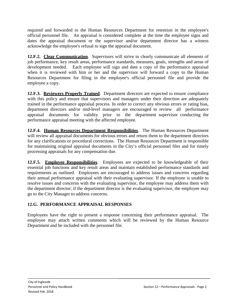required and forwarded to the Human Resources Department for retention in the employee's official personnel file. An appraisal is considered complete at the time the employee signs and dates the appraisal document or the supervisor and/or department director has a witness acknowledge the employee's refusal to sign the appraisal document.

**12.F.2. Clear Communication**. Supervisors will strive to clearly communicate all elements of job performance, key result areas, performance standards, measures, goals, strengths and areas of development needed. Each employee will sign and date a copy of the performance appraisal when it is reviewed with him or her and the supervisor will forward a copy to the Human Resources Department for filing in the employee's official personnel file and provide the employee a copy.

**12.F.3. Reviewers Properly Trained**. Department directors are expected to ensure compliance with this policy and ensure that supervisors and managers under their direction are adequately trained in the performance appraisal process. In order to correct any obvious errors or rating bias, department directors and/or mid-level managers are encouraged to review all performance appraisal documents for validity prior to the department supervisor conducting the performance appraisal meeting with the affected employee.

**12.F.4. Human Resources Department Responsibilities**. The Human Resources Department will review all appraisal documents for obvious errors and return them to the department directors for any clarifications or procedural corrections. The Human Resources Department is responsible for maintaining original appraisal documents in the City's official personnel files and for timely processing appraisals for any compensation due.

**12.F.5. Employee Responsibilities**. Employees are expected to be knowledgeable of their essential job functions and key result areas and maintain established performance standards and requirements as outlined. Employees are encouraged to address issues and concerns regarding their annual performance appraisal with their evaluating supervisor. If the employee is unable to resolve issues and concerns with the evaluating supervisor, the employee may address them with the department director; if the department director is the evaluating supervisor, the employee may go to the City Manager to address concerns.

# **12.G. PERFORMANCE APPRAISAL RESPONSES**

Employees have the right to present a response concerning their performance appraisal. The employee may attach written comments which will be reviewed by the Human Resource Department and be included with the personnel file.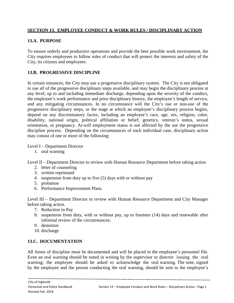# **SECTION 13. EMPLOYEE CONDUCT & WORK RULES / DISCIPLINARY ACTION**

# **13.A. PURPOSE**

To ensure orderly and productive operations and provide the best possible work environment, the City requires employees to follow rules of conduct that will protect the interests and safety of the City, its citizens and employees.

# **13.B. PROGRESSIVE DISCIPLINE**

In certain instances, the City may use a progressive disciplinary system. The City is not obligated to use all of the progressive disciplinary steps available, and may begin the disciplinary process at any level, up to and including immediate discharge, depending upon the severity of the conduct, the employee's work performance and prior disciplinary history, the employee's length of service, and any mitigating circumstances. In no circumstance will the City's use or non-use of the progressive disciplinary steps, or the stage at which an employee's disciplinary process begins, depend on any discriminatory factor, including an employee's race, age, sex, religion, color, disability, national origin, political affiliation or belief, genetics, veteran's status, sexual orientation, or pregnancy. At-will employment status is not affected by the use the progressive discipline process. Depending on the circumstances of each individual case, disciplinary action may consist of one or more of the following:

Level I – Department Director

1. oral warning

Level II – Department Director to review with Human Resource Department before taking action

- 2. letter of counseling
- 3. written reprimand
- 4. suspension from duty up to five (5) days with or without pay
- 5. probation
- 6. Performance Improvement Plans

Level III – Department Director to review with Human Resource Department and City Manager before taking action.

- 7. Reduction in Pay
- 8. suspension from duty, with or without pay, up to fourteen (14) days and renewable after informal review of the circumstances;
- 9. demotion
- 10. discharge

#### **13.C. DOCUMENTATION**

All forms of discipline must be documented and will be placed in the employee's personnel file. Even an oral warning should be noted in writing by the supervisor or director issuing the oral warning; the employee should be asked to acknowledge the oral warning. The note, signed by the employee and the person conducting the oral warning, should be sent to the employee's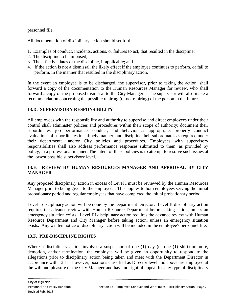personnel file.

All documentation of disciplinary action should set forth:

- 1. Examples of conduct, incidents, actions, or failures to act, that resulted in the discipline;
- 2. The discipline to be imposed;
- 3. The effective dates of the discipline, if applicable; and
- 4. If the action is not a dismissal, the likely effect if the employee continues to perform, or fail to perform, in the manner that resulted in the disciplinary action.

In the event an employee is to be discharged, the supervisor, prior to taking the action, shall forward a copy of the documentation to the Human Resources Manager for review, who shall forward a copy of the proposed dismissal to the City Manager. The supervisor will also make a recommendation concerning the possible rehiring (or not rehiring) of the person in the future.

# **13.D. SUPERVISORY RESPONSIBILITY**

All employees with the responsibility and authority to supervise and direct employees under their control shall administer policies and procedures within their scope of authority; document their subordinates' job performance, conduct, and behavior as appropriate; properly conduct evaluations of subordinates in a timely manner; and discipline their subordinates as required under their departmental and/or City policies and procedures. Employees with supervisory responsibilities shall also address performance responses submitted to them, as provided by policy, in a professional manner. The intent of these policies is to attempt to resolve such issues at the lowest possible supervisory level.

# **13.E. REVIEW BY HUMAN RESOURCES MANAGER AND APPROVAL BY CITY MANAGER**

Any proposed disciplinary action in excess of Level I must be reviewed by the Human Resources Manager prior to being given to the employee. This applies to both employees serving the initial probationary period and regular employees that have completed the initial probationary period.

Level I disciplinary action will be done by the Department Director. Level II disciplinary action requires the advance review with Human Resource Department before taking action, unless an emergency situation exists. Level III disciplinary action requires the advance review with Human Resource Department and City Manager before taking action, unless an emergency situation exists. Any written notice of disciplinary action will be included in the employee's personnel file.

# **13.F. PRE-DISCIPLINE RIGHTS**

Where a disciplinary action involves a suspension of one (1) day (or one (1) shift) or more, demotion, and/or termination, the employee will be given an opportunity to respond to the allegations prior to disciplinary action being taken and meet with the Department Director in accordance with 13H. However, positions classified as Director level and above are employed at the will and pleasure of the City Manager and have no right of appeal for any type of disciplinary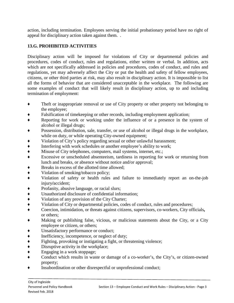action, including termination. Employees serving the initial probationary period have no right of appeal for disciplinary action taken against them. .

# **13.G. PROHIBITED ACTIVITIES**

Disciplinary action will be imposed for violations of City or departmental policies and procedures, codes of conduct, rules and regulations, either written or verbal. In addition, acts which are not specifically addressed in policies and procedures, codes of conduct, and rules and regulations, yet may adversely affect the City or put the health and safety of fellow employees, citizens, or other third parties at risk, may also result in disciplinary action. It is impossible to list all the forms of behavior that are considered unacceptable in the workplace. The following are some examples of conduct that will likely result in disciplinary action, up to and including termination of employment:

- ♦ Theft or inappropriate removal or use of City property or other property not belonging to the employee;
- Falsification of timekeeping or other records, including employment application;
- Reporting for work or working under the influence of or a presence in the system of alcohol or illegal drugs;
- Possession, distribution, sale, transfer, or use of alcohol or illegal drugs in the workplace, while on duty, or while operating City-owned equipment;
- ♦ Violation of City's policy regarding sexual or other unlawful harassment;
- ♦ Interfering with work schedules or another employee's ability to work;
- ♦ Misuse of City telephones, computers, mail systems, internet, etc.;
- ♦ Excessive or unscheduled absenteeism, tardiness in reporting for work or returning from lunch and breaks, or absence without notice and/or approval;
- Breaks in excess of the allotted time allowed;
- ♦ Violation of smoking/tobacco policy;
- ♦ Violation of safety or health rules and failure to immediately report an on-the-job injury**/**accident;
- ◆ Profanity, abusive language, or racial slurs;<br>◆ Unauthorized disclosure of confidential info
- Unauthorized disclosure of confidential information;
- ♦ Violation of any provision of the City Charter;
- ♦ Violation of City or departmental policies, codes of conduct, rules and procedures;
- ♦ Coercion, intimidation, or threats against citizens, supervisors, co-workers, City officials**,** or others;
- Making or publishing false, vicious, or malicious statements about the City, or a City employee or citizen, or others;
- Unsatisfactory performance or conduct;
- ◆ Inefficiency, incompetence, or neglect of duty;<br>Fighting, provoking or instigating a fight, or the
- ◆ Fighting, provoking or instigating a fight, or threatening violence;<br>◆ Disruptive activity in the workplace;
- Disruptive activity in the workplace;
- ♦ Engaging in a work stoppage;
- ♦ Conduct which results in waste or damage of a co-worker's, the City's, or citizen-owned property;
- Insubordination or other disrespectful or unprofessional conduct;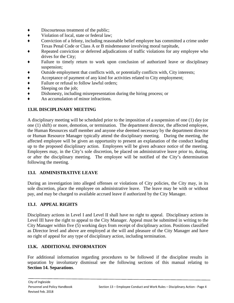- Discourteous treatment of the public;
- ♦ Violation of local, state or federal law;
- ♦ Conviction of a felony, including reasonable belief employee has committed a crime under Texas Penal Code or Class A or B misdemeanor involving moral turpitude,
- Repeated conviction or deferred adjudications of traffic violations for any employee who drives for the City;
- Failure to timely return to work upon conclusion of authorized leave or disciplinary suspension;
- ♦ Outside employment that conflicts with, or potentially conflicts with, City interests;
- ♦ Acceptance of payment of any kind for activities related to City employment;
- ◆ Failure or refusal to follow lawful orders;<br>◆ Sleeping on the job;
- Sleeping on the job;
- ♦ Dishonesty, including misrepresentation during the hiring process; or
- ♦ An accumulation of minor infractions.

# **13.H. DISCIPLINARY MEETING**

A disciplinary meeting will be scheduled prior to the imposition of a suspension of one (1) day (or one (1) shift) or more, demotion, or termination. The department director, the affected employee, the Human Resources staff member and anyone else deemed necessary by the department director or Human Resource Manager typically attend the disciplinary meeting. During the meeting, the affected employee will be given an opportunity to present an explanation of the conduct leading up to the proposed disciplinary action. Employees will be given advance notice of the meeting. Employees may, in the City's sole discretion, be placed on administrative leave prior to, during, or after the disciplinary meeting. The employee will be notified of the City's determination following the meeting.

# **13.I. ADMINISTRATIVE LEAVE**

During an investigation into alleged offenses or violations of City policies, the City may, in its sole discretion, place the employee on administrative leave. The leave may be with or without pay, and may be charged to available accrued leave if authorized by the City Manager.

#### **13.J. APPEAL RIGHTS**

Disciplinary actions in Level I and Level II shall have no right to appeal. Disciplinary actions in Level III have the right to appeal to the City Manager. Appeal must be submitted in writing to the City Manager within five (5) working days from receipt of disciplinary action. Positions classified as Director level and above are employed at the will and pleasure of the City Manager and have no right of appeal for any type of disciplinary action, including termination.

# **13.K. ADDITIONAL INFORMATION**

For additional information regarding procedures to be followed if the discipline results in separation by involuntary dismissal see the following sections of this manual relating to **Section 14. Separations**.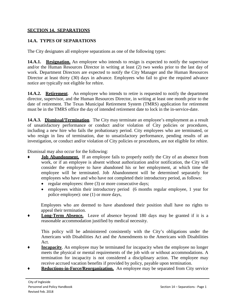## **SECTION 14. SEPARATIONS**

# **14.A. TYPES OF SEPARATIONS**

The City designates all employee separations as one of the following types:

**14.A.1.** Resignation. An employee who intends to resign is expected to notify the supervisor and/or the Human Resources Director in writing at least (2) two weeks prior to the last day of work. Department Directors are expected to notify the City Manager and the Human Resources Director at least thirty (30) days in advance. Employees who fail to give the required advance notice are typically not eligible for rehire.

14.A.2. **Retirement**. An employee who intends to retire is requested to notify the department director, supervisor, and the Human Resources Director, in writing at least one month prior to the date of retirement. The Texas Municipal Retirement System (TMRS) application for retirement must be in the TMRS office the day of intended retirement date to lock in the in-service-date.

**14.A.3. Dismissal/Termination**. The City may terminate an employee's employment as a result of unsatisfactory performance or conduct and/or violation of City policies or procedures, including a new hire who fails the probationary period. City employees who are terminated, or who resign in lieu of termination, due to unsatisfactory performance, pending results of an investigation, or conduct and/or violation of City policies or procedures, are not eligible for rehire.

Dismissal may also occur for the following:

- **Job Abandonment.** If an employee fails to properly notify the City of an absence from work, or if an employee is absent without authorization and/or notification, the City will consider the employee to have abandoned his or her employment, at which time the employee will be terminated. Job Abandonment will be determined separately for employees who have and who have not completed their introductory period, as follows:
	- regular employees: three (3) or more consecutive days;
	- employees within their introductory period (6 months regular employee, 1 year for police employee): one (1) or more days,

Employees who are deemed to have abandoned their position shall have no rights to appeal their termination.

**Long-Term Absence.** Leave of absence beyond 180 days may be granted if it is a reasonable accommodation justified by medical necessity.

This policy will be administered consistently with the City's obligations under the Americans with Disabilities Act and the Amendments to the Americans with Disabilities Act.

- **Incapacity**. An employee may be terminated for incapacity when the employee no longer meets the physical or mental requirements of the job with or without accommodations. A termination for incapacity is not considered a disciplinary action. The employee may receive accrued vacation benefits if provided by policy, payable upon termination.
- **Reductions-in-Force/Reorganization.** An employee may be separated from City service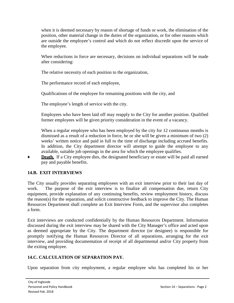when it is deemed necessary by reason of shortage of funds or work, the elimination of the position, other material change in the duties of the organization, or for other reasons which are outside the employee's control and which do not reflect discredit upon the service of the employee.

When reductions in force are necessary, decisions on individual separations will be made after considering:

The relative necessity of each position to the organization,

The performance record of each employee,

Qualifications of the employee for remaining positions with the city, and

The employee's length of service with the city.

Employees who have been laid off may reapply to the City for another position. Qualified former employees will be given priority consideration in the event of a vacancy.

When a regular employee who has been employed by the city for 12 continuous months is dismissed as a result of a reduction in force, he or she will be given a minimum of two (2) weeks' written notice and paid in full to the time of discharge including accrued benefits. In addition, the City department director will attempt to guide the employee to any available, suitable job openings in the area for which the employee qualifies.

**Death.** If a City employee dies, the designated beneficiary or estate will be paid all earned pay and payable benefits.

# **14.B. EXIT INTERVIEWS**

The City usually provides separating employees with an exit interview prior to their last day of work. The purpose of the exit interview is to finalize all compensation due, return City equipment, provide explanation of any continuing benefits, review employment history, discuss the reason(s) for the separation, and solicit constructive feedback to improve the City. The Human Resources Department shall complete an Exit Interview Form, and the supervisor also completes a form.

Exit interviews are conducted confidentially by the Human Resources Department. Information discussed during the exit interview may be shared with the City Manager's office and acted upon as deemed appropriate by the City. The department director (or designee) is responsible for promptly notifying the Human Resources Director of all separations, arranging for the exit interview, and providing documentation of receipt of all departmental and/or City property from the exiting employee.

# **14.C. CALCULATION OF SEPARATION PAY.**

Upon separation from city employment, a regular employee who has completed his or her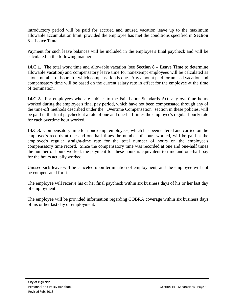introductory period will be paid for accrued and unused vacation leave up to the maximum allowable accumulation limit, provided the employee has met the conditions specified in **Section 8 – Leave Time**.

Payment for such leave balances will be included in the employee's final paycheck and will be calculated in the following manner:

**14.C.1.** The total work time and allowable vacation (see **Section 8 – Leave Time** to determine allowable vacation) and compensatory leave time for nonexempt employees will be calculated as a total number of hours for which compensation is due. Any amount paid for unused vacation and compensatory time will be based on the current salary rate in effect for the employee at the time of termination.

**14.C.2.** For employees who are subject to the Fair Labor Standards Act, any overtime hours worked during the employee's final pay period, which have not been compensated through any of the time-off methods described under the "Overtime Compensation" section in these policies, will be paid in the final paycheck at a rate of one and one-half times the employee's regular hourly rate for each overtime hour worked.

**14.C.3.** Compensatory time for nonexempt employees, which has been entered and carried on the employee's records at one and one-half times the number of hours worked, will be paid at the employee's regular straight-time rate for the total number of hours on the employee's compensatory time record. Since the compensatory time was recorded at one and one-half times the number of hours worked, the payment for these hours is equivalent to time and one-half pay for the hours actually worked.

Unused sick leave will be canceled upon termination of employment, and the employee will not be compensated for it.

The employee will receive his or her final paycheck within six business days of his or her last day of employment.

The employee will be provided information regarding COBRA coverage within six business days of his or her last day of employment.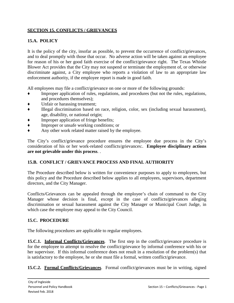# **SECTION 15. CONFLICTS / GRIEVANCES**

# **15.A. POLICY**

It is the policy of the city, insofar as possible, to prevent the occurrence of conflict/grievances, and to deal promptly with those that occur. No adverse action will be taken against an employee for reason of his or her good faith exercise of the conflict/grievance right. The Texas Whistle Blower Act provides that the City may not suspend or terminate the employment of, or otherwise discriminate against, a City employee who reports a violation of law to an appropriate law enforcement authority, if the employee report is made in good faith.

All employees may file a conflict/grievance on one or more of the following grounds:

- Improper application of rules, regulations, and procedures (but not the rules, regulations, and procedures themselves);
- Unfair or harassing treatment:
- ♦ Illegal discrimination based on race, religion, color, sex (including sexual harassment), age, disability, or national origin;
- Improper application of fringe benefits;
- ♦ Improper or unsafe working conditions; or
- Any other work related matter raised by the employee.

The City's conflict/grievance procedure ensures the employee due process in the City's consideration of his or her work-related conflicts/grievances:. **Employee disciplinary actions are not grievable under this process**. .

### **15.B. CONFLICT / GRIEVANCE PROCESS AND FINAL AUTHORITY**

The Procedure described below is written for convenience purposes to apply to employees, but this policy and the Procedure described below applies to all employees, supervisors, department directors, and the City Manager.

Conflicts/Grievances can be appealed through the employee's chain of command to the City Manager whose decision is final, except in the case of conflicts/grievances alleging discrimination or sexual harassment against the City Manager or Municipal Court Judge, in which case the employee may appeal to the City Council.

#### **15.C. PROCEDURE**

The following procedures are applicable to regular employees.

**15.C.1. Informal Conflicts/Grievances**. The first step in the conflict/grievance procedure is for the employee to attempt to resolve the conflict/grievance by informal conference with his or her supervisor. If this informal conference does not result in a resolution of the problem(s) that is satisfactory to the employee, he or she must file a formal, written conflict/grievance.

**15.C.2. Formal Conflicts/Grievances**. Formal conflict/grievances must be in writing, signed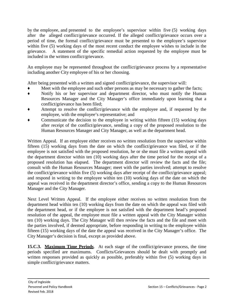by the employee, and presented to the employee's supervisor within five (5) working days after the alleged conflict/grievance occurred. If the alleged conflict/grievance occurs over a period of time, the formal conflict/grievance must be presented to the employee's supervisor within five (5) working days of the most recent conduct the employee wishes to include in the grievance. A statement of the specific remedial action requested by the employee must be included in the written conflict/grievance.

An employee may be represented throughout the conflict/grievance process by a representative including another City employee of his or her choosing.

After being presented with a written and signed conflict/grievance, the supervisor will:

- Meet with the employee and such other persons as may be necessary to gather the facts;
- ♦ Notify his or her supervisor and department director, who must notify the Human Resources Manager and the City Manager's office immediately upon learning that a conflict/grievance has been filed;
- Attempt to resolve the conflict/grievance with the employee and, if requested by the employee, with the employee's representative; and
- Communicate the decision to the employee in writing within fifteen (15) working days after receipt of the conflict/grievance, sending a copy of the proposed resolution to the Human Resources Manager and City Manager, as well as the department head.

Written Appeal. If an employee either receives no written resolution from the supervisor within fifteen (15) working days from the date on which the conflict/grievance was filed, or if the employee is not satisfied with the proposed resolution, he or she must file a written appeal with the department director within ten (10) working days after the time period for the receipt of a proposed resolution has elapsed. The department director will review the facts and the file; consult with the Human Resources Manager; meet with the parties involved; attempt to resolve the conflict/grievance within five (5) working days after receipt of the conflict/grievance appeal; and respond in writing to the employee within ten (10) working days of the date on which the appeal was received in the department director's office, sending a copy to the Human Resources Manager and the City Manager.

Next Level Written Appeal. If the employee either receives no written resolution from the department head within ten (10) working days from the date on which the appeal was filed with the department head, or if the employee is not satisfied with the department head's proposed resolution of the appeal, the employee must file a written appeal with the City Manager within ten (10) working days. The City Manager will then review the facts and the file and meet with the parties involved, if deemed appropriate, before responding in writing to the employee within fifteen (15) working days of the date the appeal was received in the City Manager's office. The City Manager's decision is final, except as provided above.

**15.C.3. Maximum Time Periods**. At each stage of the conflict/grievance process, the time periods specified are maximums. Conflicts/Grievances should be dealt with promptly and written responses provided as quickly as possible, preferably within five (5) working days in simple conflict/grievance matters.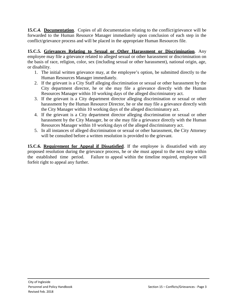**15.C.4. Documentation**. Copies of all documentation relating to the conflict/grievance will be forwarded to the Human Resource Manager immediately upon conclusion of each step in the conflict/grievance process and will be placed in the appropriate Human Resources file.

**15.C.5. Grievances Relating to Sexual or Other Harassment or Discrimination**. Any employee may file a grievance related to alleged sexual or other harassment or discrimination on the basis of race, religion, color, sex (including sexual or other harassment), national origin, age, or disability.

- 1. The initial written grievance may, at the employee's option, be submitted directly to the Human Resources Manager immediately.
- 2. If the grievant is a City Staff alleging discrimination or sexual or other harassment by the City department director, he or she may file a grievance directly with the Human Resources Manager within 10 working days of the alleged discriminatory act.
- 3. If the grievant is a City department director alleging discrimination or sexual or other harassment by the Human Resource Director, he or she may file a grievance directly with the City Manager within 10 working days of the alleged discriminatory act.
- 4. If the grievant is a City department director alleging discrimination or sexual or other harassment by the City Manager, he or she may file a grievance directly with the Human Resources Manager within 10 working days of the alleged discriminatory act.
- 5. In all instances of alleged discrimination or sexual or other harassment, the City Attorney will be consulted before a written resolution is provided to the grievant.

**15.C.6. Requirement for Appeal if Dissatisfied**. If the employee is dissatisfied with any proposed resolution during the grievance process, he or she must appeal to the next step within the established time period. Failure to appeal within the timeline required, employee will forfeit right to appeal any further.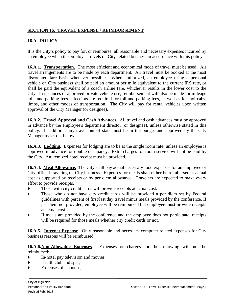## **SECTION 16. TRAVEL EXPENSE / REIMBURSEMENT**

# **16.A. POLICY**

It is the City's policy to pay for, or reimburse, all reasonable and necessary expenses incurred by an employee when the employee travels on City-related business in accordance with this policy.

16.A.1. **Transportation.** The most efficient and economical mode of travel must be used. Air travel arrangements are to be made by each department. Air travel must be booked at the most discounted fare basis whenever possible. When authorized, an employee using a personal vehicle on City business shall be paid an amount per mile equivalent to the current IRS rate, or shall be paid the equivalent of a coach airline fare, whichever results in the lower cost to the City. In instances of approved private vehicle use, reimbursement will also be made for mileage tolls and parking fees. Receipts are required for toll and parking fees, as well as for taxi cabs, limos, and other modes of transportation. The City will pay for rental vehicles upon written approval of the City Manager (or designee).

**16.A.2. Travel Approval and Cash Advances**. All travel and cash advances must be approved in advance by the employee's department director (or designee), unless otherwise stated in this policy. In addition, any travel out of state must be in the budget and approved by the City Manager as set out below.

**16.A.3. Lodging**. Expenses for lodging are to be at the single room rate, unless an employee is approved in advance for double occupancy. Extra charges for room service will not be paid by the City. An itemized hotel receipt must be provided.

**16.A.4. Meal Allowance.** The City shall pay actual necessary food expenses for an employee or City official traveling on City business. Expenses for meals shall either be reimbursed at actual cost as supported by receipts or by per diem allowance. Travelers are expected to make every effort to provide receipts.

- Those with city credit cards will provide receipts at actual cost.
- Those who do not have city credit cards will be provided a per diem set by Federal guidelines with percent of first/last day travel minus meals provided by the conference. If per diem not provided, employee will be reimbursed but employee must provide receipts at actual cost.
- If meals are provided by the conference and the employee does not participate, receipts will be required for those meals whether city credit cards or not.

**16.A.5. Internet Expense**. Only reasonable and necessary computer related expenses for City business reasons will be reimbursed.

#### **16.A.6.Non-Allowable Expenses**. Expenses or charges for the following will not be reimbursed:

- ♦ In-hotel pay television and movies
- ♦ Health club and spas;
- Expenses of a spouse;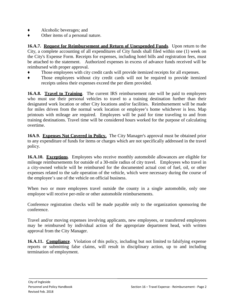- ♦ Alcoholic beverages; and
- Other items of a personal nature.

**16.A.7. Request for Reimbursement and Return of Unexpended Funds**. Upon return to the City, a complete accounting of all expenditures of City funds shall filed within one (1) week on the City's Expense Form. Receipts for expenses, including hotel bills and registration fees, must be attached to the statement. Authorized expenses in excess of advance funds received will be reimbursed with proper approval.

- Those employees with city credit cards will provide itemized receipts for all expenses.
- Those employees without city credit cards will not be required to provide itemized receipts unless their expenses exceed the per diem provided.

**16.A.8. Travel to Training**. The current IRS reimbursement rate will be paid to employees who must use their personal vehicles to travel to a training destination further than their designated work location or other City locations and/or facilities. Reimbursement will be made for miles driven from the normal work location or employee's home whichever is less. Map printouts with mileage are required. Employees will be paid for time traveling to and from training destinations. Travel time will be considered hours worked for the purpose of calculating overtime.

**16A.9. Expenses Not Covered in Policy.** The City Manager's approval must be obtained prior to any expenditure of funds for items or charges which are not specifically addressed in the travel policy.

**16.A.10. Exceptions**. Employees who receive monthly automobile allowances are eligible for mileage reimbursements for outside of a 30-mile radius of city travel. Employees who travel in a city-owned vehicle will be reimbursed for the documented actual cost of fuel, oil, or other expenses related to the safe operation of the vehicle, which were necessary during the course of the employee's use of the vehicle on official business.

When two or more employees travel outside the county in a single automobile, only one employee will receive per-mile or other automobile reimbursements.

Conference registration checks will be made payable only to the organization sponsoring the conference.

Travel and/or moving expenses involving applicants, new employees, or transferred employees may be reimbursed by individual action of the appropriate department head, with written approval from the City Manager.

**16.A.11. Compliance**. Violation of this policy, including but not limited to falsifying expense reports or submitting false claims, will result in disciplinary action, up to and including termination of employment.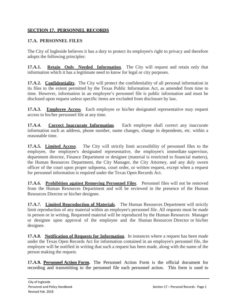## **SECTION 17. PERSONNEL RECORDS**

## **17.A. PERSONNEL FILES**

The City of Ingleside believes it has a duty to protect its employee's right to privacy and therefore adopts the following principles:

**17.A.1. Retain Only Needed Information**. The City will request and retain only that information which it has a legitimate need to know for legal or city purposes.

**17.A.2. Confidentiality**. The City will protect the confidentiality of all personal information in its files to the extent permitted by the Texas Public Information Act, as amended from time to time. However, information in an employee's personnel file is public information and must be disclosed upon request unless specific items are excluded from disclosure by law.

**17.A.3.** Employee Access. Each employee or his/her designated representative may request access to his/her personnel file at any time.

**17.A.4.** Correct Inaccurate Information. Each employee shall correct any inaccurate information such as address, phone number, name changes, change in dependents, etc. within a reasonable time.

**17.A.5. Limited Access**. The City will strictly limit accessibility of personnel files to the employee, the employee's designated representative, the employee's immediate supervisor, department director, Finance Department or designee (material is restricted to financial matters), the Human Resources Department, the City Manager, the City Attorney, and any duly sworn officer of the court upon proper subpoena, court order, or written request, except when a request for personnel information is required under the Texas Open Records Act.

**17.A.6. Prohibition against Removing Personnel Files**. Personnel files will not be removed from the Human Resources Department and will be reviewed in the presence of the Human Resources Director or his/her designee.

**17.A.7. Limited Reproduction of Materials**. The Human Resources Department will strictly limit reproduction of any material within an employee's personnel file. All requests must be made in person or in writing. Requested material will be reproduced by the Human Resources Manager or designee upon approval of the employee and the Human Resources Director or his/her designee.

**17.A.8. Notification of Requests for Information**. In instances where a request has been made under the Texas Open Records Act for information contained in an employee's personnel file, the employee will be notified in writing that such a request has been made, along with the name of the person making the request.

**17.A.9. Personnel Action Form.** The Personnel Action Form is the official document for recording and transmitting to the personnel file each personnel action. This form is used to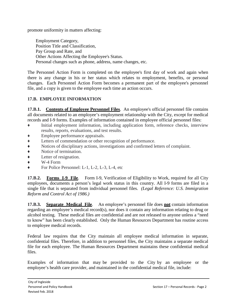promote uniformity in matters affecting:

Employment Category, Position Title and Classification, Pay Group and Rate, and Other Actions Affecting the Employee's Status. Personal changes such as phone, address, name changes, etc.

The Personnel Action Form is completed on the employee's first day of work and again when there is any change in his or her status which relates to employment, benefits, or personal changes. Each Personnel Action Form becomes a permanent part of the employee's personnel file, and a copy is given to the employee each time an action occurs.

## **17.B. EMPLOYEE INFORMATION**

**17.B.1. Contents of Employee Personnel Files**. An employee's official personnel file contains all documents related to an employee's employment relationship with the City, except for medical records and I-9 forms. Examples of information contained in employee official personnel files:

- Initial employment information, including application form, reference checks, interview results, reports, evaluations, and test results.
- ♦ Employee performance appraisals.
- ♦ Letters of commendation or other recognition of performance.
- ♦ Notices of disciplinary actions, investigations and confirmed letters of complaint.
- ◆ Notice of termination.<br>◆ Letter of resignation.
- Letter of resignation.
- $\bullet$  W-4 Form
- ◆ For Police Personnel: L-1, L-2, L-3, L-4, etc

**17.B.2. Forms I-9 File**. Form I-9, Verification of Eligibility to Work, required for all City employees, documents a person's legal work status in this country. All I-9 forms are filed in a single file that is separated from individual personnel files. *(Legal Reference: U.S. Immigration Reform and Control Act of 1986.)*

**17.B.3. Separate Medical File**. An employee's personnel file does **not** contain information regarding an employee's medical record(s), nor does it contain any information relating to drug or alcohol testing. These medical files are confidential and are not released to anyone unless a "need to know" has been clearly established. Only the Human Resources Department has routine access to employee medical records.

Federal law requires that the City maintain all employee medical information in separate, confidential files. Therefore, in addition to personnel files, the City maintains a separate medical file for each employee. The Human Resources Department maintains these confidential medical files.

Examples of information that may be provided to the City by an employee or the employee's health care provider, and maintained in the confidential medical file, include: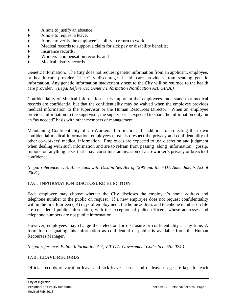- A note to justify an absence;
- ♦ A note to request a leave;
- 
- ◆ A note to verify the employee's ability to return to work;<br>Medical records to support a claim for sick pay or disabil<br>Insurance records; Medical records to support a claim for sick pay or disability benefits;
- ◆ Insurance records;<br>◆ Workers' compens
- Workers' compensation records; and
- Medical history records.

Genetic Information. The City does not request genetic information from an applicant, employee, or health care provider. The City discourages health care providers from sending genetic information. Any genetic information inadvertently sent to the City will be returned to the health care provider. *(Legal Reference: Genetic Information Notification Act, GINA.)*

Confidentiality of Medical Information. It is important that employees understand that medical records are confidential but that the confidentiality may be waived when the employee provides medical information to the supervisor or the Human Resources Director. When an employee provides information to the supervisor, the supervisor is expected to share the information only on an "as needed" basis with other members of management.

Maintaining Confidentiality of Co-Workers' Information. In addition to protecting their own confidential medical information, employees must also respect the privacy and confidentiality of other co-workers' medical information. Employees are expected to use discretion and judgment when dealing with such information and are to refrain from passing along information, gossip, rumors or anything else that may constitute an invasion of a co-worker's privacy or breach of confidence.

*(Legal reference: U.S. Americans with Disabilities Act of 1990 and the ADA Amendments Act of 2008.)*

### **17.C. INFORMATION DISCLOSURE ELECTION**

Each employee may choose whether the City discloses the employee's home address and telephone number to the public on request. If a new employee does not request confidentiality within the first fourteen (14) days of employment, the home address and telephone number on file are considered public information, with the exception of police officers, whose addresses and telephone numbers are not public information.

However, employees may change their election for disclosure or confidentiality at any time. A form for designating this information as confidential or public is available from the Human Recourses Manager.

*(Legal reference: Public Information Act, V.T.C.A. Government Code, Sec. 552.024.)*

#### **17.D. LEAVE RECORDS**

Official records of vacation leave and sick leave accrual and of leave usage are kept for each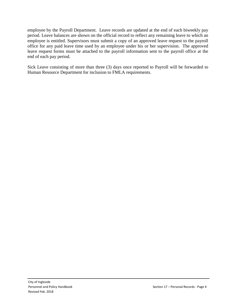employee by the Payroll Department. Leave records are updated at the end of each biweekly pay period. Leave balances are shown on the official record to reflect any remaining leave to which an employee is entitled. Supervisors must submit a copy of an approved leave request to the payroll office for any paid leave time used by an employee under his or her supervision. The approved leave request forms must be attached to the payroll information sent to the payroll office at the end of each pay period.

Sick Leave consisting of more than three (3) days once reported to Payroll will be forwarded to Human Resource Department for inclusion to FMLA requirements.